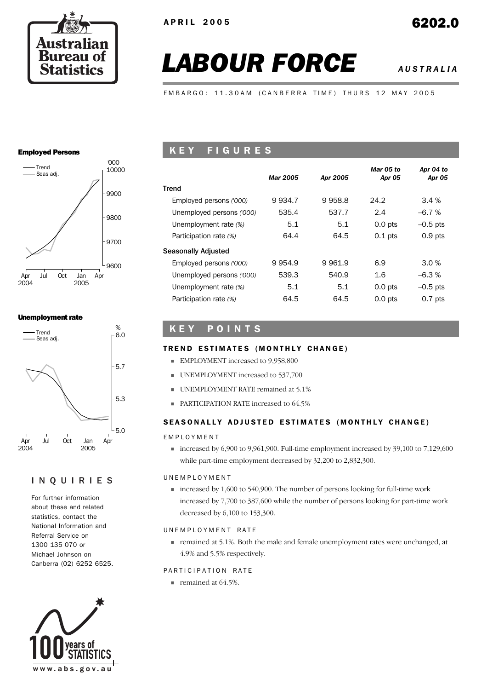

# *LABOUR FORCE AUSTRALIA*

EMBARGO: 11.30AM (CANBERRA TIME) THURS 12 MAY 2005

#### Employed Persons



### Unemployment rate



## INQUIRIES

For further information about these and related statistics, contact the National Information and Referral Service on 1300 135 070 or Michael Johnson on Canberra (02) 6252 6525.



## K E Y F I G U R E S

|                           | <b>Mar 2005</b> | Apr 2005 | Mar 05 to<br>Apr 05 | Apr 04 to<br>Apr 05 |
|---------------------------|-----------------|----------|---------------------|---------------------|
| Trend                     |                 |          |                     |                     |
| Employed persons ('000)   | 9934.7          | 9958.8   | 24.2                | 3.4%                |
| Unemployed persons ('000) | 535.4           | 537.7    | 2.4                 | $-6.7%$             |
| Unemployment rate (%)     | 5.1             | 5.1      | $0.0$ pts           | $-0.5$ pts          |
| Participation rate (%)    | 64.4            | 64.5     | $0.1$ pts           | $0.9$ pts           |
| Seasonally Adjusted       |                 |          |                     |                     |
| Employed persons ('000)   | 9954.9          | 9961.9   | 6.9                 | 3.0%                |
| Unemployed persons ('000) | 539.3           | 540.9    | 1.6                 | $-6.3%$             |
| Unemployment rate (%)     | 5.1             | 5.1      | $0.0$ pts           | $-0.5$ pts          |
| Participation rate (%)    | 64.5            | 64.5     | $0.0$ pts           | $0.7$ pts           |

## K E Y P O I N T S

### TREND ESTIMATES (MONTHLY CHANGE)

- **EMPLOYMENT** increased to 9,958,800
- UNEMPLOYMENT increased to 537,700
- UNEMPLOYMENT RATE remained at 5.1%
- **PARTICIPATION RATE increased to 64.5%**

### SEASONALLY ADJUSTED ESTIMATES (MONTHLY CHANGE)

#### EMPLOYMENT

 $\blacksquare$  increased by 6,900 to 9,961,900. Full-time employment increased by 39,100 to 7,129,600 while part-time employment decreased by 32,200 to 2,832,300.

#### UNEMPLOYMENT

 $\blacksquare$  increased by 1,600 to 540,900. The number of persons looking for full-time work increased by 7,700 to 387,600 while the number of persons looking for part-time work decreased by 6,100 to 153,300.

### UNEMPLOYMENT RATE

 remained at 5.1%. Both the male and female unemployment rates were unchanged, at 4.9% and 5.5% respectively.

### PARTICIPATION RATE

remained at 64.5%.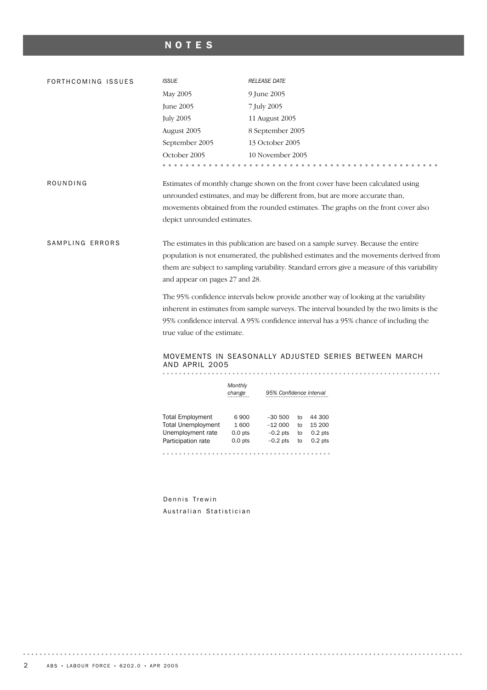## NOTES

| FORTHCOMING ISSUES | <b>ISSUE</b>                            | <b>RELEASE DATE</b>                                                                          |
|--------------------|-----------------------------------------|----------------------------------------------------------------------------------------------|
|                    | May 2005                                | 9 June 2005                                                                                  |
|                    | June 2005                               | 7 July 2005                                                                                  |
|                    | <b>July 2005</b>                        | 11 August 2005                                                                               |
|                    | August 2005                             | 8 September 2005                                                                             |
|                    | September 2005                          | 13 October 2005                                                                              |
|                    | October 2005                            | 10 November 2005                                                                             |
|                    | .                                       |                                                                                              |
| ROUNDING           |                                         | Estimates of monthly change shown on the front cover have been calculated using              |
|                    |                                         | unrounded estimates, and may be different from, but are more accurate than,                  |
|                    |                                         | movements obtained from the rounded estimates. The graphs on the front cover also            |
|                    | depict unrounded estimates.             |                                                                                              |
|                    |                                         |                                                                                              |
| SAMPLING ERRORS    |                                         | The estimates in this publication are based on a sample survey. Because the entire           |
|                    |                                         | population is not enumerated, the published estimates and the movements derived from         |
|                    |                                         | them are subject to sampling variability. Standard errors give a measure of this variability |
|                    | and appear on pages 27 and 28.          |                                                                                              |
|                    |                                         | The 95% confidence intervals below provide another way of looking at the variability         |
|                    |                                         | inherent in estimates from sample surveys. The interval bounded by the two limits is the     |
|                    |                                         | 95% confidence interval. A 95% confidence interval has a 95% chance of including the         |
|                    | true value of the estimate.             |                                                                                              |
|                    |                                         |                                                                                              |
|                    | AND APRIL 2005                          | MOVEMENTS IN SEASONALLY ADJUSTED SERIES BETWEEN MARCH                                        |
|                    |                                         |                                                                                              |
|                    | Monthly                                 |                                                                                              |
|                    | change                                  | 95% Confidence interval                                                                      |
|                    | <b>Total Employment</b>                 | 6900<br>$-30500$<br>to 44 300                                                                |
|                    | <b>Total Unemployment</b>               | 1600<br>$-12000$<br>to 15 200                                                                |
|                    | Unemployment rate<br>Participation rate | $0.0$ pts<br>$-0.2$ pts<br>to 0.2 pts<br>$-0.2$ pts<br>$0.0$ pts<br>to 0.2 pts               |
|                    |                                         |                                                                                              |

Dennis Trewin Australian Statistician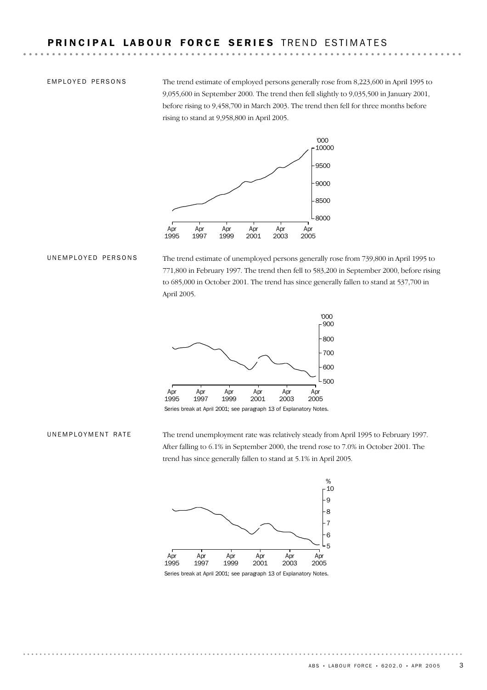EMPLOYED PERSONS

The trend estimate of employed persons generally rose from 8,223,600 in April 1995 to 9,055,600 in September 2000. The trend then fell slightly to 9,035,500 in January 2001, before rising to 9,458,700 in March 2003. The trend then fell for three months before rising to stand at 9,958,800 in April 2005.



#### UNEMPLOYED PERSONS

The trend estimate of unemployed persons generally rose from 739,800 in April 1995 to 771,800 in February 1997. The trend then fell to 583,200 in September 2000, before rising to 685,000 in October 2001. The trend has since generally fallen to stand at 537,700 in April 2005.



Series break at April 2001; see paragraph 13 of Explanatory Notes.

#### UNEMPLOYMENT RATE

The trend unemployment rate was relatively steady from April 1995 to February 1997. After falling to 6.1% in September 2000, the trend rose to 7.0% in October 2001. The trend has since generally fallen to stand at 5.1% in April 2005.

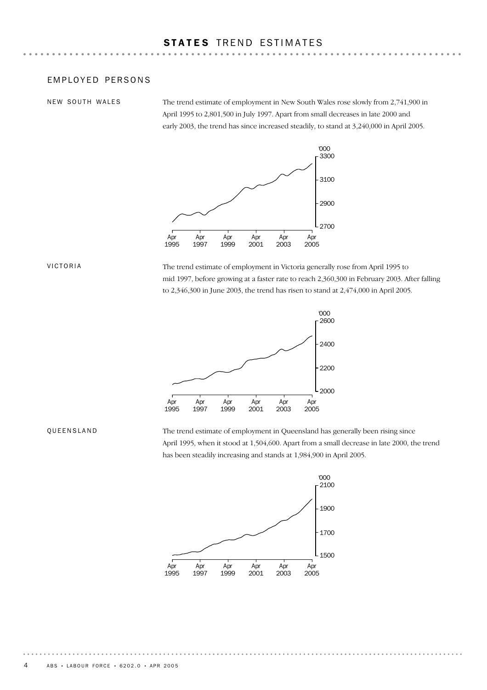### EMPLOYED PERSONS

NEW SOUTH WALES

The trend estimate of employment in New South Wales rose slowly from 2,741,900 in April 1995 to 2,801,500 in July 1997. Apart from small decreases in late 2000 and early 2003, the trend has since increased steadily, to stand at 3,240,000 in April 2005.



#### VICTORIA

The trend estimate of employment in Victoria generally rose from April 1995 to mid 1997, before growing at a faster rate to reach 2,360,300 in February 2003. After falling to 2,346,300 in June 2003, the trend has risen to stand at 2,474,000 in April 2005.



#### QUEENSLAND

The trend estimate of employment in Queensland has generally been rising since April 1995, when it stood at 1,504,600. Apart from a small decrease in late 2000, the trend has been steadily increasing and stands at 1,984,900 in April 2005.

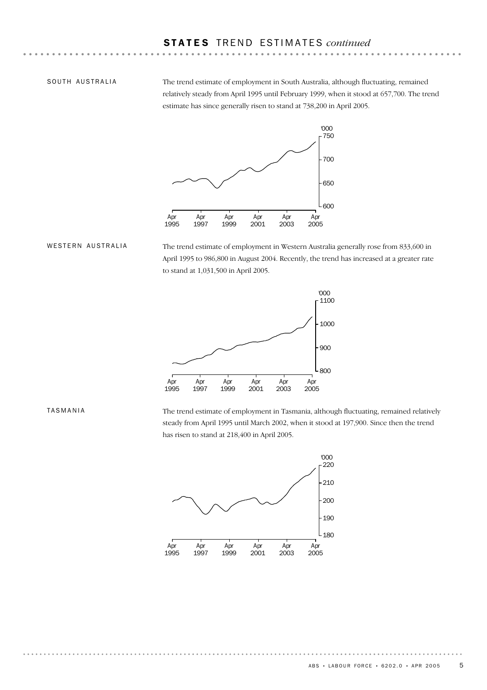SOUTH AUSTRALIA

The trend estimate of employment in South Australia, although fluctuating, remained relatively steady from April 1995 until February 1999, when it stood at 657,700. The trend estimate has since generally risen to stand at 738,200 in April 2005.



WESTERN AUSTRALIA

The trend estimate of employment in Western Australia generally rose from 833,600 in April 1995 to 986,800 in August 2004. Recently, the trend has increased at a greater rate to stand at 1,031,500 in April 2005.



The trend estimate of employment in Tasmania, although fluctuating, remained relatively steady from April 1995 until March 2002, when it stood at 197,900. Since then the trend has risen to stand at 218,400 in April 2005.



TASMANIA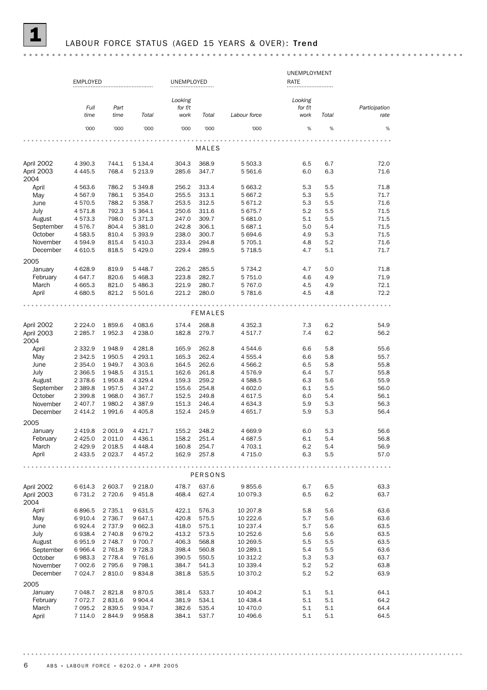## LABOUR FORCE STATUS (AGED 15 YEARS & OVER): Trend

|              |                         |                 |             |                |                |                 | UNEMPLOYMENT |            |               |
|--------------|-------------------------|-----------------|-------------|----------------|----------------|-----------------|--------------|------------|---------------|
|              | <b>EMPLOYED</b>         |                 |             | UNEMPLOYED     |                |                 | RATE         |            |               |
|              |                         |                 |             |                |                |                 |              |            |               |
|              |                         |                 |             | Looking        |                |                 | Looking      |            |               |
|              | Full                    | Part            |             | for $f/t$      |                |                 | for f/t      |            | Participation |
|              | time                    | time            | Total       | work           | Total          | Labour force    | work         | Total      | rate          |
|              | '000                    | '000            | '000        | '000           | '000           | '000            | $\%$         | $\%$       | $\%$          |
|              |                         |                 |             |                |                |                 |              |            |               |
|              |                         |                 |             |                | MALES          |                 |              |            |               |
|              |                         |                 |             |                |                |                 |              |            |               |
| April 2002   | 4 3 9 0.3               | 744.1           | 5 1 3 4 . 4 | 304.3          | 368.9          | 5 503.3         | 6.5          | 6.7        | 72.0          |
| April 2003   | 4 4 4 5.5               | 768.4           | 5 2 1 3.9   | 285.6          | 347.7          | 5 5 6 1.6       | 6.0          | 6.3        | 71.6          |
| 2004         |                         |                 | 5 349.8     |                | 313.4          | 5 663.2         |              |            | 71.8          |
| April<br>May | 4 5 6 3.6<br>4 5 6 7 .9 | 786.2<br>786.1  | 5 3 5 4 . 0 | 256.2<br>255.5 | 313.1          | 5 667.2         | 5.3<br>5.3   | 5.5<br>5.5 | 71.7          |
| June         | 4570.5                  | 788.2           | 5 3 5 8.7   | 253.5          | 312.5          | 5 671.2         | 5.3          | 5.5        | 71.6          |
| July         | 4571.8                  | 792.3           | 5 3 6 4 . 1 | 250.6          | 311.6          | 5 675.7         | 5.2          | 5.5        | 71.5          |
| August       | 4573.3                  | 798.0           | 5 371.3     | 247.0          | 309.7          | 5 681.0         | 5.1          | 5.5        | 71.5          |
| September    | 4576.7                  | 804.4           | 5 3 8 1.0   | 242.8          | 306.1          | 5 687.1         | 5.0          | 5.4        | 71.5          |
| October      | 4583.5                  | 810.4           | 5 3 9 3.9   | 238.0          | 300.7          | 5 694.6         | 4.9          | 5.3        | 71.5          |
| November     | 4 5 9 4.9               | 815.4           | 5 4 1 0.3   | 233.4          | 294.8          | 5 705.1         | 4.8          | 5.2        | 71.6          |
| December     | 4 6 10.5                | 818.5           | 5 4 2 9.0   | 229.4          | 289.5          | 5 7 18.5        | 4.7          | 5.1        | 71.7          |
|              |                         |                 |             |                |                |                 |              |            |               |
| 2005         |                         |                 |             |                |                |                 |              |            |               |
| January      | 4 6 28.9                | 819.9           | 5 4 4 8.7   | 226.2          | 285.5          | 5 7 3 4.2       | 4.7          | 5.0        | 71.8          |
| February     | 4 647.7                 | 820.6           | 5 4 68.3    | 223.8          | 282.7          | 5 751.0         | 4.6          | 4.9        | 71.9          |
| March        | 4 6 6 5.3               | 821.0           | 5 4 8 6.3   | 221.9          | 280.7          | 5 767.0         | 4.5          | 4.9        | 72.1          |
| April        | 4 680.5                 | 821.2           | 5 501.6     | 221.2          | 280.0          | 5 781.6         | 4.5          | 4.8        | 72.2          |
|              |                         |                 |             |                |                |                 |              |            |               |
|              |                         |                 |             |                | <b>FEMALES</b> |                 |              |            |               |
| April 2002   | 2 2 2 4 .0              | 1859.6          | 4 083.6     | 174.4          | 268.8          | 4 3 5 2.3       | 7.3          | 6.2        | 54.9          |
| April 2003   | 2 2 8 5.7               | 1952.3          | 4 2 3 8.0   | 182.8          | 279.7          | 4 517.7         | 7.4          | 6.2        | 56.2          |
| 2004         |                         |                 |             |                |                |                 |              |            |               |
| April        | 2 3 3 2.9               | 1948.9          | 4 281.8     | 165.9          | 262.8          | 4 544.6         | 6.6          | 5.8        | 55.6          |
| May          | 2 3 4 2.5               | 1950.5          | 4 2 9 3.1   | 165.3          | 262.4          | 4 5 5 5.4       | 6.6          | 5.8        | 55.7          |
| June         | 2 3 5 4 . 0             | 1949.7          | 4 303.6     | 164.5          | 262.6          | 4 5 6 6.2       | 6.5          | 5.8        | 55.8          |
| July         | 2 3 6 6.5               | 1948.5          | 4 3 1 5 . 1 | 162.6          | 261.8          | 4 576.9         | 6.4          | 5.7        | 55.8          |
| August       | 2 3 7 8.6               | 1950.8          | 4 3 29.4    | 159.3          | 259.2          | 4 5 8 8.5       | 6.3          | 5.6        | 55.9          |
| September    | 2 3 8 9.8               | 1957.5          | 4 3 4 7 . 2 | 155.6          | 254.8          | 4 602.0         | 6.1          | 5.5        | 56.0          |
| October      | 2 3 9 9.8               | 1968.0          | 4 3 6 7 . 7 | 152.5          | 249.8          | 4 617.5         | 6.0          | 5.4        | 56.1          |
| November     | 2 407.7                 | 1980.2          | 4 3 8 7 . 9 | 151.3          | 246.4          | 4 634.3         | 5.9          | 5.3        | 56.3          |
| December     | 2 4 1 4 . 2             | 1991.6          | 4 4 0 5.8   | 152.4          | 245.9          | 4 651.7         | 5.9          | 5.3        | 56.4          |
| 2005         |                         |                 |             |                |                |                 |              |            |               |
| January      | 2 4 1 9.8               | 2 001.9         | 4 4 2 1.7   | 155.2          | 248.2          | 4 6 6 9.9       | 6.0          | 5.3        | 56.6          |
| February     | 2 4 2 5.0               | 2 0 1 1.0       | 4 4 3 6.1   | 158.2          | 251.4          | 4 687.5         | 6.1          | 5.4        | 56.8          |
| March        |                         | 2 429.9 2 018.5 | 4 4 4 8 . 4 | 160.8          | 254.7          | 4 703.1         | 6.2          | 5.4        | 56.9          |
| April        | 2 433.5                 | 2 0 2 3 . 7     | 4 4 5 7.2   | 162.9          | 257.8          | 4 7 1 5.0       | 6.3          | 5.5        | 57.0          |
|              |                         |                 |             |                |                |                 |              |            |               |
|              |                         |                 |             |                |                | $- - - - - - -$ |              |            | 0.0.0.0       |
|              |                         |                 |             |                | PERSONS        |                 |              |            |               |
| April 2002   | 6 6 1 4 . 3             | 2 603.7         | 9 2 18.0    | 478.7          | 637.6          | 9855.6          | 6.7          | 6.5        | 63.3          |
| April 2003   | 6 7 3 1.2               | 2 7 2 0.6       | 9 4 5 1.8   | 468.4          | 627.4          | 10 079.3        | 6.5          | 6.2        | 63.7          |
| 2004         |                         |                 |             |                |                |                 |              |            |               |
| April        | 6896.5                  | 2 7 3 5.1       | 9 631.5     | 422.1          | 576.3          | 10 207.8        | 5.8          | 5.6        | 63.6          |
| May          | 6910.4                  | 2 7 3 6.7       | 9 647.1     | 420.8          | 575.5          | 10 222.6        | 5.7          | 5.6        | 63.6          |
| June         | 6924.4                  | 2 7 3 7 .9      | 9 662.3     | 418.0          | 575.1          | 10 237.4        | 5.7          | 5.6        | 63.5          |
| July         | 6938.4                  | 2 740.8         | 9679.2      | 413.2          | 573.5          | 10 252.6        | 5.6          | 5.6        | 63.5          |
| August       | 6951.9                  | 2 748.7         | 9 700.7     | 406.3          | 568.8          | 10 269.5        | 5.5          | 5.5        | 63.5          |
| September    | 6966.4                  | 2 761.8         | 9728.3      | 398.4          | 560.8          | 10 289.1        | 5.4          | 5.5        | 63.6          |
| October      | 6983.3                  | 2 7 7 8.4       | 9 7 6 1.6   | 390.5          | 550.5          | 10 312.2        | 5.3          | 5.3        | 63.7          |
| November     | 7 002.6                 | 2 7 9 5.6       | 9 7 9 8.1   | 384.7          | 541.3          | 10 339.4        | 5.2          | 5.2        | 63.8          |
| December     | 7 0 24.7                | 2 8 1 0.0       | 9834.8      | 381.8          | 535.5          | 10 370.2        | 5.2          | 5.2        | 63.9          |
| 2005         |                         |                 |             |                |                |                 |              |            |               |
| January      | 7 048.7                 | 2821.8          | 9870.5      | 381.4          | 533.7          | 10 404.2        | 5.1          | 5.1        | 64.1          |
| February     | 7 0 7 2.7               | 2 8 3 1.6       | 9 9 0 4.4   | 381.9          | 534.1          | 10 438.4        | 5.1          | 5.1        | 64.2          |
| March        | 7 095.2                 | 2839.5          | 9 9 3 4.7   | 382.6          | 535.4          | 10 470.0        | 5.1          | 5.1        | 64.4          |
| April        | 7 114.0                 | 2844.9          | 9958.8      | 384.1          | 537.7          | 10 496.6        | 5.1          | 5.1        | 64.5          |
|              |                         |                 |             |                |                |                 |              |            |               |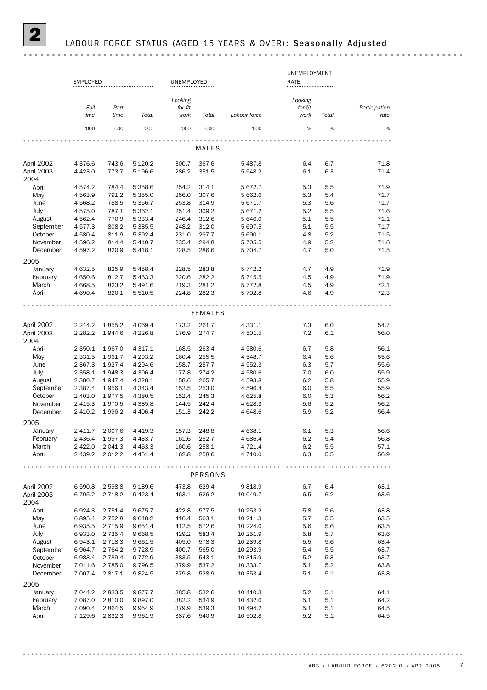|                          |                     |                        |                          |                |                |                      | UNEMPLOYMENT |            |               |
|--------------------------|---------------------|------------------------|--------------------------|----------------|----------------|----------------------|--------------|------------|---------------|
|                          | <b>EMPLOYED</b>     |                        |                          | UNEMPLOYED     |                |                      | RATE         |            |               |
|                          |                     |                        |                          |                |                |                      |              |            |               |
|                          |                     |                        |                          | Looking        |                |                      | Looking      |            |               |
|                          | Full                | Part                   |                          | for $f/t$      |                |                      | for f/t      |            | Participation |
|                          | time                | time                   | Total                    | work           | Total          | Labour force         | work         | Total      | rate          |
|                          | '000                | '000                   | '000                     | '000           | '000           | '000                 | %            | %          | $\%$          |
|                          |                     |                        |                          |                |                |                      |              |            |               |
|                          |                     |                        |                          |                | MALES          |                      |              |            |               |
|                          |                     |                        |                          |                |                |                      |              |            |               |
| April 2002               | 4 3 7 6 . 6         | 743.6                  | 5 1 2 0.2                | 300.7          | 367.6          | 5487.8               | 6.4          | 6.7        | 71.8          |
| April 2003               | 4 4 2 3.0           | 773.7                  | 5 196.6                  | 286.2          | 351.5          | 5 548.2              | 6.1          | 6.3        | 71.4          |
| 2004                     |                     |                        |                          |                |                |                      |              |            |               |
| April                    | 4574.2              | 784.4                  | 5 3 5 8.6                | 254.2          | 314.1          | 5 672.7              | 5.3          | 5.5        | 71.9          |
| May                      | 4 5 6 3.9           | 791.2                  | 5 355.0                  | 256.0          | 307.6          | 5 662.6              | 5.3          | 5.4        | 71.7          |
| June                     | 4 5 68.2            | 788.5                  | 5 3 5 6.7                | 253.8          | 314.9          | 5 671.7              | 5.3          | 5.6        | 71.7          |
| July<br>August           | 4575.0<br>4 5 6 2.4 | 787.1<br>770.9         | 5 3 6 2.1<br>5 3 3 3 . 4 | 251.4<br>246.4 | 309.2<br>312.6 | 5 671.2<br>5 646.0   | 5.2<br>5.1   | 5.5<br>5.5 | 71.6<br>71.1  |
| September                | 4577.3              | 808.2                  | 5 385.5                  | 248.2          | 312.0          | 5 697.5              | 5.1          | 5.5        | 71.7          |
| October                  | 4 580.4             | 811.9                  | 5 392.4                  | 231.0          | 297.7          | 5 690.1              | 4.8          | 5.2        | 71.5          |
| November                 | 4 5 9 6.2           | 814.4                  | 5 4 1 0.7                | 235.4          | 294.8          | 5 705.5              | 4.9          | 5.2        | 71.6          |
| December                 | 4 597.2             | 820.9                  | 5 4 18.1                 | 228.5          | 286.6          | 5 704.7              | 4.7          | 5.0        | 71.5          |
|                          |                     |                        |                          |                |                |                      |              |            |               |
| 2005                     |                     |                        |                          |                |                |                      |              |            |               |
| January                  | 4 632.5             | 825.9                  | 5 4 5 8.4                | 228.5          | 283.8          | 5 742.2              | 4.7          | 4.9        | 71.9          |
| February<br>March        | 4 650.6             | 812.7                  | 5 4 6 3.3                | 220.6          | 282.2          | 5 745.5              | 4.5          | 4.9        | 71.9          |
|                          | 4 6 68.5<br>4 690.4 | 823.2<br>820.1         | 5 4 9 1.6<br>5 510.5     | 219.3<br>224.8 | 281.2<br>282.3 | 5 7 7 2.8<br>5 792.8 | 4.5<br>4.6   | 4.9<br>4.9 | 72.1<br>72.3  |
| April                    |                     |                        |                          |                |                |                      |              |            |               |
|                          |                     |                        |                          |                |                |                      |              |            |               |
|                          |                     |                        |                          |                | <b>FEMALES</b> |                      |              |            |               |
| April 2002               | 2 2 1 4 . 2         | 1855.2                 | 4 0 69.4                 | 173.2          | 261.7          | 4 3 3 1.1            | 7.3          | 6.0        | 54.7          |
| April 2003               | 2 2 8 2.2           | 1944.6                 | 4 2 2 6.8                | 176.9          | 274.7          | 4 501.5              | 7.2          | 6.1        | 56.0          |
| 2004                     |                     |                        |                          |                |                |                      |              |            |               |
| April                    | 2 3 5 0.1           | 1967.0                 | 4 3 1 7 . 1              | 168.5          | 263.4          | 4 580.6              | 6.7          | 5.8        | 56.1          |
| May                      | 2 3 3 1.5           | 1961.7                 | 4 293.2                  | 160.4          | 255.5          | 4 548.7              | 6.4          | 5.6        | 55.6          |
| June                     | 2 3 6 7 . 3         | 1927.4                 | 4 2 9 4 . 6              | 158.7          | 257.7          | 4 552.3              | 6.3          | 5.7        | 55.6          |
| July                     | 2 3 5 8.1           | 1948.3                 | 4 306.4                  | 177.8          | 274.2          | 4 580.6              | 7.0          | 6.0        | 55.9          |
| August                   | 2 380.7             | 1947.4                 | 4 3 28.1                 | 158.6          | 265.7          | 4 593.8              | 6.2          | 5.8        | 55.9          |
| September                | 2 3 8 7 . 4         | 1956.1                 | 4 3 4 3 . 4              | 152.5          | 253.0          | 4 596.4              | 6.0          | 5.5        | 55.9          |
| October                  | 2 403.0             | 1977.5                 | 4 380.5                  | 152.4          | 245.3          | 4 625.8              | 6.0          | 5.3        | 56.2          |
| November                 | 2 4 1 5.3           | 1970.5                 | 4 3 8 5.8                | 144.5          | 242.4          | 4 628.3              | 5.6          | 5.2        | 56.2          |
| December                 | 2 4 1 0.2           | 1996.2                 | 4 4 0 6.4                | 151.3          | 242.2          | 4 648.6              | 5.9          | 5.2        | 56.4          |
| 2005                     |                     |                        |                          |                |                |                      |              |            |               |
| January                  | 2 411.7             | 2 0 0 7.6              | 4 4 1 9.3                | 157.3          | 248.8          | 4 668.1              | 6.1          | 5.3        | 56.6          |
| February                 | 2 436.4             | 1997.3                 | 4 4 3 3.7                | 161.6          | 252.7          | 4 686.4              | 6.2          | 5.4        | 56.8          |
| March                    | 2 4 2 2.0           | 2 041.3                | 4 4 6 3.3                | 160.6          | 258.1          | 4 721.4              | 6.2          | 5.5        | 57.1          |
| April                    | 2 439.2             | 2 0 1 2.2              | 4 4 5 1.4                | 162.8          | 258.6          | 4 710.0              | 6.3          | 5.5        | 56.9          |
|                          |                     |                        |                          |                |                |                      |              |            |               |
|                          |                     |                        |                          |                | <b>PERSONS</b> |                      |              |            |               |
|                          |                     |                        |                          |                |                |                      |              |            |               |
| April 2002<br>April 2003 | 6 590.8<br>6 705.2  | 2 5 9 8.8<br>2 7 1 8.2 | 9 189.6<br>9 4 23.4      | 473.8<br>463.1 | 629.4<br>626.2 | 9818.9<br>10 049.7   | 6.7<br>6.5   | 6.4<br>6.2 | 63.1<br>63.6  |
| 2004                     |                     |                        |                          |                |                |                      |              |            |               |
| April                    | 6924.3              | 2 7 5 1.4              | 9675.7                   | 422.8          | 577.5          | 10 253.2             | 5.8          | 5.6        | 63.8          |
| May                      | 6895.4              | 2 7 5 2.8              | 9 648.2                  | 416.4          | 563.1          | 10 211.3             | 5.7          | 5.5        | 63.5          |
| June                     | 6935.5              | 2 7 1 5.9              | 9 651.4                  | 412.5          | 572.6          | 10 224.0             | 5.6          | 5.6        | 63.5          |
| July                     | 6933.0              | 2 7 3 5.4              | 9 668.5                  | 429.2          | 583.4          | 10 251.9             | 5.8          | 5.7        | 63.6          |
| August                   | 6943.1              | 2 7 18.3               | 9 661.5                  | 405.0          | 578.3          | 10 239.8             | 5.5          | 5.6        | 63.4          |
| September                | 6964.7              | 2 7 64.2               | 9728.9                   | 400.7          | 565.0          | 10 293.9             | 5.4          | 5.5        | 63.7          |
| October                  | 6983.4              | 2 7 8 9.4              | 9 7 7 2.9                | 383.5          | 543.1          | 10 315.9             | 5.2          | 5.3        | 63.7          |
| November                 | 7 011.6             | 2 7 8 5.0              | 9 7 9 6.5                | 379.9          | 537.2          | 10 333.7             | 5.1          | 5.2        | 63.8          |
| December                 | 7 007.4             | 2817.1                 | 9824.5                   | 379.8          | 528.9          | 10 353.4             | 5.1          | 5.1        | 63.8          |
| 2005                     |                     |                        |                          |                |                |                      |              |            |               |
| January                  | 7 044.2             | 2833.5                 | 9877.7                   | 385.8          | 532.6          | 10 410.3             | 5.2          | 5.1        | 64.1          |
| February                 | 7 087.0             | 2 8 1 0.0              | 9897.0                   | 382.2          | 534.9          | 10 432.0             | 5.1          | 5.1        | 64.2          |
| March                    | 7 090.4             | 2864.5                 | 9954.9                   | 379.9          | 539.3          | 10 494.2             | 5.1          | 5.1        | 64.5          |
| April                    | 7 129.6             | 2832.3                 | 9 9 6 1.9                | 387.6          | 540.9          | 10 502.8             | 5.2          | 5.1        | 64.5          |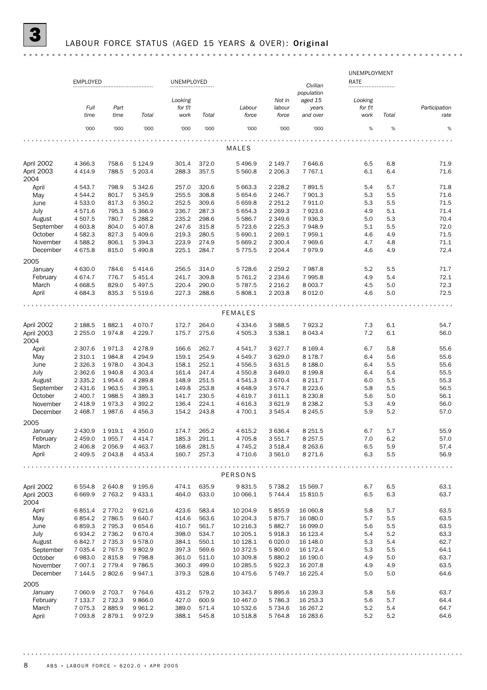|                                  |                        |                      |                        |                |                |                    |                      |                        | UNEMPLOYMENT |            |               |
|----------------------------------|------------------------|----------------------|------------------------|----------------|----------------|--------------------|----------------------|------------------------|--------------|------------|---------------|
|                                  | <b>EMPLOYED</b>        |                      |                        | UNEMPLOYED     |                |                    |                      | Civilian<br>population | RATE         |            |               |
|                                  |                        |                      |                        | Looking        |                |                    | Not in               | aged 15                | Looking      |            |               |
|                                  | Full                   | Part                 |                        | for $f/t$      |                | Labour             | labour               | years                  | for f/t      |            | Participation |
|                                  | time                   | time                 | Total                  | work           | Total          | force              | force                | and over               | work         | Total      | rate          |
|                                  | '000                   | '000                 | '000                   | '000           | '000           | '000               | '000                 | '000                   | %            | $\%$       | $\%$          |
|                                  |                        |                      |                        |                |                |                    |                      |                        |              |            |               |
|                                  |                        |                      |                        |                |                | MALES              |                      |                        |              |            |               |
| April 2002                       | 4 3 6 6.3              | 758.6                | 5 1 2 4 .9             | 301.4          | 372.0          | 5 4 9 6.9          | 2 149.7              | 7 646.6                | 6.5          | 6.8        | 71.9          |
| April 2003<br>2004               | 4 4 1 4 .9             | 788.5                | 5 203.4                | 288.3          | 357.5          | 5 5 6 0.8          | 2 2 0 6.3            | 7 7 6 7 . 1            | 6.1          | 6.4        | 71.6          |
| April                            | 4 5 4 3 . 7            | 798.9                | 5 342.6                | 257.0          | 320.6          | 5 663.3            | 2 2 2 8.2            | 7891.5                 | 5.4          | 5.7        | 71.8          |
| May                              | 4 544.2                | 801.7                | 5 3 4 5 .9             | 255.5          | 308.8          | 5 654.6            | 2 2 4 6.7            | 7 901.3                | 5.3          | 5.5        | 71.6          |
| June                             | 4 533.0                | 817.3                | 5 3 5 0.2              | 252.5          | 309.6          | 5 659.8            | 2 2 5 1.2            | 7911.0                 | 5.3          | 5.5        | 71.5          |
| July                             | 4571.6                 | 795.3                | 5 3 6 6.9              | 236.7          | 287.3          | 5 6 5 4.3          | 2 2 6 9.3            | 7923.6                 | 4.9          | 5.1        | 71.4          |
| August                           | 4 507.5                | 780.7                | 5 288.2                | 235.2          | 298.6          | 5 5 8 6.7          | 2 3 4 9.6            | 7936.3                 | 5.0          | 5.3        | 70.4          |
| September                        | 4 603.8                | 804.0                | 5 407.8                | 247.6          | 315.8          | 5 723.6            | 2 2 2 5 . 3          | 7948.9                 | 5.1          | 5.5        | 72.0          |
| October                          | 4 5 8 2.3              | 827.3                | 5 409.6                | 219.3          | 280.5          | 5 690.1            | 2 2 6 9.1            | 7959.1                 | 4.6          | 4.9        | 71.5          |
| November                         | 4 5 8 8.2              | 806.1                | 5 3 9 4 . 3            | 223.9          | 274.9          | 5 6 6 9.2          | 2 300.4              | 7969.6                 | 4.7          | 4.8        | 71.1          |
| December                         | 4 6 7 5.8              | 815.0                | 5 490.8                | 225.1          | 284.7          | 5 7 7 5 . 5        | 2 2 0 4.4            | 7979.9                 | 4.6          | 4.9        | 72.4          |
| 2005                             |                        |                      |                        |                |                |                    |                      |                        |              |            |               |
| January                          | 4 630.0                | 784.6                | 5 4 1 4.6              | 256.5          | 314.0          | 5 7 28.6           | 2 2 5 9.2            | 7987.8                 | 5.2          | 5.5        | 71.7          |
| February                         | 4 674.7                | 776.7                | 5 4 5 1.4              | 241.7          | 309.8          | 5 761.2            | 2 2 3 4.6            | 7995.8                 | 4.9          | 5.4        | 72.1          |
| March                            | 4 6 68.5               | 829.0                | 5 4 9 7.5              | 220.4          | 290.0          | 5 7 8 7.5          | 2 2 1 6 . 2          | 8 0 0 3.7              | 4.5          | 5.0        | 72.3          |
| April                            | 4 6 8 4 .3             | 835.3                | 5 5 1 9.6              | 227.3          | 288.6          | 5 808.1            | 2 2 0 3.8            | 8 0 1 2.0              | 4.6          | 5.0        | 72.5          |
|                                  |                        |                      |                        |                |                | <b>FEMALES</b>     |                      |                        |              |            |               |
|                                  |                        |                      |                        |                |                |                    |                      |                        |              |            |               |
| April 2002                       | 2 188.5                | 1882.1               | 4 0 7 0 . 7            | 172.7          | 264.0          | 4 3 3 4 . 6        | 3 5 8 8.5            | 7923.2                 | 7.3          | 6.1        | 54.7          |
| April 2003<br>2004               | 2 2 5 5.0              | 1974.8               | 4 2 2 9.7              | 175.7          | 275.6          | 4 505.3            | 3 5 3 8.1            | 8 0 4 3.4              | 7.2          | 6.1        | 56.0          |
| April                            | 2 3 0 7.6              | 1971.3               | 4 2 7 8 .9             | 166.6          | 262.7          | 4 541.7            | 3 627.7              | 8 1 6 9 . 4            | 6.7          | 5.8        | 55.6          |
| May                              | 2 3 1 0.1              | 1984.8               | 4 2 9 4 .9             | 159.1          | 254.9          | 4 549.7            | 3 629.0              | 8 1 7 8 . 7            | 6.4          | 5.6        | 55.6          |
| June                             | 2 3 2 6 . 3            | 1978.0               | 4 3 0 4 .3             | 158.1          | 252.1          | 4 5 5 6.5          | 3 631.5              | 8 1 8 8 . 0            | 6.4          | 5.5        | 55.6          |
| July                             | 2 3 6 2.6              | 1940.8               | 4 3 0 3.4              | 161.4          | 247.4          | 4 550.8            | 3 649.0              | 8 1 9 9.8              | 6.4          | 5.4        | 55.5          |
| August                           | 2 3 3 5.2              | 1954.6               | 4 2 8 9.8              | 148.9          | 251.5          | 4 541.3            | 3 670.4              | 8 2 1 1.7              | 6.0          | 5.5        | 55.3          |
| September                        | 2 4 3 1.6              | 1963.5               | 4 3 9 5.1              | 149.8          | 253.8          | 4 6 4 8.9          | 3574.7               | 8 2 2 3.6              | 5.8          | 5.5        | 56.5          |
| October                          | 2 400.7                | 1988.5               | 4 3 8 9.3              | 141.7          | 230.5          | 4 6 19.7           | 3 611.1              | 8 2 3 0.8              | 5.6          | 5.0        | 56.1          |
| November                         | 2 4 1 8.9              | 1973.3               | 4 3 9 2.2              | 136.4          | 224.1          | 4 6 1 6.3          | 3 621.9              | 8 2 3 8.2              | 5.3          | 4.9        | 56.0          |
| December                         | 2 4 68.7               | 1987.6               | 4 4 5 6.3              | 154.2          | 243.8          | 4 700.1            | 3 5 4 5.4            | 8 2 4 5 .5             | 5.9          | 5.2        | 57.0          |
| 2005                             |                        |                      |                        |                |                |                    |                      |                        |              |            |               |
| January                          | 2 430.9                | 1919.1               | 4 3 5 0.0              | 174.7          | 265.2          | 4 615.2            | 3 636.4              | 8 2 5 1.5              | 6.7          | 5.7        | 55.9          |
| February                         | 2 459.0                | 1955.7               | 4 4 1 4 .7             | 185.3          | 291.1          | 4 705.8            | 3 551.7              | 8 2 5 7 . 5            | 7.0          | 6.2        | 57.0          |
| March                            | 2 406.8                | 2 0 5 6.9            | 4 4 6 3.7              | 168.6          | 281.5          | 4 745.2            | 3 5 18.4             | 8 2 6 3.6              | 6.5          | 5.9        | 57.4          |
| April                            | 2 409.5                | 2 0 4 3 . 8          | 4 4 5 3.4              | 160.7          | 257.3          | 4 710.6            | 3 561.0              | 8 2 7 1.6              | 6.3          | 5.5        | 56.9          |
|                                  |                        |                      |                        |                |                | PERSONS            |                      |                        |              |            |               |
|                                  |                        |                      |                        |                |                |                    |                      |                        |              |            |               |
| April 2002<br>April 2003<br>2004 | 6 5 5 4.8<br>6 6 6 9.9 | 2 640.8<br>2 7 6 3.2 | 9 1 9 5.6<br>9 4 3 3.1 | 474.1<br>464.0 | 635.9<br>633.0 | 9831.5<br>10 066.1 | 5 7 3 8.2<br>5 744.4 | 15 569.7<br>15 810.5   | 6.7<br>6.5   | 6.5<br>6.3 | 63.1<br>63.7  |
| April                            | 6851.4                 | 2 7 7 0 . 2          | 9 621.6                | 423.6          | 583.4          | 10 204.9           | 5855.9               | 16 060.8               | 5.8          | 5.7        | 63.5          |
| May                              | 6854.2                 | 2 786.5              | 9 640.7                | 414.6          | 563.6          | 10 204.3           | 5875.7               | 16 080.0               | 5.7          | 5.5        | 63.5          |
| June                             | 6859.3                 | 2 7 9 5.3            | 9 6 5 4.6              | 410.7          | 561.7          | 10 216.3           | 5 882.7              | 16 099.0               | 5.6          | 5.5        | 63.5          |
| July                             | 6934.2                 | 2 7 3 6.2            | 9 670.4                | 398.0          | 534.7          | 10 205.1           | 5918.3               | 16 123.4               | 5.4          | 5.2        | 63.3          |
| August                           | 6842.7                 | 2 7 3 5 . 3          | 9578.0                 | 384.1          | 550.1          | 10 128.1           | 6 0 20.0             | 16 148.0               | 5.3          | 5.4        | 62.7          |
| September                        | 7 0 3 5.4              | 2 7 6 7 .5           | 9802.9                 | 397.3          | 569.6          | 10 372.5           | 5 800.0              | 16 172.4               | 5.3          | 5.5        | 64.1          |
| October                          | 6983.0                 | 2 8 1 5.8            | 9798.8                 | 361.0          | 511.0          | 10 309.8           | 5 880.2              | 16 190.0               | 4.9          | 5.0        | 63.7          |
| November                         | 7 007.1                | 2 7 7 9 . 4          | 9 7 8 6.5              | 360.3          | 499.0          | 10 285.5           | 5922.3               | 16 207.8               | 4.9          | 4.9        | 63.5          |
| December                         | 7 144.5                | 2802.6               | 9 9 4 7.1              | 379.3          | 528.6          | 10 475.6           | 5 7 4 9.7            | 16 225.4               | 5.0          | 5.0        | 64.6          |
|                                  |                        |                      |                        |                |                |                    |                      |                        |              |            |               |
| 2005<br>January                  | 7 060.9                | 2 703.7              | 9 7 64.6               | 431.2          | 579.2          | 10 343.7           | 5895.6               | 16 239.3               | 5.8          | 5.6        | 63.7          |
| February                         | 7 133.7                | 2 7 3 2.3            | 9866.0                 | 427.0          | 600.9          | 10 467.0           | 5786.3               | 16 253.3               | 5.6          | 5.7        | 64.4          |
| March                            | 7 0 7 5 . 3            | 2885.9               | 9 9 6 1.2              | 389.0          | 571.4          | 10 532.6           | 5 7 3 4.6            | 16 267.2               | 5.2          | 5.4        | 64.7          |
| April                            | 7 093.8                | 2879.1               | 9972.9                 | 388.1          | 545.8          | 10 518.8           | 5 7 64.8             | 16 283.6               | 5.2          | 5.2        | 64.6          |
|                                  |                        |                      |                        |                |                |                    |                      |                        |              |            |               |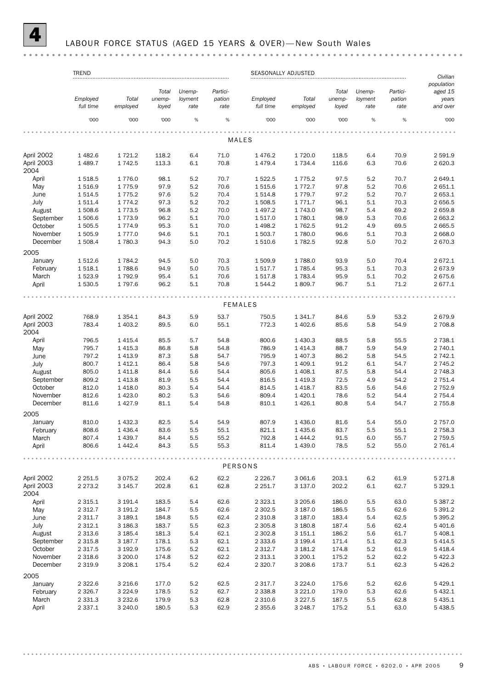#### LABOUR FORCE STATUS (AGED 15 YEARS & OVER)-New South Wales

#### TREND SEASONALLY ADJUSTED *Civilian population Total Unemp-Partici-Total Unemp-Particiaged 15 Employed Employed Total unemployment pation Total unemployment pation years full time employed loyed rate rate full time employed loyed rate rate and over* '000 '000 '000 % % '000 '000 '000 % % '000 . . . . . . . MALES April 2002 1 482.6 1 721.2 118.2 6.4 71.0 1 476.2 1 720.0 118.5 6.4 70.9 2 591.9 April 2003 1 489.7 1 742.5 113.3 6.1 70.8 1 479.4 1 734.4 116.6 6.3 70.6 2 620.3 2004 April 1 518.5 1 776.0 98.1 5.2 70.7 1 522.5 1 775.2 97.5 5.2 70.7 2 649.1 May 1 516.9 1 775.9 97.9 5.2 70.6 1 515.6 1 772.7 97.8 5.2 70.6 2 651.1 June 1 514.5 1 775.2 97.6 5.2 70.4 1 514.8 1 779.7 97.2 5.2 70.7 2 653.1 July 1 511.4 1 774.2 97.3 5.2 70.2 1 508.5 1 771.7 96.1 5.1 70.3 2 656.5 August 1 508.6 1 773.5 96.8 5.2 70.0 1 497.2 1 743.0 98.7 5.4 69.2 2 659.8 September 1 506.6 1 773.9 96.2 5.1 70.0 1 517.0 1 780.1 98.9 5.3 70.6 2 663.2 October 1 505.5 1 774.9 95.3 5.1 70.0 1 498.2 1 762.5 91.2 4.9 69.5 2 665.5 November 1 505.9 1 777.0 94.6 5.1 70.1 1 503.7 1 780.0 96.6 5.1 70.3 2 668.0 December 1 508.4 1 780.3 94.3 5.0 70.2 1 510.6 1 782.5 92.8 5.0 70.2 2 670.3 2005 January 1 512.6 1 784.2 94.5 5.0 70.3 1 509.9 1 788.0 93.9 5.0 70.4 2 672.1 February 1 518.1 1 788.6 94.9 5.0 70.5 1 517.7 1 785.4 95.3 5.1 70.3 2 673.9 March 1 523.9 1 792.9 95.4 5.1 70.6 1 517.8 1 783.4 95.9 5.1 70.2 2 675.6 April 1 530.5 1 797.6 96.2 5.1 70.8 1 544.2 1 809.7 96.7 5.1 71.2 2 677.1 FEMALES April 2002 768.9 1 354.1 84.3 5.9 53.7 750.5 1 341.7 84.6 5.9 53.2 2 679.9 April 2003 783.4 1 403.2 89.5 6.0 55.1 772.3 1 402.6 85.6 5.8 54.9 2 708.8 2004 April 796.5 1 415.4 85.5 5.7 54.8 800.6 1 430.3 88.5 5.8 55.5 2 738.1 May 795.7 1 415.3 86.8 5.8 54.8 786.9 1 414.3 88.7 5.9 54.9 2 740.1 June 797.2 1 413.9 87.3 5.8 54.7 795.9 1 407.3 86.2 5.8 54.5 2 742.1 July 800.7 1 412.1 86.4 5.8 54.6 797.3 1 409.1 91.2 6.1 54.7 2 745.2 August 805.0 1 411.8 84.4 5.6 54.4 805.6 1 408.1 87.5 5.8 54.4 2 748.3 September 809.2 1 413.8 81.9 5.5 54.4 816.5 1 419.3 72.5 4.9 54.2 2 751.4 October 812.0 1 418.0 80.3 5.4 54.4 814.5 1 418.7 83.5 5.6 54.6 2 752.9 November 812.6 1 423.0 80.2 5.3 54.6 809.4 1 420.1 78.6 5.2 54.4 2 754.4 December 811.6 1 427.9 81.1 5.4 54.8 810.1 1 426.1 80.8 5.4 54.7 2 755.8 2005 January 810.0 1 432.3 82.5 5.4 54.9 807.9 1 436.0 81.6 5.4 55.0 2 757.0 February 808.6 1 436.4 83.6 5.5 55.1 821.1 1 435.6 83.7 5.5 55.1 2 758.3 March 807.4 1 439.7 84.4 5.5 55.2 792.8 1 444.2 91.5 6.0 55.7 2 759.5 April 806.6 1 442.4 84.3 5.5 55.3 811.4 1 439.0 78.5 5.2 55.0 2 761.4 . . . . . . . . . . . . . . . . . . PERSONS April 2002 2 251.5 3 075.2 202.4 6.2 62.2 2 226.7 3 061.6 203.1 6.2 61.9 5 271.8 April 2003 2 273.2 3 145.7 202.8 6.1 62.8 2 251.7 3 137.0 202.2 6.1 62.7 5 329.1 2004 April 2 315.1 3 191.4 183.5 5.4 62.6 2 323.1 3 205.6 186.0 5.5 63.0 5 387.2 May 2 312.7 3 191.2 184.7 5.5 62.6 2 302.5 3 187.0 186.5 5.5 62.6 5 391.2 June 2 311.7 3 189.1 184.8 5.5 62.4 2 310.8 3 187.0 183.4 5.4 62.5 5 395.2 July 2 312.1 3 186.3 183.7 5.5 62.3 2 305.8 3 180.8 187.4 5.6 62.4 5 401.6 August 2 313.6 3 185.4 181.3 5.4 62.1 2 302.8 3 151.1 186.2 5.6 61.7 5 408.1 September 2 315.8 3 187.7 178.1 5.3 62.1 2 333.6 3 199.4 171.4 5.1 62.3 5 414.5 October 2 317.5 3 192.9 175.6 5.2 62.1 2 312.7 3 181.2 174.8 5.2 61.9 5 418.4 November 2 318.6 3 200.0 174.8 5.2 62.2 2 313.1 3 200.1 175.2 5.2 62.2 5 422.3 December 2 319.9 3 208.1 175.4 5.2 62.4 2 320.7 3 208.6 173.7 5.1 62.3 5 426.2 2005 January 2 322.6 3 216.6 177.0 5.2 62.5 2 317.7 3 224.0 175.6 5.2 62.6 5 429.1 February 2 326.7 3 224.9 178.5 5.2 62.7 2 338.8 3 221.0 179.0 5.3 62.6 5 432.1 March 2 331.3 3 232.6 179.9 5.3 62.8 2 310.6 3 227.5 187.5 5.5 62.8 5 435.1 April 2 337.1 3 240.0 180.5 5.3 62.9 2 355.6 3 248.7 175.2 5.1 63.0 5 438.5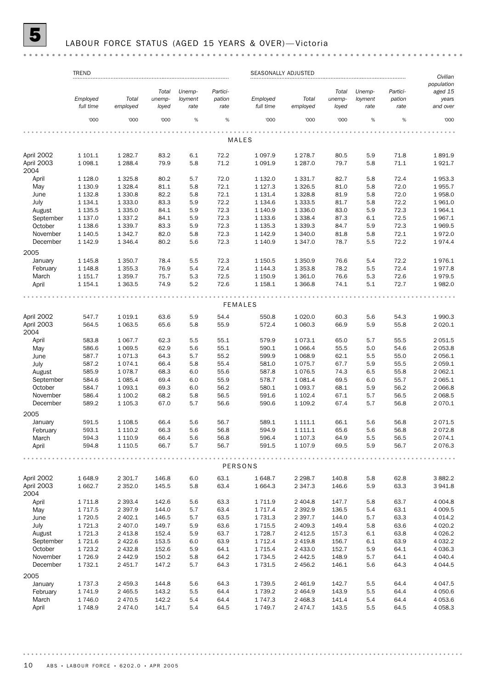## 5 LABOUR FORCE STATUS (AGED 15 YEARS & OVER)— Victoria

|                      | <b>TREND</b>         |                           |              |            |              | SEASONALLY ADJUSTED        |                        |              |            |              | Civilian<br>population   |
|----------------------|----------------------|---------------------------|--------------|------------|--------------|----------------------------|------------------------|--------------|------------|--------------|--------------------------|
|                      |                      |                           | Total        | Unemp-     | Partici-     |                            |                        | Total        | Unemp-     | Partici-     | aged 15                  |
|                      | Employed             | Total                     | unemp-       | loyment    | pation       | Employed                   | Total                  | unemp-       | loyment    | pation       | years                    |
|                      | full time            | employed                  | loyed        | rate       | rate         | full time                  | employed               | loyed        | rate       | rate         | and over                 |
|                      | '000                 | '000                      | '000         | %          | $\%$         | '000                       | '000                   | '000         | $\%$       | $\%$         | '000                     |
|                      |                      |                           |              |            |              |                            |                        |              |            |              |                          |
|                      |                      |                           |              |            |              | <b>MALES</b>               |                        |              |            |              |                          |
| April 2002           | 1 101.1              | 1 2 8 2.7                 | 83.2         | 6.1        | 72.2         | 1 0 9 7 .9                 | 1 278.7                | 80.5         | 5.9        | 71.8         | 1891.9                   |
| April 2003           | 1 0 98.1             | 1 2 8 8.4                 | 79.9         | 5.8        | 71.2         | 1 0 9 1.9                  | 1 287.0                | 79.7         | 5.8        | 71.1         | 1921.7                   |
| 2004                 |                      |                           |              |            |              |                            |                        |              |            |              |                          |
| April                | 1 1 28.0             | 1 3 2 5.8<br>1 3 28.4     | 80.2         | 5.7        | 72.0         | 1 132.0                    | 1 3 3 1 . 7            | 82.7         | 5.8        | 72.4         | 1953.3<br>1955.7         |
| May<br>June          | 1 1 3 0.9<br>1 132.8 | 1 3 3 0.8                 | 81.1<br>82.2 | 5.8<br>5.8 | 72.1<br>72.1 | 1 1 2 7 . 3<br>1 1 3 1 . 4 | 1 3 2 6 .5<br>1 3 28.8 | 81.0<br>81.9 | 5.8<br>5.8 | 72.0<br>72.0 | 1958.0                   |
| July                 | 1 1 3 4 . 1          | 1 3 3 3 . 0               | 83.3         | 5.9        | 72.2         | 1 1 3 4 . 6                | 1 3 3 3 .5             | 81.7         | 5.8        | 72.2         | 1961.0                   |
| August               | 1 1 3 5 . 5          | 1 3 3 5 . 0               | 84.1         | 5.9        | 72.3         | 1 140.9                    | 1 3 3 6 . 0            | 83.0         | 5.9        | 72.3         | 1964.1                   |
| September            | 1 137.0              | 1 3 3 7 . 2               | 84.1         | 5.9        | 72.3         | 1 1 3 3.6                  | 1 3 3 8.4              | 87.3         | 6.1        | 72.5         | 1967.1                   |
| October              | 1 1 38.6             | 1 3 3 9.7                 | 83.3         | 5.9        | 72.3         | 1 1 3 5 . 3                | 1 3 3 9 . 3            | 84.7         | 5.9        | 72.3         | 1969.5                   |
| November             | 1 140.5              | 1 3 4 2.7                 | 82.0         | 5.8        | 72.3         | 1 142.9                    | 1 340.0                | 81.8         | 5.8        | 72.1         | 1972.0                   |
| December             | 1 142.9              | 1 3 4 6.4                 | 80.2         | 5.6        | 72.3         | 1 140.9                    | 1 347.0                | 78.7         | 5.5        | 72.2         | 1974.4                   |
| 2005                 |                      |                           |              |            |              |                            |                        |              |            |              |                          |
| January              | 1 1 4 5 . 8          | 1 3 5 0.7                 | 78.4         | 5.5        | 72.3         | 1 1 5 0.5                  | 1 350.9                | 76.6         | 5.4        | 72.2         | 1976.1                   |
| February             | 1 1 48.8             | 1 3 5 5.3                 | 76.9         | 5.4        | 72.4         | 1 144.3                    | 1 3 5 3.8              | 78.2         | 5.5        | 72.4         | 1977.8                   |
| March                | 1 151.7              | 1 3 5 9.7                 | 75.7         | 5.3        | 72.5         | 1 1 5 0.9                  | 1 3 6 1 . 0            | 76.6         | 5.3        | 72.6         | 1979.5                   |
| April                | 1 154.1              | 1 3 6 3.5                 | 74.9         | 5.2        | 72.6         | 1 1 58.1                   | 1 366.8                | 74.1         | 5.1        | 72.7         | 1982.0                   |
|                      |                      |                           |              |            |              |                            |                        |              |            |              |                          |
|                      |                      |                           |              |            |              | <b>FEMALES</b>             |                        |              |            |              |                          |
| April 2002           | 547.7                | 1 0 1 9 . 1               | 63.6         | 5.9        | 54.4         | 550.8                      | 1 0 20.0               | 60.3         | 5.6        | 54.3         | 1990.3                   |
| April 2003<br>2004   | 564.5                | 1 0 6 3.5                 | 65.6         | 5.8        | 55.9         | 572.4                      | 1 060.3                | 66.9         | 5.9        | 55.8         | 2 0 2 0.1                |
| April                | 583.8                | 1 0 6 7 . 7               | 62.3         | 5.5        | 55.1         | 579.9                      | 1073.1                 | 65.0         | 5.7        | 55.5         | 2 0 5 1.5                |
| May                  | 586.6                | 1 0 6 9.5                 | 62.9         | 5.6        | 55.1         | 590.1                      | 1 0 66.4               | 55.5         | 5.0        | 54.6         | 2 053.8                  |
| June                 | 587.7                | 1071.3                    | 64.3         | 5.7        | 55.2         | 599.9                      | 1 0 68.9               | 62.1         | 5.5        | 55.0         | 2 056.1                  |
| July                 | 587.2                | 1074.1                    | 66.4         | 5.8        | 55.4         | 581.0                      | 1 0 7 5 . 7            | 67.7         | 5.9        | 55.5         | 2 059.1                  |
| August               | 585.9                | 1078.7                    | 68.3         | 6.0        | 55.6         | 587.8                      | 1076.5                 | 74.3         | 6.5        | 55.8         | 2 062.1                  |
| September            | 584.6                | 1 0 8 5.4                 | 69.4         | 6.0        | 55.9         | 578.7                      | 1 0 8 1 . 4            | 69.5         | 6.0        | 55.7         | 2 0 6 5.1<br>2 066.8     |
| October              | 584.7<br>586.4       | 1 0 9 3.1<br>1 100.2      | 69.3         | 6.0<br>5.8 | 56.2         | 580.1<br>591.6             | 1 0 9 3.7              | 68.1<br>67.1 | 5.9        | 56.2<br>56.5 | 2 068.5                  |
| November<br>December | 589.2                | 1 105.3                   | 68.2<br>67.0 | 5.7        | 56.5<br>56.6 | 590.6                      | 1 102.4<br>1 109.2     | 67.4         | 5.7<br>5.7 | 56.8         | 2 070.1                  |
|                      |                      |                           |              |            |              |                            |                        |              |            |              |                          |
| 2005                 |                      |                           |              |            |              |                            |                        |              |            |              |                          |
| January              | 591.5                | 1 1 08.5                  | 66.4         | 5.6        | 56.7         | 589.1                      | 1 111.1                | 66.1         | 5.6        | 56.8         | 2071.5                   |
| February             | 593.1                | 1 1 1 0 . 2               | 66.3         | 5.6        | 56.8         | 594.9                      | 1 111.1                | 65.6         | 5.6        | 56.8         | 2 0 7 2.8                |
| March<br>April       | 594.3<br>594.8       | 1 1 1 0 . 9<br>1 1 1 0 .5 | 66.4<br>66.7 | 5.6<br>5.7 | 56.8<br>56.7 | 596.4<br>591.5             | 1 107.3<br>1 107.9     | 64.9<br>69.5 | 5.5<br>5.9 | 56.5<br>56.7 | 2 0 7 4 . 1<br>2 0 7 6.3 |
|                      |                      |                           |              |            |              |                            |                        |              |            |              |                          |
|                      |                      |                           |              |            |              | PERSONS                    |                        |              |            |              |                          |
| April 2002           | 1 648.9              | 2 3 0 1.7                 | 146.8        | 6.0        | 63.1         | 1648.7                     | 2 2 9 8.7              | 140.8        | 5.8        | 62.8         | 3 8 8 2.2                |
| April 2003<br>2004   | 1 662.7              | 2 3 5 2.0                 | 145.5        | 5.8        | 63.4         | 1 664.3                    | 2 347.3                | 146.6        | 5.9        | 63.3         | 3 941.8                  |
| April                | 1 7 1 1.8            | 2 3 9 3.4                 | 142.6        | 5.6        | 63.3         | 1 7 1 1.9                  | 2 4 0 4.8              | 147.7        | 5.8        | 63.7         | 4 0 0 4.8                |
| May                  | 1 7 1 7 .5           | 2 3 9 7 . 9               | 144.0        | 5.7        | 63.4         | 1 7 1 7 .4                 | 2 3 9 2.9              | 136.5        | 5.4        | 63.1         | 4 0 0 9.5                |
| June                 | 1720.5               | 2 402.1                   | 146.5        | 5.7        | 63.5         | 1 7 3 1 . 3                | 2 3 9 7 . 7            | 144.0        | 5.7        | 63.3         | 4 0 14.2                 |
| July                 | 1 721.3              | 2 407.0                   | 149.7        | 5.9        | 63.6         | 1715.5                     | 2 409.3                | 149.4        | 5.8        | 63.6         | 4 0 20.2                 |
| August               | 1 721.3              | 2 4 1 3.8                 | 152.4        | 5.9        | 63.7         | 1728.7                     | 2 4 1 2.5              | 157.3        | 6.1        | 63.8         | 4 0 26.2                 |
| September            | 1721.6               | 2 4 2 2.6                 | 153.5        | 6.0        | 63.9         | 1 7 1 2 . 4                | 2 4 1 9.8              | 156.7        | 6.1        | 63.9         | 4 0 3 2.2                |
| October              | 1 723.2              | 2 4 3 2.8                 | 152.6        | 5.9        | 64.1         | 1 7 1 5 . 4                | 2 433.0                | 152.7        | 5.9        | 64.1         | 4 0 36.3                 |
| November             | 1726.9               | 2 4 4 2.9                 | 150.2        | 5.8        | 64.2         | 1734.5                     | 2 4 4 2.5              | 148.9        | 5.7        | 64.1         | 4 040.4                  |
| December             | 1 732.1              | 2 4 5 1.7                 | 147.2        | 5.7        | 64.3         | 1 7 3 1.5                  | 2 456.2                | 146.1        | 5.6        | 64.3         | 4 0 4 4 .5               |
| 2005                 |                      |                           |              |            |              |                            |                        |              |            |              |                          |
| January              | 1 737.3              | 2 459.3                   | 144.8        | 5.6        | 64.3         | 1739.5                     | 2 461.9                | 142.7        | 5.5        | 64.4         | 4 0 4 7 .5               |
| February             | 1 741.9              | 2 4 6 5.5                 | 143.2        | 5.5        | 64.4         | 1 739.2                    | 2 4 6 4 .9             | 143.9        | 5.5        | 64.4         | 4 0 5 0.6                |
| March                | 1746.0               | 2 4 7 0.5                 | 142.2        | 5.4        | 64.4         | 1 747.3                    | 2 4 68.3               | 141.4        | 5.4        | 64.4         | 4 0 5 3.6                |
| April                | 1748.9               | 2 474.0                   | 141.7        | 5.4        | 64.5         | 1 749.7                    | 2 474.7                | 143.5        | 5.5        | 64.5         | 4 0 58.3                 |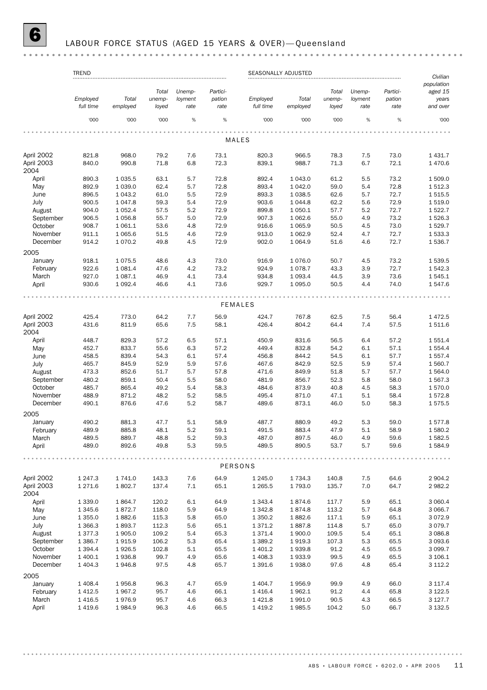## 6 LABOUR FORCE STATUS (AGED 15 YEARS & OVER)— Queensland

|                    | <b>TREND</b> |             |        |         |          |                | SEASONALLY ADJUSTED |        |         |          | Civilian              |
|--------------------|--------------|-------------|--------|---------|----------|----------------|---------------------|--------|---------|----------|-----------------------|
|                    |              |             | Total  | Unemp-  | Partici- |                |                     | Total  | Unemp-  | Partici- | population<br>aged 15 |
|                    | Employed     | Total       | unemp- | loyment | pation   | Employed       | Total               | unemp- | loyment | pation   | years                 |
|                    | full time    | employed    | loyed  | rate    | rate     | full time      | employed            | loyed  | rate    | rate     | and over              |
|                    | '000         | '000        | '000   | %       | %        | '000           | '000                | '000   | %       | %        | '000                  |
|                    |              |             |        |         |          |                |                     |        |         |          |                       |
|                    |              |             |        |         |          | MALES          |                     |        |         |          |                       |
| April 2002         | 821.8        | 968.0       | 79.2   | 7.6     | 73.1     | 820.3          | 966.5               | 78.3   | 7.5     | 73.0     | 1 4 3 1.7             |
| April 2003         | 840.0        | 990.8       | 71.8   | 6.8     | 72.3     | 839.1          | 988.7               | 71.3   | 6.7     | 72.1     | 1 470.6               |
| 2004               |              |             |        |         |          |                |                     |        |         |          |                       |
| April              | 890.3        | 1 0 3 5.5   | 63.1   | 5.7     | 72.8     | 892.4          | 1 043.0             | 61.2   | 5.5     | 73.2     | 1 509.0               |
| May                | 892.9        | 1 0 3 9.0   | 62.4   | 5.7     | 72.8     | 893.4          | 1 042.0             | 59.0   | 5.4     | 72.8     | 1512.3                |
| June               | 896.5        | 1 0 4 3 .2  | 61.0   | 5.5     | 72.9     | 893.3          | 1 0 38.5            | 62.6   | 5.7     | 72.7     | 1 515.5               |
| July               | 900.5        | 1 0 4 7 .8  | 59.3   | 5.4     | 72.9     | 903.6          | 1 0 4 4.8           | 62.2   | 5.6     | 72.9     | 1 519.0               |
| August             | 904.0        | 1 0 5 2.4   | 57.5   | 5.2     | 72.9     | 899.8          | 1 0 5 0.1           | 57.7   | 5.2     | 72.7     | 1522.7                |
| September          | 906.5        | 1056.8      | 55.7   | 5.0     | 72.9     | 907.3          | 1 0 6 2.6           | 55.0   | 4.9     | 73.2     | 1526.3                |
| October            | 908.7        | 1 0 6 1.1   | 53.6   | 4.8     | 72.9     | 916.6          | 1 0 6 5.9           | 50.5   | 4.5     | 73.0     | 1529.7                |
| November           | 911.1        | 1 0 6 5.6   | 51.5   | 4.6     | 72.9     | 913.0          | 1 0 6 2.9           | 52.4   | 4.7     | 72.7     | 1533.3                |
| December<br>2005   | 914.2        | 1070.2      | 49.8   | 4.5     | 72.9     | 902.0          | 1 0 6 4 .9          | 51.6   | 4.6     | 72.7     | 1536.7                |
| January            | 918.1        | 1075.5      | 48.6   | 4.3     | 73.0     | 916.9          | 1 0 7 6 .0          | 50.7   | 4.5     | 73.2     | 1 539.5               |
| February           | 922.6        | 1 0 8 1.4   | 47.6   | 4.2     | 73.2     | 924.9          | 1 0 78.7            | 43.3   | 3.9     | 72.7     | 1542.3                |
| March              | 927.0        | 1 0 8 7 . 1 | 46.9   | 4.1     | 73.4     | 934.8          | 1 0 9 3.4           | 44.5   | 3.9     | 73.6     | 1545.1                |
| April              | 930.6        | 1 0 9 2.4   | 46.6   | 4.1     | 73.6     | 929.7          | 1 0 9 5 . 0         | 50.5   | 4.4     | 74.0     | 1547.6                |
|                    |              |             |        |         |          |                |                     |        |         |          |                       |
|                    |              |             |        |         |          | <b>FEMALES</b> |                     |        |         |          |                       |
| April 2002         | 425.4        | 773.0       | 64.2   | 7.7     | 56.9     | 424.7          | 767.8               | 62.5   | 7.5     | 56.4     | 1 472.5               |
| April 2003<br>2004 | 431.6        | 811.9       | 65.6   | 7.5     | 58.1     | 426.4          | 804.2               | 64.4   | 7.4     | 57.5     | 1511.6                |
| April              | 448.7        | 829.3       | 57.2   | 6.5     | 57.1     | 450.9          | 831.6               | 56.5   | 6.4     | 57.2     | 1 551.4               |
| May                | 452.7        | 833.7       | 55.6   | 6.3     | 57.2     | 449.4          | 832.8               | 54.2   | 6.1     | 57.1     | 1554.4                |
| June               | 458.5        | 839.4       | 54.3   | 6.1     | 57.4     | 456.8          | 844.2               | 54.5   | 6.1     | 57.7     | 1 557.4               |
| July               | 465.7        | 845.9       | 52.9   | 5.9     | 57.6     | 467.6          | 842.9               | 52.5   | 5.9     | 57.4     | 1 560.7               |
| August             | 473.3        | 852.6       | 51.7   | 5.7     | 57.8     | 471.6          | 849.9               | 51.8   | 5.7     | 57.7     | 1564.0                |
| September          | 480.2        | 859.1       | 50.4   | 5.5     | 58.0     | 481.9          | 856.7               | 52.3   | 5.8     | 58.0     | 1 567.3               |
| October            | 485.7        | 865.4       | 49.2   | 5.4     | 58.3     | 484.6          | 873.9               | 40.8   | 4.5     | 58.3     | 1570.0                |
| November           | 488.9        | 871.2       | 48.2   | 5.2     | 58.5     | 495.4          | 871.0               | 47.1   | 5.1     | 58.4     | 1572.8                |
| December           | 490.1        | 876.6       | 47.6   | 5.2     | 58.7     | 489.6          | 873.1               | 46.0   | 5.0     | 58.3     | 1575.5                |
| 2005               |              |             |        |         |          |                |                     |        |         |          |                       |
| January            | 490.2        | 881.3       | 47.7   | 5.1     | 58.9     | 487.7          | 880.9               | 49.2   | 5.3     | 59.0     | 1577.8                |
| February           | 489.9        | 885.8       | 48.1   | 5.2     | 59.1     | 491.5          | 883.4               | 47.9   | 5.1     | 58.9     | 1 580.2               |
| March              | 489.5        | 889.7       | 48.8   | 5.2     | 59.3     | 487.0          | 897.5               | 46.0   | 4.9     | 59.6     | 1582.5                |
| April              | 489.0        | 892.6       | 49.8   | 5.3     | 59.5     | 489.5          | 890.5               | 53.7   | 5.7     | 59.6     | 1584.9                |
|                    |              |             |        |         |          | PERSONS        |                     |        |         |          |                       |
|                    |              |             |        |         |          |                |                     |        |         |          |                       |
| April 2002         | 1 247.3      | 1741.0      | 143.3  | 7.6     | 64.9     | 1 2 4 5 .0     | 1 7 3 4 . 3         | 140.8  | 7.5     | 64.6     | 2 904.2               |
| April 2003<br>2004 | 1 271.6      | 1802.7      | 137.4  | 7.1     | 65.1     | 1 2 6 5 .5     | 1793.0              | 135.7  | 7.0     | 64.7     | 2 982.2               |
| April              | 1 3 3 9 . 0  | 1864.7      | 120.2  | 6.1     | 64.9     | 1 3 4 3 . 4    | 1874.6              | 117.7  | 5.9     | 65.1     | 3 060.4               |
| May                | 1 345.6      | 1872.7      | 118.0  | 5.9     | 64.9     | 1342.8         | 1874.8              | 113.2  | 5.7     | 64.8     | 3 0 66.7              |
| June               | 1 3 5 5 . 0  | 1882.6      | 115.3  | 5.8     | 65.0     | 1 350.2        | 1882.6              | 117.1  | 5.9     | 65.1     | 3 0 7 2.9             |
| July               | 1 3 6 6.3    | 1893.7      | 112.3  | 5.6     | 65.1     | 1371.2         | 1887.8              | 114.8  | 5.7     | 65.0     | 3 0 7 9.7             |
| August             | 1 377.3      | 1905.0      | 109.2  | 5.4     | 65.3     | 1371.4         | 1 900.0             | 109.5  | 5.4     | 65.1     | 3 0 8 6.8             |
| September          | 1 3 8 6.7    | 1915.9      | 106.2  | 5.3     | 65.4     | 1 3 8 9.2      | 1919.3              | 107.3  | 5.3     | 65.5     | 3 093.6               |
| October            | 1 3 9 4 . 4  | 1926.5      | 102.8  | 5.1     | 65.5     | 1 401.2        | 1939.8              | 91.2   | 4.5     | 65.5     | 3 0 9 9.7             |
| November           | 1 400.1      | 1936.8      | 99.7   | 4.9     | 65.6     | 1 408.3        | 1933.9              | 99.5   | 4.9     | 65.5     | 3 106.1               |
| December           | 1 404.3      | 1946.8      | 97.5   | 4.8     | 65.7     | 1 3 9 1.6      | 1938.0              | 97.6   | 4.8     | 65.4     | 3 1 1 2 . 2           |
| 2005               |              |             |        |         |          |                |                     |        |         |          |                       |
| January            | 1 408.4      | 1956.8      | 96.3   | 4.7     | 65.9     | 1 404.7        | 1956.9              | 99.9   | 4.9     | 66.0     | 3 117.4               |
| February           | 1 4 1 2.5    | 1967.2      | 95.7   | 4.6     | 66.1     | 1416.4         | 1962.1              | 91.2   | 4.4     | 65.8     | 3 1 2 2.5             |
| March              | 1 4 1 6.5    | 1976.9      | 95.7   | 4.6     | 66.3     | 1 4 2 1.8      | 1991.0              | 90.5   | 4.3     | 66.5     | 3 127.7               |
| April              | 1419.6       | 1984.9      | 96.3   | 4.6     | 66.5     | 1 4 1 9.2      | 1985.5              | 104.2  | 5.0     | 66.7     | 3 132.5               |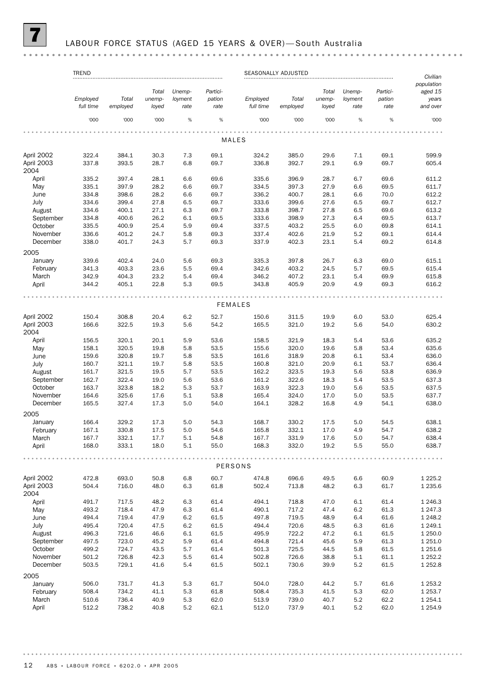## LABOUR FORCE STATUS (AGED 15 YEARS & OVER)-South Australia

| population<br>Total<br>Unemp-<br>Partici-<br>Total<br>Unemp-<br>Partici-<br>aged 15<br>pation<br>Employed<br>Total<br>unemp-<br>loyment<br>Employed<br>Total<br>unemp-<br>loyment<br>pation<br>years<br>full time<br>full time<br>employed<br>loyed<br>rate<br>employed<br>loyed<br>rate<br>and over<br>rate<br>rate<br>$\%$<br>$\%$<br>'000<br>$\%$<br>'000<br>'000<br>%<br>'000<br>'000<br>'000<br>'000<br>MALES<br>April 2002<br>322.4<br>384.1<br>30.3<br>7.3<br>69.1<br>324.2<br>385.0<br>29.6<br>7.1<br>69.1<br>599.9<br>April 2003<br>337.8<br>393.5<br>28.7<br>6.8<br>69.7<br>336.8<br>392.7<br>29.1<br>6.9<br>69.7<br>605.4<br>2004<br>April<br>69.6<br>335.2<br>397.4<br>28.1<br>6.6<br>335.6<br>396.9<br>28.7<br>6.7<br>69.6<br>611.2<br>May<br>335.1<br>397.9<br>28.2<br>397.3<br>611.7<br>6.6<br>69.7<br>334.5<br>27.9<br>6.6<br>69.5<br>334.8<br>398.6<br>28.2<br>6.6<br>69.7<br>336.2<br>400.7<br>28.1<br>6.6<br>70.0<br>612.2<br>June<br>July<br>334.6<br>399.4<br>27.8<br>6.5<br>69.7<br>333.6<br>399.6<br>27.6<br>6.5<br>69.7<br>612.7<br>6.3<br>333.8<br>613.2<br>334.6<br>400.1<br>27.1<br>69.7<br>398.7<br>27.8<br>6.5<br>69.6<br>August<br>September<br>334.8<br>400.6<br>26.2<br>6.1<br>69.5<br>333.6<br>398.9<br>27.3<br>613.7<br>6.4<br>69.5<br>October<br>335.5<br>400.9<br>5.9<br>337.5<br>403.2<br>25.4<br>69.4<br>25.5<br>6.0<br>69.8<br>614.1<br>November<br>336.6<br>401.2<br>24.7<br>5.8<br>69.3<br>337.4<br>402.6<br>21.9<br>5.2<br>69.1<br>614.4<br>December<br>338.0<br>5.7<br>69.3<br>337.9<br>402.3<br>23.1<br>5.4<br>69.2<br>401.7<br>24.3<br>614.8<br>2005<br>January<br>339.6<br>402.4<br>24.0<br>5.6<br>69.3<br>335.3<br>397.8<br>26.7<br>6.3<br>69.0<br>615.1<br>403.3<br>5.5<br>69.4<br>342.6<br>403.2<br>February<br>341.3<br>23.6<br>24.5<br>5.7<br>69.5<br>615.4<br>March<br>342.9<br>23.2<br>346.2<br>404.3<br>5.4<br>69.4<br>407.2<br>23.1<br>5.4<br>69.9<br>615.8<br>5.3<br>344.2<br>405.1<br>22.8<br>69.5<br>343.8<br>405.9<br>20.9<br>4.9<br>69.3<br>616.2<br>April<br><b>FEMALES</b><br>April 2002<br>308.8<br>6.2<br>52.7<br>53.0<br>625.4<br>150.4<br>20.4<br>150.6<br>311.5<br>19.9<br>6.0<br>April 2003<br>166.6<br>322.5<br>165.5<br>630.2<br>19.3<br>5.6<br>54.2<br>321.0<br>19.2<br>5.6<br>54.0<br>2004<br>April<br>156.5<br>320.1<br>20.1<br>5.9<br>53.6<br>158.5<br>321.9<br>18.3<br>5.4<br>53.6<br>635.2<br>5.8<br>May<br>158.1<br>320.5<br>19.8<br>5.8<br>53.5<br>155.6<br>320.0<br>19.6<br>53.4<br>635.6<br>159.6<br>320.8<br>19.7<br>5.8<br>53.5<br>161.6<br>318.9<br>20.8<br>53.4<br>636.0<br>June<br>6.1<br>July<br>6.1<br>160.7<br>321.1<br>19.7<br>5.8<br>53.5<br>160.8<br>321.0<br>20.9<br>53.7<br>636.4<br>161.7<br>321.5<br>19.5<br>5.7<br>53.5<br>162.2<br>323.5<br>19.3<br>5.6<br>53.8<br>636.9<br>August<br>September<br>162.7<br>322.4<br>322.6<br>637.3<br>19.0<br>5.6<br>53.6<br>161.2<br>18.3<br>5.4<br>53.5<br>October<br>163.7<br>323.8<br>5.3<br>163.9<br>322.3<br>637.5<br>18.2<br>53.7<br>19.0<br>5.6<br>53.5<br>325.6<br>5.1<br>53.8<br>165.4<br>324.0<br>53.5<br>637.7<br>November<br>164.6<br>17.6<br>17.0<br>5.0<br>December<br>165.5<br>327.4<br>17.3<br>5.0<br>54.0<br>164.1<br>328.2<br>16.8<br>4.9<br>54.1<br>638.0<br>2005<br>329.2<br>330.2<br>638.1<br>January<br>166.4<br>17.3<br>5.0<br>54.3<br>168.7<br>17.5<br>5.0<br>54.5<br>5.0<br>165.8<br>4.9<br>638.2<br>167.1<br>330.8<br>17.5<br>54.6<br>332.1<br>17.0<br>54.7<br>February<br>March<br>332.1<br>331.9<br>167.7<br>17.7<br>5.1<br>54.8<br>167.7<br>17.6<br>5.0<br>54.7<br>638.4<br>168.0<br>333.1<br>18.0<br>5.1<br>55.0<br>168.3<br>332.0<br>19.2<br>5.5<br>55.0<br>638.7<br>April<br>PERSONS<br>April 2002<br>472.8<br>693.0<br>60.7<br>49.5<br>60.9<br>50.8<br>6.8<br>474.8<br>696.6<br>6.6<br>1 2 2 5 . 2<br>April 2003<br>504.4<br>716.0<br>502.4<br>48.2<br>1 2 3 5.6<br>48.0<br>6.3<br>61.8<br>713.8<br>6.3<br>61.7<br>2004<br>April<br>491.7<br>48.2<br>6.3<br>61.4<br>718.8<br>61.4<br>1 2 4 6 . 3<br>717.5<br>494.1<br>47.0<br>6.1<br>493.2<br>718.4<br>61.4<br>717.2<br>6.2<br>May<br>47.9<br>6.3<br>490.1<br>47.4<br>61.3<br>1 247.3<br>June<br>494.4<br>719.4<br>47.9<br>6.2<br>61.5<br>497.8<br>719.5<br>48.9<br>6.4<br>61.6<br>1 248.2<br>495.4<br>494.4<br>6.3<br>1 2 4 9 . 1<br>July<br>720.4<br>47.5<br>6.2<br>61.5<br>720.6<br>48.5<br>61.6<br>721.6<br>6.1<br>722.2<br>47.2<br>6.1<br>1 250.0<br>August<br>496.3<br>46.6<br>61.5<br>495.9<br>61.5<br>September<br>497.5<br>723.0<br>45.2<br>5.9<br>494.8<br>5.9<br>1 251.0<br>61.4<br>721.4<br>45.6<br>61.3<br>499.2<br>43.5<br>1 2 5 1.6<br>October<br>724.7<br>5.7<br>61.4<br>501.3<br>725.5<br>44.5<br>5.8<br>61.5<br>November<br>501.2<br>726.8<br>42.3<br>5.5<br>61.4<br>502.8<br>726.6<br>5.1<br>38.8<br>61.1<br>1 252.2<br>December<br>503.5<br>729.1<br>41.6<br>5.4<br>61.5<br>502.1<br>730.6<br>39.9<br>5.2<br>61.5<br>1 2 5 2.8<br>2005<br>44.2<br>January<br>506.0<br>731.7<br>41.3<br>5.3<br>61.7<br>504.0<br>728.0<br>5.7<br>61.6<br>1 253.2<br>508.4<br>734.2<br>5.3<br>61.8<br>508.4<br>735.3<br>41.5<br>1 2 5 3 . 7<br>February<br>41.1<br>5.3<br>62.0<br>March<br>510.6<br>736.4<br>5.3<br>62.0<br>513.9<br>739.0<br>40.7<br>5.2<br>1 2 5 4 . 1<br>40.9<br>62.2<br>5.2<br>5.2<br>April<br>512.2<br>738.2<br>40.8<br>62.1<br>512.0<br>737.9<br>40.1<br>62.0<br>1 2 5 4 .9 | <b>TREND</b> |  |  | SEASONALLY ADJUSTED |  | Civilian |
|------------------------------------------------------------------------------------------------------------------------------------------------------------------------------------------------------------------------------------------------------------------------------------------------------------------------------------------------------------------------------------------------------------------------------------------------------------------------------------------------------------------------------------------------------------------------------------------------------------------------------------------------------------------------------------------------------------------------------------------------------------------------------------------------------------------------------------------------------------------------------------------------------------------------------------------------------------------------------------------------------------------------------------------------------------------------------------------------------------------------------------------------------------------------------------------------------------------------------------------------------------------------------------------------------------------------------------------------------------------------------------------------------------------------------------------------------------------------------------------------------------------------------------------------------------------------------------------------------------------------------------------------------------------------------------------------------------------------------------------------------------------------------------------------------------------------------------------------------------------------------------------------------------------------------------------------------------------------------------------------------------------------------------------------------------------------------------------------------------------------------------------------------------------------------------------------------------------------------------------------------------------------------------------------------------------------------------------------------------------------------------------------------------------------------------------------------------------------------------------------------------------------------------------------------------------------------------------------------------------------------------------------------------------------------------------------------------------------------------------------------------------------------------------------------------------------------------------------------------------------------------------------------------------------------------------------------------------------------------------------------------------------------------------------------------------------------------------------------------------------------------------------------------------------------------------------------------------------------------------------------------------------------------------------------------------------------------------------------------------------------------------------------------------------------------------------------------------------------------------------------------------------------------------------------------------------------------------------------------------------------------------------------------------------------------------------------------------------------------------------------------------------------------------------------------------------------------------------------------------------------------------------------------------------------------------------------------------------------------------------------------------------------------------------------------------------------------------------------------------------------------------------------------------------------------------------------------------------------------------------------------------------------------------------------------------------------------------------------------------------------------------------------------------------------------------------------------------------------------------------------------------------------------------------------------------------------------------------------------------------------------------------------------------------------------------------------------------------------------------------------------------------------------------------------------------------------------------------------------------------------------------------------------------------------------------------------------------------------------------------------------------------------------------------------------------------------------------------------------------------------------------------------------------------------------------------------------------------------------------------------------------------------------------------------------------------|--------------|--|--|---------------------|--|----------|
|                                                                                                                                                                                                                                                                                                                                                                                                                                                                                                                                                                                                                                                                                                                                                                                                                                                                                                                                                                                                                                                                                                                                                                                                                                                                                                                                                                                                                                                                                                                                                                                                                                                                                                                                                                                                                                                                                                                                                                                                                                                                                                                                                                                                                                                                                                                                                                                                                                                                                                                                                                                                                                                                                                                                                                                                                                                                                                                                                                                                                                                                                                                                                                                                                                                                                                                                                                                                                                                                                                                                                                                                                                                                                                                                                                                                                                                                                                                                                                                                                                                                                                                                                                                                                                                                                                                                                                                                                                                                                                                                                                                                                                                                                                                                                                                                                                                                                                                                                                                                                                                                                                                                                                                                                                                                                                                        |              |  |  |                     |  |          |
|                                                                                                                                                                                                                                                                                                                                                                                                                                                                                                                                                                                                                                                                                                                                                                                                                                                                                                                                                                                                                                                                                                                                                                                                                                                                                                                                                                                                                                                                                                                                                                                                                                                                                                                                                                                                                                                                                                                                                                                                                                                                                                                                                                                                                                                                                                                                                                                                                                                                                                                                                                                                                                                                                                                                                                                                                                                                                                                                                                                                                                                                                                                                                                                                                                                                                                                                                                                                                                                                                                                                                                                                                                                                                                                                                                                                                                                                                                                                                                                                                                                                                                                                                                                                                                                                                                                                                                                                                                                                                                                                                                                                                                                                                                                                                                                                                                                                                                                                                                                                                                                                                                                                                                                                                                                                                                                        |              |  |  |                     |  |          |
|                                                                                                                                                                                                                                                                                                                                                                                                                                                                                                                                                                                                                                                                                                                                                                                                                                                                                                                                                                                                                                                                                                                                                                                                                                                                                                                                                                                                                                                                                                                                                                                                                                                                                                                                                                                                                                                                                                                                                                                                                                                                                                                                                                                                                                                                                                                                                                                                                                                                                                                                                                                                                                                                                                                                                                                                                                                                                                                                                                                                                                                                                                                                                                                                                                                                                                                                                                                                                                                                                                                                                                                                                                                                                                                                                                                                                                                                                                                                                                                                                                                                                                                                                                                                                                                                                                                                                                                                                                                                                                                                                                                                                                                                                                                                                                                                                                                                                                                                                                                                                                                                                                                                                                                                                                                                                                                        |              |  |  |                     |  |          |
|                                                                                                                                                                                                                                                                                                                                                                                                                                                                                                                                                                                                                                                                                                                                                                                                                                                                                                                                                                                                                                                                                                                                                                                                                                                                                                                                                                                                                                                                                                                                                                                                                                                                                                                                                                                                                                                                                                                                                                                                                                                                                                                                                                                                                                                                                                                                                                                                                                                                                                                                                                                                                                                                                                                                                                                                                                                                                                                                                                                                                                                                                                                                                                                                                                                                                                                                                                                                                                                                                                                                                                                                                                                                                                                                                                                                                                                                                                                                                                                                                                                                                                                                                                                                                                                                                                                                                                                                                                                                                                                                                                                                                                                                                                                                                                                                                                                                                                                                                                                                                                                                                                                                                                                                                                                                                                                        |              |  |  |                     |  |          |
|                                                                                                                                                                                                                                                                                                                                                                                                                                                                                                                                                                                                                                                                                                                                                                                                                                                                                                                                                                                                                                                                                                                                                                                                                                                                                                                                                                                                                                                                                                                                                                                                                                                                                                                                                                                                                                                                                                                                                                                                                                                                                                                                                                                                                                                                                                                                                                                                                                                                                                                                                                                                                                                                                                                                                                                                                                                                                                                                                                                                                                                                                                                                                                                                                                                                                                                                                                                                                                                                                                                                                                                                                                                                                                                                                                                                                                                                                                                                                                                                                                                                                                                                                                                                                                                                                                                                                                                                                                                                                                                                                                                                                                                                                                                                                                                                                                                                                                                                                                                                                                                                                                                                                                                                                                                                                                                        |              |  |  |                     |  |          |
|                                                                                                                                                                                                                                                                                                                                                                                                                                                                                                                                                                                                                                                                                                                                                                                                                                                                                                                                                                                                                                                                                                                                                                                                                                                                                                                                                                                                                                                                                                                                                                                                                                                                                                                                                                                                                                                                                                                                                                                                                                                                                                                                                                                                                                                                                                                                                                                                                                                                                                                                                                                                                                                                                                                                                                                                                                                                                                                                                                                                                                                                                                                                                                                                                                                                                                                                                                                                                                                                                                                                                                                                                                                                                                                                                                                                                                                                                                                                                                                                                                                                                                                                                                                                                                                                                                                                                                                                                                                                                                                                                                                                                                                                                                                                                                                                                                                                                                                                                                                                                                                                                                                                                                                                                                                                                                                        |              |  |  |                     |  |          |
|                                                                                                                                                                                                                                                                                                                                                                                                                                                                                                                                                                                                                                                                                                                                                                                                                                                                                                                                                                                                                                                                                                                                                                                                                                                                                                                                                                                                                                                                                                                                                                                                                                                                                                                                                                                                                                                                                                                                                                                                                                                                                                                                                                                                                                                                                                                                                                                                                                                                                                                                                                                                                                                                                                                                                                                                                                                                                                                                                                                                                                                                                                                                                                                                                                                                                                                                                                                                                                                                                                                                                                                                                                                                                                                                                                                                                                                                                                                                                                                                                                                                                                                                                                                                                                                                                                                                                                                                                                                                                                                                                                                                                                                                                                                                                                                                                                                                                                                                                                                                                                                                                                                                                                                                                                                                                                                        |              |  |  |                     |  |          |
|                                                                                                                                                                                                                                                                                                                                                                                                                                                                                                                                                                                                                                                                                                                                                                                                                                                                                                                                                                                                                                                                                                                                                                                                                                                                                                                                                                                                                                                                                                                                                                                                                                                                                                                                                                                                                                                                                                                                                                                                                                                                                                                                                                                                                                                                                                                                                                                                                                                                                                                                                                                                                                                                                                                                                                                                                                                                                                                                                                                                                                                                                                                                                                                                                                                                                                                                                                                                                                                                                                                                                                                                                                                                                                                                                                                                                                                                                                                                                                                                                                                                                                                                                                                                                                                                                                                                                                                                                                                                                                                                                                                                                                                                                                                                                                                                                                                                                                                                                                                                                                                                                                                                                                                                                                                                                                                        |              |  |  |                     |  |          |
|                                                                                                                                                                                                                                                                                                                                                                                                                                                                                                                                                                                                                                                                                                                                                                                                                                                                                                                                                                                                                                                                                                                                                                                                                                                                                                                                                                                                                                                                                                                                                                                                                                                                                                                                                                                                                                                                                                                                                                                                                                                                                                                                                                                                                                                                                                                                                                                                                                                                                                                                                                                                                                                                                                                                                                                                                                                                                                                                                                                                                                                                                                                                                                                                                                                                                                                                                                                                                                                                                                                                                                                                                                                                                                                                                                                                                                                                                                                                                                                                                                                                                                                                                                                                                                                                                                                                                                                                                                                                                                                                                                                                                                                                                                                                                                                                                                                                                                                                                                                                                                                                                                                                                                                                                                                                                                                        |              |  |  |                     |  |          |
|                                                                                                                                                                                                                                                                                                                                                                                                                                                                                                                                                                                                                                                                                                                                                                                                                                                                                                                                                                                                                                                                                                                                                                                                                                                                                                                                                                                                                                                                                                                                                                                                                                                                                                                                                                                                                                                                                                                                                                                                                                                                                                                                                                                                                                                                                                                                                                                                                                                                                                                                                                                                                                                                                                                                                                                                                                                                                                                                                                                                                                                                                                                                                                                                                                                                                                                                                                                                                                                                                                                                                                                                                                                                                                                                                                                                                                                                                                                                                                                                                                                                                                                                                                                                                                                                                                                                                                                                                                                                                                                                                                                                                                                                                                                                                                                                                                                                                                                                                                                                                                                                                                                                                                                                                                                                                                                        |              |  |  |                     |  |          |
|                                                                                                                                                                                                                                                                                                                                                                                                                                                                                                                                                                                                                                                                                                                                                                                                                                                                                                                                                                                                                                                                                                                                                                                                                                                                                                                                                                                                                                                                                                                                                                                                                                                                                                                                                                                                                                                                                                                                                                                                                                                                                                                                                                                                                                                                                                                                                                                                                                                                                                                                                                                                                                                                                                                                                                                                                                                                                                                                                                                                                                                                                                                                                                                                                                                                                                                                                                                                                                                                                                                                                                                                                                                                                                                                                                                                                                                                                                                                                                                                                                                                                                                                                                                                                                                                                                                                                                                                                                                                                                                                                                                                                                                                                                                                                                                                                                                                                                                                                                                                                                                                                                                                                                                                                                                                                                                        |              |  |  |                     |  |          |
|                                                                                                                                                                                                                                                                                                                                                                                                                                                                                                                                                                                                                                                                                                                                                                                                                                                                                                                                                                                                                                                                                                                                                                                                                                                                                                                                                                                                                                                                                                                                                                                                                                                                                                                                                                                                                                                                                                                                                                                                                                                                                                                                                                                                                                                                                                                                                                                                                                                                                                                                                                                                                                                                                                                                                                                                                                                                                                                                                                                                                                                                                                                                                                                                                                                                                                                                                                                                                                                                                                                                                                                                                                                                                                                                                                                                                                                                                                                                                                                                                                                                                                                                                                                                                                                                                                                                                                                                                                                                                                                                                                                                                                                                                                                                                                                                                                                                                                                                                                                                                                                                                                                                                                                                                                                                                                                        |              |  |  |                     |  |          |
|                                                                                                                                                                                                                                                                                                                                                                                                                                                                                                                                                                                                                                                                                                                                                                                                                                                                                                                                                                                                                                                                                                                                                                                                                                                                                                                                                                                                                                                                                                                                                                                                                                                                                                                                                                                                                                                                                                                                                                                                                                                                                                                                                                                                                                                                                                                                                                                                                                                                                                                                                                                                                                                                                                                                                                                                                                                                                                                                                                                                                                                                                                                                                                                                                                                                                                                                                                                                                                                                                                                                                                                                                                                                                                                                                                                                                                                                                                                                                                                                                                                                                                                                                                                                                                                                                                                                                                                                                                                                                                                                                                                                                                                                                                                                                                                                                                                                                                                                                                                                                                                                                                                                                                                                                                                                                                                        |              |  |  |                     |  |          |
|                                                                                                                                                                                                                                                                                                                                                                                                                                                                                                                                                                                                                                                                                                                                                                                                                                                                                                                                                                                                                                                                                                                                                                                                                                                                                                                                                                                                                                                                                                                                                                                                                                                                                                                                                                                                                                                                                                                                                                                                                                                                                                                                                                                                                                                                                                                                                                                                                                                                                                                                                                                                                                                                                                                                                                                                                                                                                                                                                                                                                                                                                                                                                                                                                                                                                                                                                                                                                                                                                                                                                                                                                                                                                                                                                                                                                                                                                                                                                                                                                                                                                                                                                                                                                                                                                                                                                                                                                                                                                                                                                                                                                                                                                                                                                                                                                                                                                                                                                                                                                                                                                                                                                                                                                                                                                                                        |              |  |  |                     |  |          |
|                                                                                                                                                                                                                                                                                                                                                                                                                                                                                                                                                                                                                                                                                                                                                                                                                                                                                                                                                                                                                                                                                                                                                                                                                                                                                                                                                                                                                                                                                                                                                                                                                                                                                                                                                                                                                                                                                                                                                                                                                                                                                                                                                                                                                                                                                                                                                                                                                                                                                                                                                                                                                                                                                                                                                                                                                                                                                                                                                                                                                                                                                                                                                                                                                                                                                                                                                                                                                                                                                                                                                                                                                                                                                                                                                                                                                                                                                                                                                                                                                                                                                                                                                                                                                                                                                                                                                                                                                                                                                                                                                                                                                                                                                                                                                                                                                                                                                                                                                                                                                                                                                                                                                                                                                                                                                                                        |              |  |  |                     |  |          |
|                                                                                                                                                                                                                                                                                                                                                                                                                                                                                                                                                                                                                                                                                                                                                                                                                                                                                                                                                                                                                                                                                                                                                                                                                                                                                                                                                                                                                                                                                                                                                                                                                                                                                                                                                                                                                                                                                                                                                                                                                                                                                                                                                                                                                                                                                                                                                                                                                                                                                                                                                                                                                                                                                                                                                                                                                                                                                                                                                                                                                                                                                                                                                                                                                                                                                                                                                                                                                                                                                                                                                                                                                                                                                                                                                                                                                                                                                                                                                                                                                                                                                                                                                                                                                                                                                                                                                                                                                                                                                                                                                                                                                                                                                                                                                                                                                                                                                                                                                                                                                                                                                                                                                                                                                                                                                                                        |              |  |  |                     |  |          |
|                                                                                                                                                                                                                                                                                                                                                                                                                                                                                                                                                                                                                                                                                                                                                                                                                                                                                                                                                                                                                                                                                                                                                                                                                                                                                                                                                                                                                                                                                                                                                                                                                                                                                                                                                                                                                                                                                                                                                                                                                                                                                                                                                                                                                                                                                                                                                                                                                                                                                                                                                                                                                                                                                                                                                                                                                                                                                                                                                                                                                                                                                                                                                                                                                                                                                                                                                                                                                                                                                                                                                                                                                                                                                                                                                                                                                                                                                                                                                                                                                                                                                                                                                                                                                                                                                                                                                                                                                                                                                                                                                                                                                                                                                                                                                                                                                                                                                                                                                                                                                                                                                                                                                                                                                                                                                                                        |              |  |  |                     |  |          |
|                                                                                                                                                                                                                                                                                                                                                                                                                                                                                                                                                                                                                                                                                                                                                                                                                                                                                                                                                                                                                                                                                                                                                                                                                                                                                                                                                                                                                                                                                                                                                                                                                                                                                                                                                                                                                                                                                                                                                                                                                                                                                                                                                                                                                                                                                                                                                                                                                                                                                                                                                                                                                                                                                                                                                                                                                                                                                                                                                                                                                                                                                                                                                                                                                                                                                                                                                                                                                                                                                                                                                                                                                                                                                                                                                                                                                                                                                                                                                                                                                                                                                                                                                                                                                                                                                                                                                                                                                                                                                                                                                                                                                                                                                                                                                                                                                                                                                                                                                                                                                                                                                                                                                                                                                                                                                                                        |              |  |  |                     |  |          |
|                                                                                                                                                                                                                                                                                                                                                                                                                                                                                                                                                                                                                                                                                                                                                                                                                                                                                                                                                                                                                                                                                                                                                                                                                                                                                                                                                                                                                                                                                                                                                                                                                                                                                                                                                                                                                                                                                                                                                                                                                                                                                                                                                                                                                                                                                                                                                                                                                                                                                                                                                                                                                                                                                                                                                                                                                                                                                                                                                                                                                                                                                                                                                                                                                                                                                                                                                                                                                                                                                                                                                                                                                                                                                                                                                                                                                                                                                                                                                                                                                                                                                                                                                                                                                                                                                                                                                                                                                                                                                                                                                                                                                                                                                                                                                                                                                                                                                                                                                                                                                                                                                                                                                                                                                                                                                                                        |              |  |  |                     |  |          |
|                                                                                                                                                                                                                                                                                                                                                                                                                                                                                                                                                                                                                                                                                                                                                                                                                                                                                                                                                                                                                                                                                                                                                                                                                                                                                                                                                                                                                                                                                                                                                                                                                                                                                                                                                                                                                                                                                                                                                                                                                                                                                                                                                                                                                                                                                                                                                                                                                                                                                                                                                                                                                                                                                                                                                                                                                                                                                                                                                                                                                                                                                                                                                                                                                                                                                                                                                                                                                                                                                                                                                                                                                                                                                                                                                                                                                                                                                                                                                                                                                                                                                                                                                                                                                                                                                                                                                                                                                                                                                                                                                                                                                                                                                                                                                                                                                                                                                                                                                                                                                                                                                                                                                                                                                                                                                                                        |              |  |  |                     |  |          |
|                                                                                                                                                                                                                                                                                                                                                                                                                                                                                                                                                                                                                                                                                                                                                                                                                                                                                                                                                                                                                                                                                                                                                                                                                                                                                                                                                                                                                                                                                                                                                                                                                                                                                                                                                                                                                                                                                                                                                                                                                                                                                                                                                                                                                                                                                                                                                                                                                                                                                                                                                                                                                                                                                                                                                                                                                                                                                                                                                                                                                                                                                                                                                                                                                                                                                                                                                                                                                                                                                                                                                                                                                                                                                                                                                                                                                                                                                                                                                                                                                                                                                                                                                                                                                                                                                                                                                                                                                                                                                                                                                                                                                                                                                                                                                                                                                                                                                                                                                                                                                                                                                                                                                                                                                                                                                                                        |              |  |  |                     |  |          |
|                                                                                                                                                                                                                                                                                                                                                                                                                                                                                                                                                                                                                                                                                                                                                                                                                                                                                                                                                                                                                                                                                                                                                                                                                                                                                                                                                                                                                                                                                                                                                                                                                                                                                                                                                                                                                                                                                                                                                                                                                                                                                                                                                                                                                                                                                                                                                                                                                                                                                                                                                                                                                                                                                                                                                                                                                                                                                                                                                                                                                                                                                                                                                                                                                                                                                                                                                                                                                                                                                                                                                                                                                                                                                                                                                                                                                                                                                                                                                                                                                                                                                                                                                                                                                                                                                                                                                                                                                                                                                                                                                                                                                                                                                                                                                                                                                                                                                                                                                                                                                                                                                                                                                                                                                                                                                                                        |              |  |  |                     |  |          |
|                                                                                                                                                                                                                                                                                                                                                                                                                                                                                                                                                                                                                                                                                                                                                                                                                                                                                                                                                                                                                                                                                                                                                                                                                                                                                                                                                                                                                                                                                                                                                                                                                                                                                                                                                                                                                                                                                                                                                                                                                                                                                                                                                                                                                                                                                                                                                                                                                                                                                                                                                                                                                                                                                                                                                                                                                                                                                                                                                                                                                                                                                                                                                                                                                                                                                                                                                                                                                                                                                                                                                                                                                                                                                                                                                                                                                                                                                                                                                                                                                                                                                                                                                                                                                                                                                                                                                                                                                                                                                                                                                                                                                                                                                                                                                                                                                                                                                                                                                                                                                                                                                                                                                                                                                                                                                                                        |              |  |  |                     |  |          |
|                                                                                                                                                                                                                                                                                                                                                                                                                                                                                                                                                                                                                                                                                                                                                                                                                                                                                                                                                                                                                                                                                                                                                                                                                                                                                                                                                                                                                                                                                                                                                                                                                                                                                                                                                                                                                                                                                                                                                                                                                                                                                                                                                                                                                                                                                                                                                                                                                                                                                                                                                                                                                                                                                                                                                                                                                                                                                                                                                                                                                                                                                                                                                                                                                                                                                                                                                                                                                                                                                                                                                                                                                                                                                                                                                                                                                                                                                                                                                                                                                                                                                                                                                                                                                                                                                                                                                                                                                                                                                                                                                                                                                                                                                                                                                                                                                                                                                                                                                                                                                                                                                                                                                                                                                                                                                                                        |              |  |  |                     |  |          |
|                                                                                                                                                                                                                                                                                                                                                                                                                                                                                                                                                                                                                                                                                                                                                                                                                                                                                                                                                                                                                                                                                                                                                                                                                                                                                                                                                                                                                                                                                                                                                                                                                                                                                                                                                                                                                                                                                                                                                                                                                                                                                                                                                                                                                                                                                                                                                                                                                                                                                                                                                                                                                                                                                                                                                                                                                                                                                                                                                                                                                                                                                                                                                                                                                                                                                                                                                                                                                                                                                                                                                                                                                                                                                                                                                                                                                                                                                                                                                                                                                                                                                                                                                                                                                                                                                                                                                                                                                                                                                                                                                                                                                                                                                                                                                                                                                                                                                                                                                                                                                                                                                                                                                                                                                                                                                                                        |              |  |  |                     |  |          |
|                                                                                                                                                                                                                                                                                                                                                                                                                                                                                                                                                                                                                                                                                                                                                                                                                                                                                                                                                                                                                                                                                                                                                                                                                                                                                                                                                                                                                                                                                                                                                                                                                                                                                                                                                                                                                                                                                                                                                                                                                                                                                                                                                                                                                                                                                                                                                                                                                                                                                                                                                                                                                                                                                                                                                                                                                                                                                                                                                                                                                                                                                                                                                                                                                                                                                                                                                                                                                                                                                                                                                                                                                                                                                                                                                                                                                                                                                                                                                                                                                                                                                                                                                                                                                                                                                                                                                                                                                                                                                                                                                                                                                                                                                                                                                                                                                                                                                                                                                                                                                                                                                                                                                                                                                                                                                                                        |              |  |  |                     |  |          |
|                                                                                                                                                                                                                                                                                                                                                                                                                                                                                                                                                                                                                                                                                                                                                                                                                                                                                                                                                                                                                                                                                                                                                                                                                                                                                                                                                                                                                                                                                                                                                                                                                                                                                                                                                                                                                                                                                                                                                                                                                                                                                                                                                                                                                                                                                                                                                                                                                                                                                                                                                                                                                                                                                                                                                                                                                                                                                                                                                                                                                                                                                                                                                                                                                                                                                                                                                                                                                                                                                                                                                                                                                                                                                                                                                                                                                                                                                                                                                                                                                                                                                                                                                                                                                                                                                                                                                                                                                                                                                                                                                                                                                                                                                                                                                                                                                                                                                                                                                                                                                                                                                                                                                                                                                                                                                                                        |              |  |  |                     |  |          |
|                                                                                                                                                                                                                                                                                                                                                                                                                                                                                                                                                                                                                                                                                                                                                                                                                                                                                                                                                                                                                                                                                                                                                                                                                                                                                                                                                                                                                                                                                                                                                                                                                                                                                                                                                                                                                                                                                                                                                                                                                                                                                                                                                                                                                                                                                                                                                                                                                                                                                                                                                                                                                                                                                                                                                                                                                                                                                                                                                                                                                                                                                                                                                                                                                                                                                                                                                                                                                                                                                                                                                                                                                                                                                                                                                                                                                                                                                                                                                                                                                                                                                                                                                                                                                                                                                                                                                                                                                                                                                                                                                                                                                                                                                                                                                                                                                                                                                                                                                                                                                                                                                                                                                                                                                                                                                                                        |              |  |  |                     |  |          |
|                                                                                                                                                                                                                                                                                                                                                                                                                                                                                                                                                                                                                                                                                                                                                                                                                                                                                                                                                                                                                                                                                                                                                                                                                                                                                                                                                                                                                                                                                                                                                                                                                                                                                                                                                                                                                                                                                                                                                                                                                                                                                                                                                                                                                                                                                                                                                                                                                                                                                                                                                                                                                                                                                                                                                                                                                                                                                                                                                                                                                                                                                                                                                                                                                                                                                                                                                                                                                                                                                                                                                                                                                                                                                                                                                                                                                                                                                                                                                                                                                                                                                                                                                                                                                                                                                                                                                                                                                                                                                                                                                                                                                                                                                                                                                                                                                                                                                                                                                                                                                                                                                                                                                                                                                                                                                                                        |              |  |  |                     |  |          |
|                                                                                                                                                                                                                                                                                                                                                                                                                                                                                                                                                                                                                                                                                                                                                                                                                                                                                                                                                                                                                                                                                                                                                                                                                                                                                                                                                                                                                                                                                                                                                                                                                                                                                                                                                                                                                                                                                                                                                                                                                                                                                                                                                                                                                                                                                                                                                                                                                                                                                                                                                                                                                                                                                                                                                                                                                                                                                                                                                                                                                                                                                                                                                                                                                                                                                                                                                                                                                                                                                                                                                                                                                                                                                                                                                                                                                                                                                                                                                                                                                                                                                                                                                                                                                                                                                                                                                                                                                                                                                                                                                                                                                                                                                                                                                                                                                                                                                                                                                                                                                                                                                                                                                                                                                                                                                                                        |              |  |  |                     |  |          |
|                                                                                                                                                                                                                                                                                                                                                                                                                                                                                                                                                                                                                                                                                                                                                                                                                                                                                                                                                                                                                                                                                                                                                                                                                                                                                                                                                                                                                                                                                                                                                                                                                                                                                                                                                                                                                                                                                                                                                                                                                                                                                                                                                                                                                                                                                                                                                                                                                                                                                                                                                                                                                                                                                                                                                                                                                                                                                                                                                                                                                                                                                                                                                                                                                                                                                                                                                                                                                                                                                                                                                                                                                                                                                                                                                                                                                                                                                                                                                                                                                                                                                                                                                                                                                                                                                                                                                                                                                                                                                                                                                                                                                                                                                                                                                                                                                                                                                                                                                                                                                                                                                                                                                                                                                                                                                                                        |              |  |  |                     |  |          |
|                                                                                                                                                                                                                                                                                                                                                                                                                                                                                                                                                                                                                                                                                                                                                                                                                                                                                                                                                                                                                                                                                                                                                                                                                                                                                                                                                                                                                                                                                                                                                                                                                                                                                                                                                                                                                                                                                                                                                                                                                                                                                                                                                                                                                                                                                                                                                                                                                                                                                                                                                                                                                                                                                                                                                                                                                                                                                                                                                                                                                                                                                                                                                                                                                                                                                                                                                                                                                                                                                                                                                                                                                                                                                                                                                                                                                                                                                                                                                                                                                                                                                                                                                                                                                                                                                                                                                                                                                                                                                                                                                                                                                                                                                                                                                                                                                                                                                                                                                                                                                                                                                                                                                                                                                                                                                                                        |              |  |  |                     |  |          |
|                                                                                                                                                                                                                                                                                                                                                                                                                                                                                                                                                                                                                                                                                                                                                                                                                                                                                                                                                                                                                                                                                                                                                                                                                                                                                                                                                                                                                                                                                                                                                                                                                                                                                                                                                                                                                                                                                                                                                                                                                                                                                                                                                                                                                                                                                                                                                                                                                                                                                                                                                                                                                                                                                                                                                                                                                                                                                                                                                                                                                                                                                                                                                                                                                                                                                                                                                                                                                                                                                                                                                                                                                                                                                                                                                                                                                                                                                                                                                                                                                                                                                                                                                                                                                                                                                                                                                                                                                                                                                                                                                                                                                                                                                                                                                                                                                                                                                                                                                                                                                                                                                                                                                                                                                                                                                                                        |              |  |  |                     |  |          |
|                                                                                                                                                                                                                                                                                                                                                                                                                                                                                                                                                                                                                                                                                                                                                                                                                                                                                                                                                                                                                                                                                                                                                                                                                                                                                                                                                                                                                                                                                                                                                                                                                                                                                                                                                                                                                                                                                                                                                                                                                                                                                                                                                                                                                                                                                                                                                                                                                                                                                                                                                                                                                                                                                                                                                                                                                                                                                                                                                                                                                                                                                                                                                                                                                                                                                                                                                                                                                                                                                                                                                                                                                                                                                                                                                                                                                                                                                                                                                                                                                                                                                                                                                                                                                                                                                                                                                                                                                                                                                                                                                                                                                                                                                                                                                                                                                                                                                                                                                                                                                                                                                                                                                                                                                                                                                                                        |              |  |  |                     |  |          |
|                                                                                                                                                                                                                                                                                                                                                                                                                                                                                                                                                                                                                                                                                                                                                                                                                                                                                                                                                                                                                                                                                                                                                                                                                                                                                                                                                                                                                                                                                                                                                                                                                                                                                                                                                                                                                                                                                                                                                                                                                                                                                                                                                                                                                                                                                                                                                                                                                                                                                                                                                                                                                                                                                                                                                                                                                                                                                                                                                                                                                                                                                                                                                                                                                                                                                                                                                                                                                                                                                                                                                                                                                                                                                                                                                                                                                                                                                                                                                                                                                                                                                                                                                                                                                                                                                                                                                                                                                                                                                                                                                                                                                                                                                                                                                                                                                                                                                                                                                                                                                                                                                                                                                                                                                                                                                                                        |              |  |  |                     |  |          |
|                                                                                                                                                                                                                                                                                                                                                                                                                                                                                                                                                                                                                                                                                                                                                                                                                                                                                                                                                                                                                                                                                                                                                                                                                                                                                                                                                                                                                                                                                                                                                                                                                                                                                                                                                                                                                                                                                                                                                                                                                                                                                                                                                                                                                                                                                                                                                                                                                                                                                                                                                                                                                                                                                                                                                                                                                                                                                                                                                                                                                                                                                                                                                                                                                                                                                                                                                                                                                                                                                                                                                                                                                                                                                                                                                                                                                                                                                                                                                                                                                                                                                                                                                                                                                                                                                                                                                                                                                                                                                                                                                                                                                                                                                                                                                                                                                                                                                                                                                                                                                                                                                                                                                                                                                                                                                                                        |              |  |  |                     |  |          |
|                                                                                                                                                                                                                                                                                                                                                                                                                                                                                                                                                                                                                                                                                                                                                                                                                                                                                                                                                                                                                                                                                                                                                                                                                                                                                                                                                                                                                                                                                                                                                                                                                                                                                                                                                                                                                                                                                                                                                                                                                                                                                                                                                                                                                                                                                                                                                                                                                                                                                                                                                                                                                                                                                                                                                                                                                                                                                                                                                                                                                                                                                                                                                                                                                                                                                                                                                                                                                                                                                                                                                                                                                                                                                                                                                                                                                                                                                                                                                                                                                                                                                                                                                                                                                                                                                                                                                                                                                                                                                                                                                                                                                                                                                                                                                                                                                                                                                                                                                                                                                                                                                                                                                                                                                                                                                                                        |              |  |  |                     |  |          |
|                                                                                                                                                                                                                                                                                                                                                                                                                                                                                                                                                                                                                                                                                                                                                                                                                                                                                                                                                                                                                                                                                                                                                                                                                                                                                                                                                                                                                                                                                                                                                                                                                                                                                                                                                                                                                                                                                                                                                                                                                                                                                                                                                                                                                                                                                                                                                                                                                                                                                                                                                                                                                                                                                                                                                                                                                                                                                                                                                                                                                                                                                                                                                                                                                                                                                                                                                                                                                                                                                                                                                                                                                                                                                                                                                                                                                                                                                                                                                                                                                                                                                                                                                                                                                                                                                                                                                                                                                                                                                                                                                                                                                                                                                                                                                                                                                                                                                                                                                                                                                                                                                                                                                                                                                                                                                                                        |              |  |  |                     |  |          |
|                                                                                                                                                                                                                                                                                                                                                                                                                                                                                                                                                                                                                                                                                                                                                                                                                                                                                                                                                                                                                                                                                                                                                                                                                                                                                                                                                                                                                                                                                                                                                                                                                                                                                                                                                                                                                                                                                                                                                                                                                                                                                                                                                                                                                                                                                                                                                                                                                                                                                                                                                                                                                                                                                                                                                                                                                                                                                                                                                                                                                                                                                                                                                                                                                                                                                                                                                                                                                                                                                                                                                                                                                                                                                                                                                                                                                                                                                                                                                                                                                                                                                                                                                                                                                                                                                                                                                                                                                                                                                                                                                                                                                                                                                                                                                                                                                                                                                                                                                                                                                                                                                                                                                                                                                                                                                                                        |              |  |  |                     |  |          |
|                                                                                                                                                                                                                                                                                                                                                                                                                                                                                                                                                                                                                                                                                                                                                                                                                                                                                                                                                                                                                                                                                                                                                                                                                                                                                                                                                                                                                                                                                                                                                                                                                                                                                                                                                                                                                                                                                                                                                                                                                                                                                                                                                                                                                                                                                                                                                                                                                                                                                                                                                                                                                                                                                                                                                                                                                                                                                                                                                                                                                                                                                                                                                                                                                                                                                                                                                                                                                                                                                                                                                                                                                                                                                                                                                                                                                                                                                                                                                                                                                                                                                                                                                                                                                                                                                                                                                                                                                                                                                                                                                                                                                                                                                                                                                                                                                                                                                                                                                                                                                                                                                                                                                                                                                                                                                                                        |              |  |  |                     |  |          |
|                                                                                                                                                                                                                                                                                                                                                                                                                                                                                                                                                                                                                                                                                                                                                                                                                                                                                                                                                                                                                                                                                                                                                                                                                                                                                                                                                                                                                                                                                                                                                                                                                                                                                                                                                                                                                                                                                                                                                                                                                                                                                                                                                                                                                                                                                                                                                                                                                                                                                                                                                                                                                                                                                                                                                                                                                                                                                                                                                                                                                                                                                                                                                                                                                                                                                                                                                                                                                                                                                                                                                                                                                                                                                                                                                                                                                                                                                                                                                                                                                                                                                                                                                                                                                                                                                                                                                                                                                                                                                                                                                                                                                                                                                                                                                                                                                                                                                                                                                                                                                                                                                                                                                                                                                                                                                                                        |              |  |  |                     |  |          |
|                                                                                                                                                                                                                                                                                                                                                                                                                                                                                                                                                                                                                                                                                                                                                                                                                                                                                                                                                                                                                                                                                                                                                                                                                                                                                                                                                                                                                                                                                                                                                                                                                                                                                                                                                                                                                                                                                                                                                                                                                                                                                                                                                                                                                                                                                                                                                                                                                                                                                                                                                                                                                                                                                                                                                                                                                                                                                                                                                                                                                                                                                                                                                                                                                                                                                                                                                                                                                                                                                                                                                                                                                                                                                                                                                                                                                                                                                                                                                                                                                                                                                                                                                                                                                                                                                                                                                                                                                                                                                                                                                                                                                                                                                                                                                                                                                                                                                                                                                                                                                                                                                                                                                                                                                                                                                                                        |              |  |  |                     |  |          |
|                                                                                                                                                                                                                                                                                                                                                                                                                                                                                                                                                                                                                                                                                                                                                                                                                                                                                                                                                                                                                                                                                                                                                                                                                                                                                                                                                                                                                                                                                                                                                                                                                                                                                                                                                                                                                                                                                                                                                                                                                                                                                                                                                                                                                                                                                                                                                                                                                                                                                                                                                                                                                                                                                                                                                                                                                                                                                                                                                                                                                                                                                                                                                                                                                                                                                                                                                                                                                                                                                                                                                                                                                                                                                                                                                                                                                                                                                                                                                                                                                                                                                                                                                                                                                                                                                                                                                                                                                                                                                                                                                                                                                                                                                                                                                                                                                                                                                                                                                                                                                                                                                                                                                                                                                                                                                                                        |              |  |  |                     |  |          |
|                                                                                                                                                                                                                                                                                                                                                                                                                                                                                                                                                                                                                                                                                                                                                                                                                                                                                                                                                                                                                                                                                                                                                                                                                                                                                                                                                                                                                                                                                                                                                                                                                                                                                                                                                                                                                                                                                                                                                                                                                                                                                                                                                                                                                                                                                                                                                                                                                                                                                                                                                                                                                                                                                                                                                                                                                                                                                                                                                                                                                                                                                                                                                                                                                                                                                                                                                                                                                                                                                                                                                                                                                                                                                                                                                                                                                                                                                                                                                                                                                                                                                                                                                                                                                                                                                                                                                                                                                                                                                                                                                                                                                                                                                                                                                                                                                                                                                                                                                                                                                                                                                                                                                                                                                                                                                                                        |              |  |  |                     |  |          |
|                                                                                                                                                                                                                                                                                                                                                                                                                                                                                                                                                                                                                                                                                                                                                                                                                                                                                                                                                                                                                                                                                                                                                                                                                                                                                                                                                                                                                                                                                                                                                                                                                                                                                                                                                                                                                                                                                                                                                                                                                                                                                                                                                                                                                                                                                                                                                                                                                                                                                                                                                                                                                                                                                                                                                                                                                                                                                                                                                                                                                                                                                                                                                                                                                                                                                                                                                                                                                                                                                                                                                                                                                                                                                                                                                                                                                                                                                                                                                                                                                                                                                                                                                                                                                                                                                                                                                                                                                                                                                                                                                                                                                                                                                                                                                                                                                                                                                                                                                                                                                                                                                                                                                                                                                                                                                                                        |              |  |  |                     |  |          |
|                                                                                                                                                                                                                                                                                                                                                                                                                                                                                                                                                                                                                                                                                                                                                                                                                                                                                                                                                                                                                                                                                                                                                                                                                                                                                                                                                                                                                                                                                                                                                                                                                                                                                                                                                                                                                                                                                                                                                                                                                                                                                                                                                                                                                                                                                                                                                                                                                                                                                                                                                                                                                                                                                                                                                                                                                                                                                                                                                                                                                                                                                                                                                                                                                                                                                                                                                                                                                                                                                                                                                                                                                                                                                                                                                                                                                                                                                                                                                                                                                                                                                                                                                                                                                                                                                                                                                                                                                                                                                                                                                                                                                                                                                                                                                                                                                                                                                                                                                                                                                                                                                                                                                                                                                                                                                                                        |              |  |  |                     |  |          |
|                                                                                                                                                                                                                                                                                                                                                                                                                                                                                                                                                                                                                                                                                                                                                                                                                                                                                                                                                                                                                                                                                                                                                                                                                                                                                                                                                                                                                                                                                                                                                                                                                                                                                                                                                                                                                                                                                                                                                                                                                                                                                                                                                                                                                                                                                                                                                                                                                                                                                                                                                                                                                                                                                                                                                                                                                                                                                                                                                                                                                                                                                                                                                                                                                                                                                                                                                                                                                                                                                                                                                                                                                                                                                                                                                                                                                                                                                                                                                                                                                                                                                                                                                                                                                                                                                                                                                                                                                                                                                                                                                                                                                                                                                                                                                                                                                                                                                                                                                                                                                                                                                                                                                                                                                                                                                                                        |              |  |  |                     |  |          |
|                                                                                                                                                                                                                                                                                                                                                                                                                                                                                                                                                                                                                                                                                                                                                                                                                                                                                                                                                                                                                                                                                                                                                                                                                                                                                                                                                                                                                                                                                                                                                                                                                                                                                                                                                                                                                                                                                                                                                                                                                                                                                                                                                                                                                                                                                                                                                                                                                                                                                                                                                                                                                                                                                                                                                                                                                                                                                                                                                                                                                                                                                                                                                                                                                                                                                                                                                                                                                                                                                                                                                                                                                                                                                                                                                                                                                                                                                                                                                                                                                                                                                                                                                                                                                                                                                                                                                                                                                                                                                                                                                                                                                                                                                                                                                                                                                                                                                                                                                                                                                                                                                                                                                                                                                                                                                                                        |              |  |  |                     |  |          |
|                                                                                                                                                                                                                                                                                                                                                                                                                                                                                                                                                                                                                                                                                                                                                                                                                                                                                                                                                                                                                                                                                                                                                                                                                                                                                                                                                                                                                                                                                                                                                                                                                                                                                                                                                                                                                                                                                                                                                                                                                                                                                                                                                                                                                                                                                                                                                                                                                                                                                                                                                                                                                                                                                                                                                                                                                                                                                                                                                                                                                                                                                                                                                                                                                                                                                                                                                                                                                                                                                                                                                                                                                                                                                                                                                                                                                                                                                                                                                                                                                                                                                                                                                                                                                                                                                                                                                                                                                                                                                                                                                                                                                                                                                                                                                                                                                                                                                                                                                                                                                                                                                                                                                                                                                                                                                                                        |              |  |  |                     |  |          |
|                                                                                                                                                                                                                                                                                                                                                                                                                                                                                                                                                                                                                                                                                                                                                                                                                                                                                                                                                                                                                                                                                                                                                                                                                                                                                                                                                                                                                                                                                                                                                                                                                                                                                                                                                                                                                                                                                                                                                                                                                                                                                                                                                                                                                                                                                                                                                                                                                                                                                                                                                                                                                                                                                                                                                                                                                                                                                                                                                                                                                                                                                                                                                                                                                                                                                                                                                                                                                                                                                                                                                                                                                                                                                                                                                                                                                                                                                                                                                                                                                                                                                                                                                                                                                                                                                                                                                                                                                                                                                                                                                                                                                                                                                                                                                                                                                                                                                                                                                                                                                                                                                                                                                                                                                                                                                                                        |              |  |  |                     |  |          |
|                                                                                                                                                                                                                                                                                                                                                                                                                                                                                                                                                                                                                                                                                                                                                                                                                                                                                                                                                                                                                                                                                                                                                                                                                                                                                                                                                                                                                                                                                                                                                                                                                                                                                                                                                                                                                                                                                                                                                                                                                                                                                                                                                                                                                                                                                                                                                                                                                                                                                                                                                                                                                                                                                                                                                                                                                                                                                                                                                                                                                                                                                                                                                                                                                                                                                                                                                                                                                                                                                                                                                                                                                                                                                                                                                                                                                                                                                                                                                                                                                                                                                                                                                                                                                                                                                                                                                                                                                                                                                                                                                                                                                                                                                                                                                                                                                                                                                                                                                                                                                                                                                                                                                                                                                                                                                                                        |              |  |  |                     |  |          |
|                                                                                                                                                                                                                                                                                                                                                                                                                                                                                                                                                                                                                                                                                                                                                                                                                                                                                                                                                                                                                                                                                                                                                                                                                                                                                                                                                                                                                                                                                                                                                                                                                                                                                                                                                                                                                                                                                                                                                                                                                                                                                                                                                                                                                                                                                                                                                                                                                                                                                                                                                                                                                                                                                                                                                                                                                                                                                                                                                                                                                                                                                                                                                                                                                                                                                                                                                                                                                                                                                                                                                                                                                                                                                                                                                                                                                                                                                                                                                                                                                                                                                                                                                                                                                                                                                                                                                                                                                                                                                                                                                                                                                                                                                                                                                                                                                                                                                                                                                                                                                                                                                                                                                                                                                                                                                                                        |              |  |  |                     |  |          |
|                                                                                                                                                                                                                                                                                                                                                                                                                                                                                                                                                                                                                                                                                                                                                                                                                                                                                                                                                                                                                                                                                                                                                                                                                                                                                                                                                                                                                                                                                                                                                                                                                                                                                                                                                                                                                                                                                                                                                                                                                                                                                                                                                                                                                                                                                                                                                                                                                                                                                                                                                                                                                                                                                                                                                                                                                                                                                                                                                                                                                                                                                                                                                                                                                                                                                                                                                                                                                                                                                                                                                                                                                                                                                                                                                                                                                                                                                                                                                                                                                                                                                                                                                                                                                                                                                                                                                                                                                                                                                                                                                                                                                                                                                                                                                                                                                                                                                                                                                                                                                                                                                                                                                                                                                                                                                                                        |              |  |  |                     |  |          |
|                                                                                                                                                                                                                                                                                                                                                                                                                                                                                                                                                                                                                                                                                                                                                                                                                                                                                                                                                                                                                                                                                                                                                                                                                                                                                                                                                                                                                                                                                                                                                                                                                                                                                                                                                                                                                                                                                                                                                                                                                                                                                                                                                                                                                                                                                                                                                                                                                                                                                                                                                                                                                                                                                                                                                                                                                                                                                                                                                                                                                                                                                                                                                                                                                                                                                                                                                                                                                                                                                                                                                                                                                                                                                                                                                                                                                                                                                                                                                                                                                                                                                                                                                                                                                                                                                                                                                                                                                                                                                                                                                                                                                                                                                                                                                                                                                                                                                                                                                                                                                                                                                                                                                                                                                                                                                                                        |              |  |  |                     |  |          |
|                                                                                                                                                                                                                                                                                                                                                                                                                                                                                                                                                                                                                                                                                                                                                                                                                                                                                                                                                                                                                                                                                                                                                                                                                                                                                                                                                                                                                                                                                                                                                                                                                                                                                                                                                                                                                                                                                                                                                                                                                                                                                                                                                                                                                                                                                                                                                                                                                                                                                                                                                                                                                                                                                                                                                                                                                                                                                                                                                                                                                                                                                                                                                                                                                                                                                                                                                                                                                                                                                                                                                                                                                                                                                                                                                                                                                                                                                                                                                                                                                                                                                                                                                                                                                                                                                                                                                                                                                                                                                                                                                                                                                                                                                                                                                                                                                                                                                                                                                                                                                                                                                                                                                                                                                                                                                                                        |              |  |  |                     |  |          |
|                                                                                                                                                                                                                                                                                                                                                                                                                                                                                                                                                                                                                                                                                                                                                                                                                                                                                                                                                                                                                                                                                                                                                                                                                                                                                                                                                                                                                                                                                                                                                                                                                                                                                                                                                                                                                                                                                                                                                                                                                                                                                                                                                                                                                                                                                                                                                                                                                                                                                                                                                                                                                                                                                                                                                                                                                                                                                                                                                                                                                                                                                                                                                                                                                                                                                                                                                                                                                                                                                                                                                                                                                                                                                                                                                                                                                                                                                                                                                                                                                                                                                                                                                                                                                                                                                                                                                                                                                                                                                                                                                                                                                                                                                                                                                                                                                                                                                                                                                                                                                                                                                                                                                                                                                                                                                                                        |              |  |  |                     |  |          |
|                                                                                                                                                                                                                                                                                                                                                                                                                                                                                                                                                                                                                                                                                                                                                                                                                                                                                                                                                                                                                                                                                                                                                                                                                                                                                                                                                                                                                                                                                                                                                                                                                                                                                                                                                                                                                                                                                                                                                                                                                                                                                                                                                                                                                                                                                                                                                                                                                                                                                                                                                                                                                                                                                                                                                                                                                                                                                                                                                                                                                                                                                                                                                                                                                                                                                                                                                                                                                                                                                                                                                                                                                                                                                                                                                                                                                                                                                                                                                                                                                                                                                                                                                                                                                                                                                                                                                                                                                                                                                                                                                                                                                                                                                                                                                                                                                                                                                                                                                                                                                                                                                                                                                                                                                                                                                                                        |              |  |  |                     |  |          |
|                                                                                                                                                                                                                                                                                                                                                                                                                                                                                                                                                                                                                                                                                                                                                                                                                                                                                                                                                                                                                                                                                                                                                                                                                                                                                                                                                                                                                                                                                                                                                                                                                                                                                                                                                                                                                                                                                                                                                                                                                                                                                                                                                                                                                                                                                                                                                                                                                                                                                                                                                                                                                                                                                                                                                                                                                                                                                                                                                                                                                                                                                                                                                                                                                                                                                                                                                                                                                                                                                                                                                                                                                                                                                                                                                                                                                                                                                                                                                                                                                                                                                                                                                                                                                                                                                                                                                                                                                                                                                                                                                                                                                                                                                                                                                                                                                                                                                                                                                                                                                                                                                                                                                                                                                                                                                                                        |              |  |  |                     |  |          |
|                                                                                                                                                                                                                                                                                                                                                                                                                                                                                                                                                                                                                                                                                                                                                                                                                                                                                                                                                                                                                                                                                                                                                                                                                                                                                                                                                                                                                                                                                                                                                                                                                                                                                                                                                                                                                                                                                                                                                                                                                                                                                                                                                                                                                                                                                                                                                                                                                                                                                                                                                                                                                                                                                                                                                                                                                                                                                                                                                                                                                                                                                                                                                                                                                                                                                                                                                                                                                                                                                                                                                                                                                                                                                                                                                                                                                                                                                                                                                                                                                                                                                                                                                                                                                                                                                                                                                                                                                                                                                                                                                                                                                                                                                                                                                                                                                                                                                                                                                                                                                                                                                                                                                                                                                                                                                                                        |              |  |  |                     |  |          |
|                                                                                                                                                                                                                                                                                                                                                                                                                                                                                                                                                                                                                                                                                                                                                                                                                                                                                                                                                                                                                                                                                                                                                                                                                                                                                                                                                                                                                                                                                                                                                                                                                                                                                                                                                                                                                                                                                                                                                                                                                                                                                                                                                                                                                                                                                                                                                                                                                                                                                                                                                                                                                                                                                                                                                                                                                                                                                                                                                                                                                                                                                                                                                                                                                                                                                                                                                                                                                                                                                                                                                                                                                                                                                                                                                                                                                                                                                                                                                                                                                                                                                                                                                                                                                                                                                                                                                                                                                                                                                                                                                                                                                                                                                                                                                                                                                                                                                                                                                                                                                                                                                                                                                                                                                                                                                                                        |              |  |  |                     |  |          |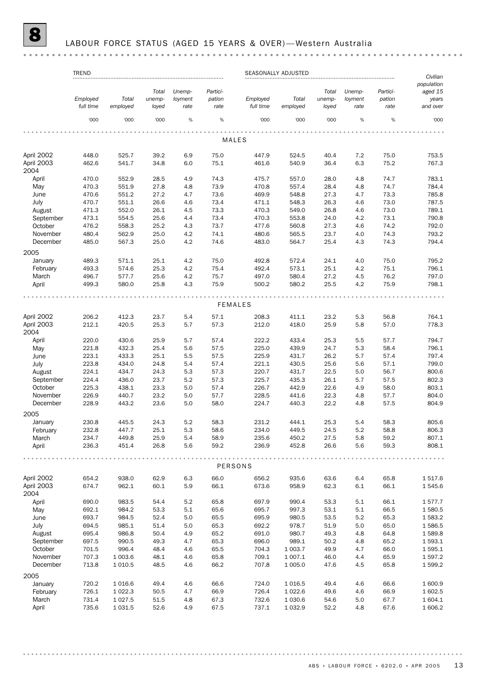## 8 LABOUR FORCE STATUS (AGED 15 YEARS & OVER)— Western Australia

|                    | <b>TREND</b>          |                   |                          |                           |                            |                       | SEASONALLY ADJUSTED |                          |                           |                            | Civilian                                   |
|--------------------|-----------------------|-------------------|--------------------------|---------------------------|----------------------------|-----------------------|---------------------|--------------------------|---------------------------|----------------------------|--------------------------------------------|
|                    | Employed<br>full time | Total<br>employed | Total<br>unemp-<br>loyed | Unemp-<br>loyment<br>rate | Partici-<br>pation<br>rate | Employed<br>full time | Total<br>employed   | Total<br>unemp-<br>loyed | Unemp-<br>loyment<br>rate | Partici-<br>pation<br>rate | population<br>aged 15<br>years<br>and over |
|                    | '000                  | '000              | '000                     | %                         | %                          | '000                  | '000                | '000                     | %                         | %                          | '000                                       |
|                    |                       |                   |                          |                           |                            |                       |                     |                          |                           |                            |                                            |
|                    |                       |                   |                          |                           |                            | MALES                 |                     |                          |                           |                            |                                            |
| April 2002         | 448.0                 | 525.7             | 39.2                     | 6.9                       | 75.0                       | 447.9                 | 524.5               | 40.4                     | 7.2                       | 75.0                       | 753.5                                      |
| April 2003         | 462.6                 | 541.7             | 34.8                     | 6.0                       | 75.1                       | 461.6                 | 540.9               | 36.4                     | 6.3                       | 75.2                       | 767.3                                      |
| 2004               |                       |                   |                          |                           |                            |                       |                     |                          |                           |                            |                                            |
| April              | 470.0                 | 552.9             | 28.5                     | 4.9                       | 74.3                       | 475.7                 | 557.0               | 28.0                     | 4.8                       | 74.7                       | 783.1                                      |
| May                | 470.3                 | 551.9             | 27.8                     | 4.8                       | 73.9                       | 470.8                 | 557.4               | 28.4                     | 4.8                       | 74.7                       | 784.4                                      |
| June               | 470.6                 | 551.2             | 27.2                     | 4.7                       | 73.6                       | 469.9                 | 548.8               | 27.3                     | 4.7                       | 73.3                       | 785.8                                      |
| July               | 470.7                 | 551.1             | 26.6                     | 4.6                       | 73.4                       | 471.1                 | 548.3               | 26.3                     | 4.6                       | 73.0                       | 787.5                                      |
| August             | 471.3                 | 552.0             | 26.1                     | 4.5                       | 73.3                       | 470.3                 | 549.0               | 26.8                     | 4.6                       | 73.0                       | 789.1                                      |
| September          | 473.1                 | 554.5             | 25.6                     | 4.4                       | 73.4                       | 470.3                 | 553.8               | 24.0                     | 4.2                       | 73.1                       | 790.8                                      |
| October            | 476.2                 | 558.3             | 25.2                     | 4.3                       | 73.7                       | 477.6                 | 560.8               | 27.3                     | 4.6                       | 74.2                       | 792.0                                      |
| November           | 480.4                 | 562.9             | 25.0                     | 4.2                       | 74.1                       | 480.6                 | 565.5               | 23.7                     | 4.0                       | 74.3                       | 793.2                                      |
| December           | 485.0                 | 567.3             | 25.0                     | 4.2                       | 74.6                       | 483.0                 | 564.7               | 25.4                     | 4.3                       | 74.3                       | 794.4                                      |
| 2005               |                       |                   |                          |                           |                            |                       |                     |                          |                           |                            |                                            |
| January            | 489.3                 | 571.1             | 25.1                     | 4.2                       | 75.0                       | 492.8                 | 572.4               | 24.1                     | 4.0                       | 75.0                       | 795.2                                      |
| February           | 493.3                 | 574.6             | 25.3                     | 4.2                       | 75.4                       | 492.4                 | 573.1               | 25.1                     | 4.2                       | 75.1                       | 796.1                                      |
| March              | 496.7                 | 577.7             | 25.6                     | 4.2                       | 75.7                       | 497.0                 | 580.4               | 27.2                     | 4.5                       | 76.2                       | 797.0                                      |
| April              | 499.3                 | 580.0             | 25.8                     | 4.3                       | 75.9                       | 500.2                 | 580.2               | 25.5                     | 4.2                       | 75.9                       | 798.1                                      |
|                    |                       |                   |                          |                           |                            |                       |                     |                          |                           |                            |                                            |
|                    |                       |                   |                          |                           |                            | <b>FEMALES</b>        |                     |                          |                           |                            |                                            |
|                    |                       |                   |                          |                           |                            |                       |                     |                          |                           |                            |                                            |
| April 2002         | 206.2                 | 412.3             | 23.7                     | 5.4                       | 57.1                       | 208.3                 | 411.1               | 23.2                     | 5.3                       | 56.8                       | 764.1                                      |
| April 2003         | 212.1                 | 420.5             | 25.3                     | 5.7                       | 57.3                       | 212.0                 | 418.0               | 25.9                     | 5.8                       | 57.0                       | 778.3                                      |
| 2004               |                       |                   |                          |                           |                            |                       |                     |                          |                           |                            |                                            |
| April              | 220.0                 | 430.6             | 25.9                     | 5.7                       | 57.4                       | 222.2                 | 433.4               | 25.3                     | 5.5                       | 57.7                       | 794.7                                      |
| May                | 221.8                 | 432.3             | 25.4                     | 5.6                       | 57.5                       | 225.0                 | 439.9               | 24.7                     | 5.3                       | 58.4                       | 796.1                                      |
| June               | 223.1                 | 433.3             | 25.1                     | 5.5                       | 57.5                       | 225.9                 | 431.7               | 26.2                     | 5.7                       | 57.4                       | 797.4                                      |
| July               | 223.8                 | 434.0             | 24.8                     | 5.4                       | 57.4                       | 221.1                 | 430.5               | 25.6                     | 5.6                       | 57.1                       | 799.0                                      |
| August             | 224.1                 | 434.7             | 24.3                     | 5.3                       | 57.3                       | 220.7                 | 431.7               | 22.5                     | 5.0                       | 56.7                       | 800.6                                      |
| September          | 224.4                 | 436.0             | 23.7                     | 5.2                       | 57.3                       | 225.7                 | 435.3               | 26.1                     | 5.7                       | 57.5                       | 802.3                                      |
| October            | 225.3                 | 438.1             | 23.3                     | 5.0                       | 57.4                       | 226.7                 | 442.9               | 22.6                     | 4.9                       | 58.0                       | 803.1                                      |
| November           | 226.9                 | 440.7             | 23.2                     | 5.0                       | 57.7                       | 228.5                 | 441.6               | 22.3                     | 4.8                       | 57.7                       | 804.0                                      |
| December           | 228.9                 | 443.2             | 23.6                     | 5.0                       | 58.0                       | 224.7                 | 440.3               | 22.2                     | 4.8                       | 57.5                       | 804.9                                      |
| 2005               |                       |                   |                          |                           |                            |                       |                     |                          |                           |                            |                                            |
| January            | 230.8                 | 445.5             | 24.3                     | 5.2                       | 58.3                       | 231.2                 | 444.1               | 25.3                     | 5.4                       | 58.3                       | 805.6                                      |
|                    |                       |                   |                          | 5.3                       |                            |                       |                     |                          |                           |                            |                                            |
| February           | 232.8                 | 447.7             | 25.1                     |                           | 58.6                       | 234.0                 | 449.5               | 24.5                     | 5.2                       | 58.8                       | 806.3                                      |
| March              | 234.7                 | 449.8             | 25.9                     | 5.4                       | 58.9                       | 235.6                 | 450.2               | 27.5                     | 5.8                       | 59.2                       | 807.1                                      |
| April              | 236.3                 | 451.4             | 26.8                     | 5.6                       | 59.2                       | 236.9                 | 452.8               | 26.6                     | 5.6                       | 59.3                       | 808.1                                      |
|                    |                       |                   |                          |                           |                            | PERSONS               |                     |                          |                           |                            |                                            |
|                    |                       |                   |                          |                           |                            |                       |                     |                          |                           |                            |                                            |
| April 2002         | 654.2                 | 938.0             | 62.9                     | 6.3                       | 66.0                       | 656.2                 | 935.6               | 63.6                     | 6.4                       | 65.8                       | 1517.6                                     |
| April 2003<br>2004 | 674.7                 | 962.1             | 60.1                     | 5.9                       | 66.1                       | 673.6                 | 958.9               | 62.3                     | 6.1                       | 66.1                       | 1545.6                                     |
| April              | 690.0                 | 983.5             | 54.4                     | 5.2                       | 65.8                       | 697.9                 | 990.4               | 53.3                     | 5.1                       | 66.1                       | 1577.7                                     |
| May                | 692.1                 | 984.2             | 53.3                     | 5.1                       | 65.6                       | 695.7                 | 997.3               | 53.1                     | 5.1                       | 66.5                       | 1580.5                                     |
| June               | 693.7                 | 984.5             | 52.4                     | 5.0                       | 65.5                       | 695.9                 | 980.5               | 53.5                     | 5.2                       | 65.3                       | 1583.2                                     |
| July               | 694.5                 | 985.1             | 51.4                     | 5.0                       | 65.3                       | 692.2                 | 978.7               | 51.9                     | 5.0                       | 65.0                       | 1586.5                                     |
| August             | 695.4                 | 986.8             | 50.4                     | 4.9                       | 65.2                       | 691.0                 | 980.7               | 49.3                     | 4.8                       | 64.8                       | 1589.8                                     |
| September          | 697.5                 | 990.5             | 49.3                     | 4.7                       | 65.3                       | 696.0                 | 989.1               | 50.2                     | 4.8                       | 65.2                       | 1 593.1                                    |
| October            |                       | 996.4             | 48.4                     | 4.6                       | 65.5                       | 704.3                 | 1 0 0 3.7           | 49.9                     | 4.7                       | 66.0                       | 1595.1                                     |
|                    | 701.5                 |                   |                          |                           |                            |                       |                     |                          |                           |                            |                                            |
| November           | 707.3                 | 1 003.6           | 48.1                     | 4.6                       | 65.8                       | 709.1                 | 1 0 0 7.1           | 46.0                     | 4.4                       | 65.9                       | 1597.2                                     |
| December           | 713.8                 | 1 0 1 0.5         | 48.5                     | 4.6                       | 66.2                       | 707.8                 | 1 0 0 5.0           | 47.6                     | 4.5                       | 65.8                       | 1599.2                                     |
| 2005               |                       |                   |                          |                           |                            |                       |                     |                          |                           |                            |                                            |
| January            | 720.2                 | 1016.6            | 49.4                     | 4.6                       | 66.6                       | 724.0                 | 1016.5              | 49.4                     | 4.6                       | 66.6                       | 1 600.9                                    |
| February           | 726.1                 | 1 0 2 2.3         | 50.5                     | 4.7                       | 66.9                       | 726.4                 | 1 0 2 2.6           | 49.6                     | 4.6                       | 66.9                       | 1602.5                                     |
| March              | 731.4                 | 1 0 27.5          | 51.5                     | 4.8                       | 67.3                       | 732.6                 | 1 0 3 0.6           | 54.6                     | 5.0                       | 67.7                       | 1 604.1                                    |
| April              | 735.6                 | 1 0 3 1.5         | 52.6                     | 4.9                       | 67.5                       | 737.1                 | 1 0 3 2.9           | 52.2                     | 4.8                       | 67.6                       | 1 606.2                                    |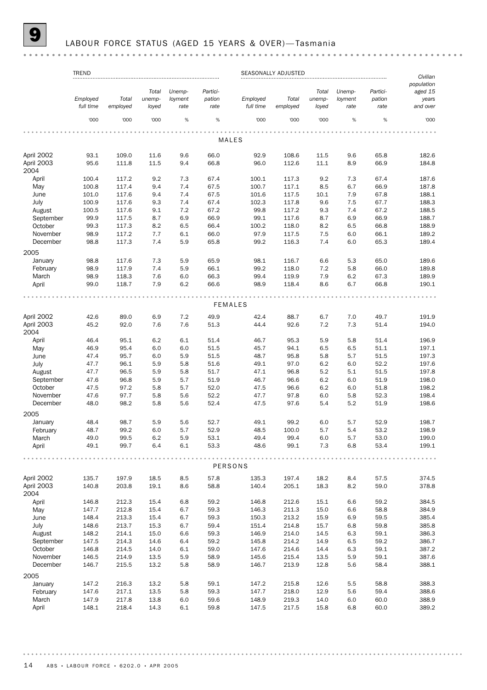#### LABOUR FORCE STATUS (AGED 15 YEARS & OVER)-Tasmania

#### TREND SEASONALLY ADJUSTED *Civilian population Total Unemp-Partici-Total Unemp-Particiaged 15 Total Total Employed unemployment pation Employed unemployment pation years full time employed loyed rate rate full time employed loyed rate rate and over* '000 '000 '000 % % '000 '000 '000 % % '000 MALES April 2002 93.1 109.0 11.6 9.6 66.0 92.9 108.6 11.5 9.6 65.8 182.6 April 2003 95.6 111.8 11.5 9.4 66.8 96.0 112.6 11.1 8.9 66.9 184.8 2004 April 100.4 117.2 9.2 7.3 67.4 100.1 117.3 9.2 7.3 67.4 187.6 May 100.8 117.4 9.4 7.4 67.5 100.7 117.1 8.5 6.7 66.9 187.8 June 101.0 117.6 9.4 7.4 67.5 101.6 117.5 10.1 7.9 67.8 188.1 July 100.9 117.6 9.3 7.4 67.4 102.3 117.8 9.6 7.5 67.7 188.3 August 100.5 117.6 9.1 7.2 67.2 99.8 117.2 9.3 7.4 67.2 188.5 September 99.9 117.5 8.7 6.9 66.9 99.1 117.6 8.7 6.9 66.9 188.7 October 99.3 117.3 8.2 6.5 66.4 100.2 118.0 8.2 6.5 66.8 188.9 November 98.9 117.2 7.7 6.1 66.0 97.9 117.5 7.5 6.0 66.1 189.2 December 98.8 117.3 7.4 5.9 65.8 99.2 116.3 7.4 6.0 65.3 189.4 2005 January 98.8 117.6 7.3 5.9 65.9 98.1 116.7 6.6 5.3 65.0 189.6 February 98.9 117.9 7.4 5.9 66.1 99.2 118.0 7.2 5.8 66.0 189.8 March 98.9 118.3 7.6 6.0 66.3 99.4 119.9 7.9 6.2 67.3 189.9 April 99.0 118.7 7.9 6.2 66.6 98.9 118.4 8.6 6.7 66.8 190.1 FEMALES April 2002 42.6 89.0 6.9 7.2 49.9 42.4 88.7 6.7 7.0 49.7 191.9 April 2003 45.2 92.0 7.6 7.6 51.3 44.4 92.6 7.2 7.3 51.4 194.0 2004 April 46.4 95.1 6.2 6.1 51.4 46.7 95.3 5.9 5.8 51.4 196.9 May 46.9 95.4 6.0 6.0 51.5 45.7 94.1 6.5 6.5 51.1 197.1 June 47.4 95.7 6.0 5.9 51.5 48.7 95.8 5.8 5.7 51.5 197.3 July 47.7 96.1 5.9 5.8 51.6 49.1 97.0 6.2 6.0 52.2 197.6 August 47.7 96.5 5.9 5.8 51.7 47.1 96.8 5.2 5.1 51.5 197.8 September 47.6 96.8 5.9 5.7 51.9 46.7 96.6 6.2 6.0 51.9 198.0 October 47.5 97.2 5.8 5.7 52.0 47.5 96.6 6.2 6.0 51.8 198.2 November 47.6 97.7 5.8 5.6 52.2 47.7 97.8 6.0 5.8 52.3 198.4 December 48.0 98.2 5.8 5.6 52.4 47.5 97.6 5.4 5.2 51.9 198.6 2005 January 48.4 98.7 5.9 5.6 52.7 49.1 99.2 6.0 5.7 52.9 198.7 February 48.7 99.2 6.0 5.7 52.9 48.5 100.0 5.7 5.4 53.2 198.9 March 49.0 99.5 6.2 5.9 53.1 49.4 99.4 6.0 5.7 53.0 199.0 April 49.1 99.7 6.4 6.1 53.3 48.6 99.1 7.3 6.8 53.4 199.1 . . . . . . . . . . . . PERSONS April 2002 135.7 197.9 18.5 8.5 57.8 135.3 197.4 18.2 8.4 57.5 374.5 April 2003 140.8 203.8 19.1 8.6 58.8 140.4 205.1 18.3 8.2 59.0 378.8 2004 April 146.8 212.3 15.4 6.8 59.2 146.8 212.6 15.1 6.6 59.2 384.5 May 147.7 212.8 15.4 6.7 59.3 146.3 211.3 15.0 6.6 58.8 384.9 June 148.4 213.3 15.4 6.7 59.3 150.3 213.2 15.9 6.9 59.5 385.4 July 148.6 213.7 15.3 6.7 59.4 151.4 214.8 15.7 6.8 59.8 385.8 August 148.2 214.1 15.0 6.6 59.3 146.9 214.0 14.5 6.3 59.1 386.3 September 147.5 214.3 14.6 6.4 59.2 145.8 214.2 14.9 6.5 59.2 386.7 October 146.8 214.5 14.0 6.1 59.0 147.6 214.6 14.4 6.3 59.1 387.2 November 146.5 214.9 13.5 5.9 58.9 145.6 215.4 13.5 5.9 59.1 387.6 December 146.7 215.5 13.2 5.8 58.9 146.7 213.9 12.8 5.6 58.4 388.1 2005 January 147.2 216.3 13.2 5.8 59.1 147.2 215.8 12.6 5.5 58.8 388.3 February 147.6 217.1 13.5 5.8 59.3 147.7 218.0 12.9 5.6 59.4 388.6 March 147.9 217.8 13.8 6.0 59.6 148.9 219.3 14.0 6.0 60.0 388.9 April 148.1 218.4 14.3 6.1 59.8 147.5 217.5 15.8 6.8 60.0 389.2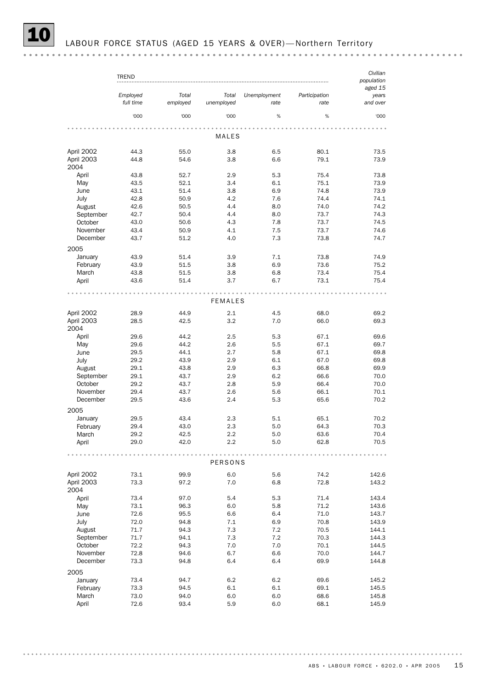|                                 | TREND     |          |            |              |               | Civilian<br>population<br>aged 15 |  |
|---------------------------------|-----------|----------|------------|--------------|---------------|-----------------------------------|--|
|                                 | Employed  | Total    | Total      | Unemployment | Participation | years                             |  |
|                                 | full time | employed | unemployed | rate         | rate          | and over                          |  |
|                                 | '000      | '000     | '000       | $\%$         | %             | '000                              |  |
|                                 |           |          |            |              |               | 0.0.0                             |  |
|                                 |           |          | MALES      |              |               |                                   |  |
| April 2002                      | 44.3      | 55.0     | 3.8        | 6.5          | 80.1          | 73.5                              |  |
| $\cdot$ $\cdot$ $\cdot$ $\cdot$ | .         | - - -    | - -        | - -          | -- -          | ---                               |  |

| April ZUUZ | 44.3 | ວວ.ບ | 3.0            | 6.O     | 90.T | 73.D  |
|------------|------|------|----------------|---------|------|-------|
| April 2003 | 44.8 | 54.6 | 3.8            | 6.6     | 79.1 | 73.9  |
| 2004       |      |      |                |         |      |       |
| April      | 43.8 | 52.7 | 2.9            | 5.3     | 75.4 | 73.8  |
| May        | 43.5 | 52.1 | 3.4            | 6.1     | 75.1 | 73.9  |
| June       | 43.1 | 51.4 | 3.8            | 6.9     | 74.8 | 73.9  |
|            |      |      |                |         |      |       |
| July       | 42.8 | 50.9 | 4.2            | 7.6     | 74.4 | 74.1  |
| August     | 42.6 | 50.5 | 4.4            | 8.0     | 74.0 | 74.2  |
| September  | 42.7 | 50.4 | 4.4            | 8.0     | 73.7 | 74.3  |
| October    | 43.0 | 50.6 | 4.3            | 7.8     | 73.7 | 74.5  |
| November   | 43.4 | 50.9 | 4.1            | 7.5     | 73.7 | 74.6  |
| December   | 43.7 | 51.2 | 4.0            | 7.3     | 73.8 | 74.7  |
| 2005       |      |      |                |         |      |       |
|            |      |      |                |         |      |       |
| January    | 43.9 | 51.4 | 3.9            | 7.1     | 73.8 | 74.9  |
| February   | 43.9 | 51.5 | 3.8            | 6.9     | 73.6 | 75.2  |
| March      | 43.8 | 51.5 | 3.8            | 6.8     | 73.4 | 75.4  |
| April      | 43.6 | 51.4 | 3.7            | 6.7     | 73.1 | 75.4  |
|            |      |      |                |         |      |       |
|            |      |      |                |         |      |       |
|            |      |      | <b>FEMALES</b> |         |      |       |
| April 2002 | 28.9 | 44.9 | 2.1            | 4.5     | 68.0 | 69.2  |
| April 2003 | 28.5 | 42.5 | 3.2            | 7.0     | 66.0 | 69.3  |
|            |      |      |                |         |      |       |
| 2004       |      |      |                |         |      |       |
| April      | 29.6 | 44.2 | 2.5            | 5.3     | 67.1 | 69.6  |
| May        | 29.6 | 44.2 | 2.6            | 5.5     | 67.1 | 69.7  |
| June       | 29.5 | 44.1 | 2.7            | 5.8     | 67.1 | 69.8  |
| July       | 29.2 | 43.9 | 2.9            | 6.1     | 67.0 | 69.8  |
| August     | 29.1 | 43.8 | 2.9            | 6.3     | 66.8 | 69.9  |
| September  | 29.1 | 43.7 | 2.9            | 6.2     | 66.6 | 70.0  |
| October    | 29.2 | 43.7 | 2.8            | 5.9     | 66.4 | 70.0  |
| November   | 29.4 | 43.7 | 2.6            | 5.6     | 66.1 | 70.1  |
| December   | 29.5 | 43.6 | 2.4            | 5.3     | 65.6 | 70.2  |
|            |      |      |                |         |      |       |
| 2005       |      |      |                |         |      |       |
| January    | 29.5 | 43.4 | 2.3            | 5.1     | 65.1 | 70.2  |
| February   | 29.4 | 43.0 | 2.3            | 5.0     | 64.3 | 70.3  |
| March      | 29.2 | 42.5 | 2.2            | 5.0     | 63.6 | 70.4  |
| April      | 29.0 | 42.0 | 2.2            | 5.0     | 62.8 | 70.5  |
|            |      |      |                |         |      |       |
|            |      | .    |                |         |      |       |
|            |      |      | <b>PERSONS</b> |         |      |       |
|            |      |      |                |         |      |       |
| April 2002 | 73.1 | 99.9 | 6.0            | 5.6     | 74.2 | 142.6 |
| April 2003 | 73.3 | 97.2 | 7.0            | 6.8     | 72.8 | 143.2 |
| 2004       |      |      |                |         |      |       |
| April      | 73.4 | 97.0 | 5.4            | 5.3     | 71.4 | 143.4 |
| May        | 73.1 | 96.3 | 6.0            | 5.8     | 71.2 | 143.6 |
| June       | 72.6 | 95.5 | 6.6            | 6.4     | 71.0 | 143.7 |
| July       | 72.0 | 94.8 | 7.1            | 6.9     | 70.8 | 143.9 |
| August     | 71.7 | 94.3 | $7.3$          | $7.2\,$ | 70.5 | 144.1 |
| September  | 71.7 | 94.1 | 7.3            | 7.2     | 70.3 | 144.3 |
|            |      |      |                |         |      |       |
| October    | 72.2 | 94.3 | 7.0            | $7.0\,$ | 70.1 | 144.5 |
| November   | 72.8 | 94.6 | 6.7            | 6.6     | 70.0 | 144.7 |
| December   | 73.3 | 94.8 | 6.4            | 6.4     | 69.9 | 144.8 |
| 2005       |      |      |                |         |      |       |
| January    | 73.4 | 94.7 | 6.2            | $6.2\,$ | 69.6 | 145.2 |
|            |      |      |                |         |      |       |
| February   | 73.3 | 94.5 | 6.1            | 6.1     | 69.1 | 145.5 |
| March      | 73.0 | 94.0 | 6.0            | 6.0     | 68.6 | 145.8 |

April 72.6 93.4 5.9 6.0 68.1 145.9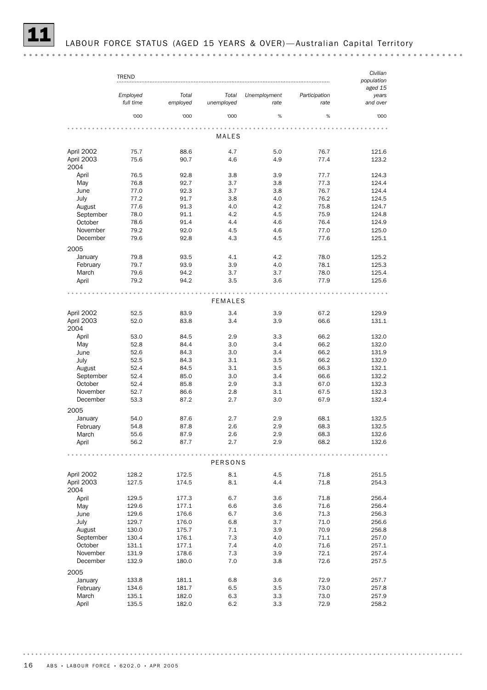|                                  | <b>TREND</b>          |                   |                     |                      |                       | Civilian<br>population       |
|----------------------------------|-----------------------|-------------------|---------------------|----------------------|-----------------------|------------------------------|
|                                  | Employed<br>full time | Total<br>employed | Total<br>unemployed | Unemployment<br>rate | Participation<br>rate | aged 15<br>years<br>and over |
|                                  | '000                  | '000              | '000                | %                    | %                     | '000                         |
|                                  |                       |                   | MALES               |                      |                       |                              |
|                                  |                       |                   |                     |                      |                       |                              |
| April 2002<br>April 2003<br>2004 | 75.7<br>75.6          | 88.6<br>90.7      | 4.7<br>4.6          | 5.0<br>4.9           | 76.7<br>77.4          | 121.6<br>123.2               |
| April                            | 76.5                  | 92.8              | 3.8                 | 3.9                  | 77.7                  | 124.3                        |
| May                              | 76.8                  | 92.7              | 3.7                 | 3.8                  | 77.3                  | 124.4                        |
| June                             | 77.0                  | 92.3              | 3.7                 | 3.8                  | 76.7                  | 124.4                        |
| July                             | 77.2                  | 91.7              | 3.8                 | 4.0                  | 76.2                  | 124.5                        |
| August                           | 77.6                  | 91.3              | 4.0                 | 4.2                  | 75.8                  | 124.7                        |
| September                        | 78.0                  | 91.1              | 4.2                 | 4.5                  | 75.9                  | 124.8                        |
| October<br>November              | 78.6<br>79.2          | 91.4<br>92.0      | 4.4<br>4.5          | 4.6<br>4.6           | 76.4<br>77.0          | 124.9<br>125.0               |
| December                         | 79.6                  | 92.8              | 4.3                 | 4.5                  | 77.6                  | 125.1                        |
| 2005                             |                       |                   |                     |                      |                       |                              |
| January                          | 79.8                  | 93.5              | 4.1                 | 4.2                  | 78.0                  | 125.2                        |
| February                         | 79.7                  | 93.9              | 3.9                 | 4.0                  | 78.1                  | 125.3                        |
| March                            | 79.6                  | 94.2              | 3.7                 | 3.7                  | 78.0                  | 125.4                        |
| April                            | 79.2                  | 94.2              | 3.5                 | 3.6                  | 77.9                  | 125.6                        |
|                                  |                       |                   | <b>FEMALES</b>      |                      |                       |                              |
| April 2002                       | 52.5                  | 83.9              | 3.4                 | 3.9                  | 67.2                  | 129.9                        |
| April 2003                       | 52.0                  | 83.8              | 3.4                 | 3.9                  | 66.6                  | 131.1                        |
| 2004                             |                       |                   |                     |                      |                       |                              |
| April                            | 53.0                  | 84.5              | 2.9                 | 3.3<br>3.4           | 66.2<br>66.2          | 132.0                        |
| May<br>June                      | 52.8<br>52.6          | 84.4<br>84.3      | 3.0<br>3.0          | 3.4                  | 66.2                  | 132.0<br>131.9               |
| July                             | 52.5                  | 84.3              | 3.1                 | 3.5                  | 66.2                  | 132.0                        |
| August                           | 52.4                  | 84.5              | 3.1                 | 3.5                  | 66.3                  | 132.1                        |
| September                        | 52.4                  | 85.0              | 3.0                 | 3.4                  | 66.6                  | 132.2                        |
| October                          | 52.4                  | 85.8              | 2.9                 | 3.3                  | 67.0                  | 132.3                        |
| November                         | 52.7                  | 86.6              | 2.8                 | 3.1                  | 67.5                  | 132.3                        |
| December                         | 53.3                  | 87.2              | 2.7                 | 3.0                  | 67.9                  | 132.4                        |
| 2005                             |                       |                   |                     |                      |                       |                              |
| January                          | 54.0                  | 87.6              | 2.7                 | 2.9                  | 68.1                  | 132.5                        |
| February                         | 54.8                  | 87.8              | 2.6                 | 2.9                  | 68.3                  | 132.5                        |
| March<br>April                   | 55.6<br>56.2          | 87.9<br>87.7      | 2.6<br>2.7          | 2.9<br>2.9           | 68.3<br>68.2          | 132.6<br>132.6               |
|                                  |                       |                   |                     |                      |                       |                              |
|                                  |                       |                   | <b>PERSONS</b>      |                      |                       |                              |
| April 2002                       | 128.2                 | 172.5             | 8.1                 | 4.5                  | 71.8                  | 251.5                        |
| April 2003<br>2004               | 127.5                 | 174.5             | 8.1                 | 4.4                  | 71.8                  | 254.3                        |
| April                            | 129.5                 | 177.3             | 6.7                 | 3.6                  | 71.8                  | 256.4                        |
| May                              | 129.6                 | 177.1             | 6.6                 | 3.6                  | 71.6                  | 256.4                        |
| June                             | 129.6                 | 176.6             | 6.7                 | 3.6                  | 71.3                  | 256.3                        |
| July                             | 129.7                 | 176.0             | 6.8                 | 3.7                  | 71.0                  | 256.6                        |
| August                           | 130.0                 | 175.7             | 7.1                 | 3.9                  | 70.9                  | 256.8                        |
| September                        | 130.4                 | 176.1             | 7.3                 | 4.0                  | 71.1                  | 257.0                        |
| October<br>November              | 131.1                 | 177.1<br>178.6    | 7.4<br>7.3          | 4.0<br>3.9           | 71.6<br>72.1          | 257.1                        |
| December                         | 131.9<br>132.9        | 180.0             | 7.0                 | 3.8                  | 72.6                  | 257.4<br>257.5               |
| 2005                             |                       |                   |                     |                      |                       |                              |
| January                          | 133.8                 | 181.1             | 6.8                 | 3.6                  | 72.9                  | 257.7                        |
| February                         | 134.6                 | 181.7             | 6.5                 | 3.5                  | 73.0                  | 257.8                        |
| March                            | 135.1                 | 182.0             | 6.3                 | 3.3                  | 73.0                  | 257.9                        |
| April                            | 135.5                 | 182.0             | 6.2                 | 3.3                  | 72.9                  | 258.2                        |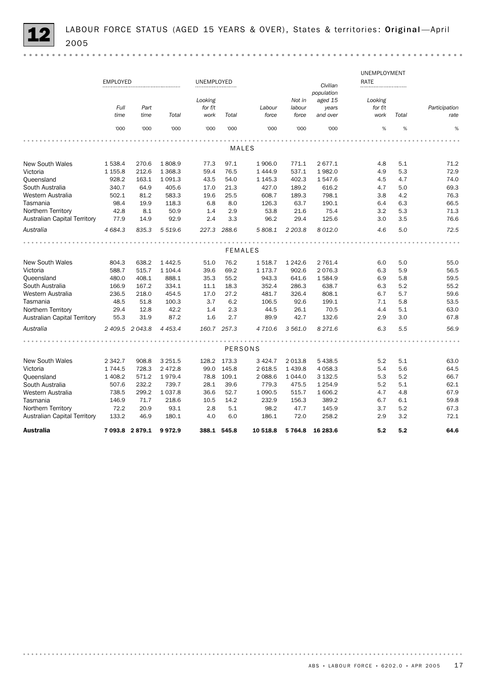|                                     |                 |                 |            |            |             |                |           |            | UNEMPLOYMENT |       |               |
|-------------------------------------|-----------------|-----------------|------------|------------|-------------|----------------|-----------|------------|--------------|-------|---------------|
|                                     | <b>EMPLOYED</b> |                 |            | UNEMPLOYED |             |                |           | Civilian   | RATE         |       |               |
|                                     |                 |                 |            |            |             |                |           | population |              |       |               |
|                                     |                 |                 |            | Looking    |             |                | Not in    | aged 15    | Looking      |       |               |
|                                     | Full            | Part            |            | for f/t    |             | Labour         | labour    | years      | for f/t      |       | Participation |
|                                     | time            | time            | Total      | work       | Total       | force          | force     | and over   | work         | Total | rate          |
|                                     | '000            | '000            | '000       | '000       | '000        | '000           | '000      | '000       | %            | %     | %             |
|                                     |                 |                 |            |            |             |                |           |            |              |       |               |
|                                     |                 |                 |            |            |             | MALES          |           |            |              |       |               |
| <b>New South Wales</b>              | 1538.4          | 270.6           | 1808.9     | 77.3       | 97.1        | 1906.0         | 771.1     | 2677.1     | 4.8          | 5.1   | 71.2          |
| Victoria                            | 1 1 5 5.8       | 212.6           | 1 3 68.3   | 59.4       | 76.5        | 1 4 4 4 .9     | 537.1     | 1982.0     | 4.9          | 5.3   | 72.9          |
| Queensland                          | 928.2           | 163.1           | 1 0 9 1.3  | 43.5       | 54.0        | 1 1 4 5 . 3    | 402.3     | 1547.6     | 4.5          | 4.7   | 74.0          |
| South Australia                     | 340.7           | 64.9            | 405.6      | 17.0       | 21.3        | 427.0          | 189.2     | 616.2      | 4.7          | 5.0   | 69.3          |
| Western Australia                   | 502.1           | 81.2            | 583.3      | 19.6       | 25.5        | 608.7          | 189.3     | 798.1      | 3.8          | 4.2   | 76.3          |
| Tasmania                            | 98.4            | 19.9            | 118.3      | 6.8        | 8.0         | 126.3          | 63.7      | 190.1      | 6.4          | 6.3   | 66.5          |
| Northern Territory                  | 42.8            | 8.1             | 50.9       | 1.4        | 2.9         | 53.8           | 21.6      | 75.4       | 3.2          | 5.3   | 71.3          |
| <b>Australian Capital Territory</b> | 77.9            | 14.9            | 92.9       | 2.4        | 3.3         | 96.2           | 29.4      | 125.6      | 3.0          | 3.5   | 76.6          |
| Australia                           | 4 684.3         | 835.3           | 5 5 1 9.6  | 227.3      | 288.6       | 5 808.1        | 2 2 0 3.8 | 8 0 1 2.0  | 4.6          | 5.0   | 72.5          |
|                                     |                 |                 |            |            |             |                |           |            |              |       |               |
|                                     |                 |                 |            |            |             | <b>FEMALES</b> |           |            |              |       |               |
| <b>New South Wales</b>              | 804.3           | 638.2           | 1 4 4 2.5  | 51.0       | 76.2        | 1518.7         | 1 242.6   | 2 761.4    | 6.0          | 5.0   | 55.0          |
| Victoria                            | 588.7           | 515.7           | 1 104.4    | 39.6       | 69.2        | 1 1 7 3 . 7    | 902.6     | 2076.3     | 6.3          | 5.9   | 56.5          |
| Queensland                          | 480.0           | 408.1           | 888.1      | 35.3       | 55.2        | 943.3          | 641.6     | 1584.9     | 6.9          | 5.8   | 59.5          |
| South Australia                     | 166.9           | 167.2           | 334.1      | 11.1       | 18.3        | 352.4          | 286.3     | 638.7      | 6.3          | 5.2   | 55.2          |
| Western Australia                   | 236.5           | 218.0           | 454.5      | 17.0       | 27.2        | 481.7          | 326.4     | 808.1      | 6.7          | 5.7   | 59.6          |
| Tasmania                            | 48.5            | 51.8            | 100.3      | 3.7        | 6.2         | 106.5          | 92.6      | 199.1      | 7.1          | 5.8   | 53.5          |
| Northern Territory                  | 29.4            | 12.8            | 42.2       | 1.4        | 2.3         | 44.5           | 26.1      | 70.5       | 4.4          | 5.1   | 63.0          |
| <b>Australian Capital Territory</b> | 55.3            | 31.9            | 87.2       | 1.6        | 2.7         | 89.9           | 42.7      | 132.6      | 2.9          | 3.0   | 67.8          |
| Australia                           | 2 409.5         | 2 043.8         | 4 4 5 3.4  | 160.7      | 257.3       | 4 710.6        | 3 561.0   | 8 2 7 1.6  | 6.3          | 5.5   | 56.9          |
|                                     |                 |                 |            |            |             |                |           |            |              |       |               |
|                                     |                 |                 |            |            |             | <b>PERSONS</b> |           |            |              |       |               |
| <b>New South Wales</b>              | 2 3 4 2.7       | 908.8           | 3 2 5 1.5  | 128.2      | 173.3       | 3 4 2 4 . 7    | 2 0 1 3.8 | 5 4 38.5   | 5.2          | 5.1   | 63.0          |
| Victoria                            | 1 744.5         | 728.3           | 2 4 7 2.8  | 99.0       | 145.8       | 2 618.5        | 1 4 3 9.8 | 4 0 58.3   | 5.4          | 5.6   | 64.5          |
| Oueensland                          | 1 408.2         | 571.2           | 1979.4     | 78.8       | 109.1       | 2 0 8 8.6      | 1 044.0   | 3 1 3 2.5  | 5.3          | 5.2   | 66.7          |
| South Australia                     | 507.6           | 232.2           | 739.7      | 28.1       | 39.6        | 779.3          | 475.5     | 1 2 5 4 .9 | 5.2          | 5.1   | 62.1          |
| Western Australia                   | 738.5           | 299.2           | 1 0 3 7 .8 | 36.6       | 52.7        | 1 0 9 0.5      | 515.7     | 1 606.2    | 4.7          | 4.8   | 67.9          |
| Tasmania                            | 146.9           | 71.7            | 218.6      | 10.5       | 14.2        | 232.9          | 156.3     | 389.2      | 6.7          | 6.1   | 59.8          |
| Northern Territory                  | 72.2            | 20.9            | 93.1       | 2.8        | 5.1         | 98.2           | 47.7      | 145.9      | 3.7          | 5.2   | 67.3          |
| <b>Australian Capital Territory</b> | 133.2           | 46.9            | 180.1      | 4.0        | 6.0         | 186.1          | 72.0      | 258.2      | 2.9          | 3.2   | 72.1          |
| Australia                           |                 | 7 093.8 2 879.1 | 9972.9     |            | 388.1 545.8 | 10 518.8       | 5 7 64.8  | 16 283.6   | 5.2          | 5.2   | 64.6          |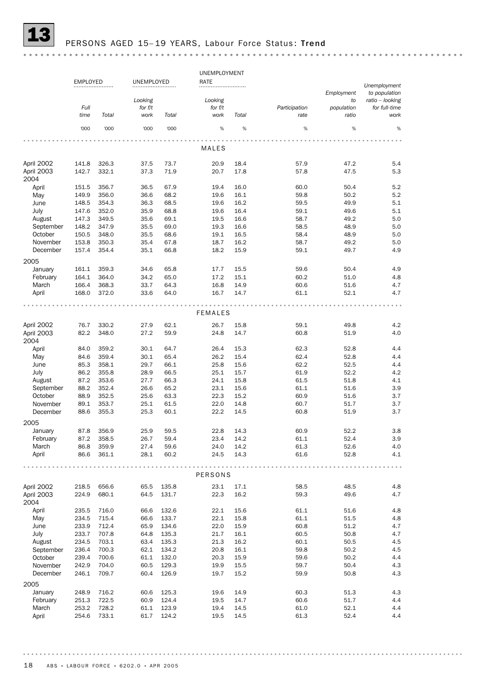

## PERSONS AGED 15-19 YEARS, Labour Force Status: Trend

|                    |                 |       |            |       | UNEMPLOYMENT   |       |               |            |                               |
|--------------------|-----------------|-------|------------|-------|----------------|-------|---------------|------------|-------------------------------|
|                    | <b>EMPLOYED</b> |       | UNEMPLOYED |       | RATE           |       |               |            |                               |
|                    |                 |       |            |       |                |       |               | Employment | Unemployment<br>to population |
|                    |                 |       | Looking    |       | Looking        |       |               | to         | ratio – looking               |
|                    | Full            |       | for f/t    |       | for $f/t$      |       | Participation | population | for full-time                 |
|                    | time            | Total | work       | Total | work           | Total | rate          | ratio      | work                          |
|                    | '000            | '000  | '000       | '000  | $\%$           | %     | %             | %          | %                             |
|                    |                 |       |            |       |                |       |               |            |                               |
|                    |                 |       |            |       | MALES          |       |               |            |                               |
| April 2002         | 141.8           | 326.3 | 37.5       | 73.7  | 20.9           | 18.4  | 57.9          | 47.2       | 5.4                           |
| April 2003<br>2004 | 142.7           | 332.1 | 37.3       | 71.9  | 20.7           | 17.8  | 57.8          | 47.5       | 5.3                           |
| April              | 151.5           | 356.7 | 36.5       | 67.9  | 19.4           | 16.0  | 60.0          | 50.4       | 5.2                           |
| May                | 149.9           | 356.0 | 36.6       | 68.2  | 19.6           | 16.1  | 59.8          | 50.2       | 5.2                           |
| June               | 148.5           | 354.3 | 36.3       | 68.5  | 19.6           | 16.2  | 59.5          | 49.9       | 5.1                           |
| July               | 147.6           | 352.0 | 35.9       | 68.8  | 19.6           | 16.4  | 59.1          | 49.6       | 5.1                           |
|                    |                 |       |            | 69.1  |                | 16.6  | 58.7          |            | 5.0                           |
| August             | 147.3           | 349.5 | 35.6       |       | 19.5           |       |               | 49.2       |                               |
| September          | 148.2           | 347.9 | 35.5       | 69.0  | 19.3           | 16.6  | 58.5          | 48.9       | 5.0                           |
| October            | 150.5           | 348.0 | 35.5       | 68.6  | 19.1           | 16.5  | 58.4          | 48.9       | 5.0                           |
| November           | 153.8           | 350.3 | 35.4       | 67.8  | 18.7           | 16.2  | 58.7          | 49.2       | 5.0                           |
| December           | 157.4           | 354.4 | 35.1       | 66.8  | 18.2           | 15.9  | 59.1          | 49.7       | 4.9                           |
| 2005               |                 |       |            |       |                |       |               |            |                               |
| January            | 161.1           | 359.3 | 34.6       | 65.8  | 17.7           | 15.5  | 59.6          | 50.4       | 4.9                           |
| February           | 164.1           | 364.0 | 34.2       | 65.0  | 17.2           | 15.1  | 60.2          | 51.0       | 4.8                           |
| March              | 166.4           | 368.3 | 33.7       | 64.3  | 16.8           | 14.9  | 60.6          | 51.6       | 4.7                           |
| April              | 168.0           | 372.0 | 33.6       | 64.0  | 16.7           | 14.7  | 61.1          | 52.1       | 4.7                           |
|                    |                 |       |            |       |                |       |               |            |                               |
|                    |                 |       |            |       | <b>FEMALES</b> |       |               |            |                               |
| April 2002         | 76.7            | 330.2 | 27.9       | 62.1  | 26.7           | 15.8  | 59.1          | 49.8       | 4.2                           |
| April 2003<br>2004 | 82.2            | 348.0 | 27.2       | 59.9  | 24.8           | 14.7  | 60.8          | 51.9       | 4.0                           |
| April              | 84.0            | 359.2 | 30.1       | 64.7  | 26.4           | 15.3  | 62.3          | 52.8       | 4.4                           |
| May                | 84.6            | 359.4 | 30.1       | 65.4  | 26.2           | 15.4  | 62.4          | 52.8       | 4.4                           |
| June               | 85.3            | 358.1 | 29.7       | 66.1  | 25.8           | 15.6  | 62.2          | 52.5       | 4.4                           |
| July               | 86.2            | 355.8 | 28.9       | 66.5  | 25.1           | 15.7  | 61.9          | 52.2       | 4.2                           |
|                    |                 |       |            |       |                |       |               |            |                               |
| August             | 87.2            | 353.6 | 27.7       | 66.3  | 24.1           | 15.8  | 61.5          | 51.8       | 4.1                           |
| September          | 88.2            | 352.4 | 26.6       | 65.2  | 23.1           | 15.6  | 61.1          | 51.6       | 3.9                           |
| October            | 88.9            | 352.5 | 25.6       | 63.3  | 22.3           | 15.2  | 60.9          | 51.6       | 3.7                           |
| November           | 89.1            | 353.7 | 25.1       | 61.5  | 22.0           | 14.8  | 60.7          | 51.7       | 3.7                           |
| December           | 88.6            | 355.3 | 25.3       | 60.1  | 22.2           | 14.5  | 60.8          | 51.9       | 3.7                           |
| 2005               |                 |       |            |       |                |       |               |            |                               |
| January            | 87.8            | 356.9 | 25.9       | 59.5  | 22.8           | 14.3  | 60.9          | 52.2       | 3.8                           |
| February           | 87.2            | 358.5 | 26.7       | 59.4  | 23.4           | 14.2  | 61.1          | 52.4       | 3.9                           |
| March              | 86.8            | 359.9 | 27.4       | 59.6  | 24.0           | 14.2  | 61.3          | 52.6       | 4.0                           |
| April              | 86.6            | 361.1 | 28.1       | 60.2  | 24.5           | 14.3  | 61.6          | 52.8       | 4.1                           |
|                    |                 |       |            |       |                |       |               |            |                               |
|                    |                 |       |            |       | PERSONS        |       |               |            |                               |
| April 2002         | 218.5           | 656.6 | 65.5       | 135.8 | 23.1           | 17.1  | 58.5          | 48.5       | 4.8                           |
| April 2003<br>2004 | 224.9           | 680.1 | 64.5       | 131.7 | 22.3           | 16.2  | 59.3          | 49.6       | 4.7                           |
| April              | 235.5           | 716.0 | 66.6       | 132.6 | 22.1           | 15.6  | 61.1          | 51.6       | 4.8                           |
|                    |                 |       |            |       |                |       |               |            |                               |
| May                | 234.5           | 715.4 | 66.6       | 133.7 | 22.1           | 15.8  | 61.1          | 51.5       | 4.8                           |
| June               | 233.9           | 712.4 | 65.9       | 134.6 | 22.0           | 15.9  | 60.8          | 51.2       | 4.7                           |
| July               | 233.7           | 707.8 | 64.8       | 135.3 | 21.7           | 16.1  | 60.5          | 50.8       | 4.7                           |
| August             | 234.5           | 703.1 | 63.4       | 135.3 | 21.3           | 16.2  | 60.1          | 50.5       | 4.5                           |
| September          | 236.4           | 700.3 | 62.1       | 134.2 | 20.8           | 16.1  | 59.8          | 50.2       | 4.5                           |
| October            | 239.4           | 700.6 | 61.1       | 132.0 | 20.3           | 15.9  | 59.6          | 50.2       | 4.4                           |
| November           | 242.9           | 704.0 | 60.5       | 129.3 | 19.9           | 15.5  | 59.7          | 50.4       | 4.3                           |
| December           | 246.1           | 709.7 | 60.4       | 126.9 | 19.7           | 15.2  | 59.9          | 50.8       | 4.3                           |
| 2005               |                 |       |            |       |                |       |               |            |                               |
| January            | 248.9           | 716.2 | 60.6       | 125.3 | 19.6           | 14.9  | 60.3          | 51.3       | 4.3                           |
| February           | 251.3           | 722.5 | 60.9       | 124.4 | 19.5           | 14.7  | 60.6          | 51.7       | 4.4                           |
| March              | 253.2           | 728.2 | 61.1       | 123.9 | 19.4           | 14.5  | 61.0          | 52.1       | 4.4                           |
|                    |                 |       |            |       |                |       |               |            |                               |
| April              | 254.6           | 733.1 | 61.7       | 124.2 | 19.5           | 14.5  | 61.3          | 52.4       | 4.4                           |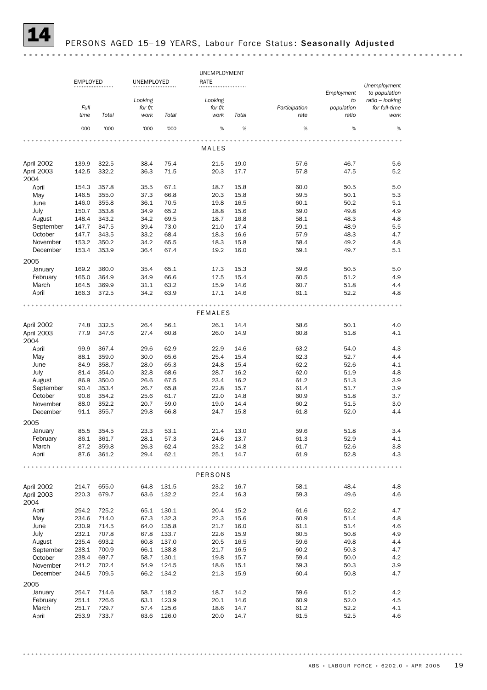

#### PERSONS AGED 15-19 YEARS, Labour Force Status: Seasonally Adjusted

UNEMPLOYMENT EMPLOYED UNEMPLOYED RATE *Unemployment Employment to population Looking ratio – looking Looking to Full for f/t for f/t Participation population for full-time time Total work Total work Total rate ratio work* '000 '000 '000 '000 % % % % % MALES April 2002 139.9 322.5 38.4 75.4 21.5 19.0 57.6 46.7 5.6 April 2003 142.5 332.2 36.3 71.5 20.3 17.7 57.8 47.5 5.2 2004 April 154.3 357.8 35.5 67.1 18.7 15.8 60.0 50.5 5.0 May 146.5 355.0 37.3 66.8 20.3 15.8 59.5 50.1 5.3 June 146.0 355.8 36.1 70.5 19.8 16.5 60.1 50.2 5.1 July 150.7 353.8 34.9 65.2 18.8 15.6 59.0 49.8 4.9 August 148.4 343.2 34.2 69.5 18.7 16.8 58.1 48.3 4.8 September 147.7 347.5 39.4 73.0 21.0 17.4 59.1 48.9 5.5 October 147.7 343.5 33.2 68.4 18.3 16.6 57.9 48.3 4.7 November 153.2 350.2 34.2 65.5 18.3 15.8 58.4 49.2 4.8 December 153.4 353.9 36.4 67.4 19.2 16.0 59.1 49.7 5.1 2005 January 169.2 360.0 35.4 65.1 17.3 15.3 59.6 50.5 5.0 February 165.0 364.9 34.9 66.6 17.5 15.4 60.5 51.2 4.9 March 164.5 369.9 31.1 63.2 15.9 14.6 60.7 51.8 4.4 April 166.3 372.5 34.2 63.9 17.1 14.6 61.1 52.2 4.8 . . . . . . . . . . . . . . . . . . **\*\*\*\*\*\*\*\*\*\*\*\*\*\*** . . . . . . . . . . .  $\sim$   $\sim$   $\sim$ FEMALES April 2002 74.8 332.5 26.4 56.1 26.1 14.4 58.6 50.1 4.0 April 2003 77.9 347.6 27.4 60.8 26.0 14.9 60.8 51.8 4.1 2004 April 99.9 367.4 29.6 62.9 22.9 14.6 63.2 54.0 4.3 May 88.1 359.0 30.0 65.6 25.4 15.4 62.3 52.7 4.4 June 84.9 358.7 28.0 65.3 24.8 15.4 62.2 52.6 4.1 July 81.4 354.0 32.8 68.6 28.7 16.2 62.0 51.9 4.8 August 86.9 350.0 26.6 67.5 23.4 16.2 61.2 51.3 3.9 September 90.4 353.4 26.7 65.8 22.8 15.7 61.4 51.7 3.9 October 90.6 354.2 25.6 61.7 22.0 14.8 60.9 51.8 3.7 November 88.0 352.2 20.7 59.0 19.0 14.4 60.2 51.5 3.0 December 91.1 355.7 29.8 66.8 24.7 15.8 61.8 52.0 4.4 2005 January 85.5 354.5 23.3 53.1 21.4 13.0 59.6 51.8 3.4 February 86.1 361.7 28.1 57.3 24.6 13.7 61.3 52.9 4.1 March 87.2 359.8 26.3 62.4 23.2 14.8 61.7 52.6 3.8 April 87.6 361.2 29.4 62.1 25.1 14.7 61.9 52.8 4.3 . . . . . . . . . . . . . . . . . . . . . . . . . . . . . . . *<u><u><u>.</u>...........***</u>**</u> PERSONS April 2002 214.7 655.0 64.8 131.5 23.2 16.7 58.1 48.4 4.8 April 2003 220.3 679.7 63.6 132.2 22.4 16.3 59.3 49.6 4.6 2004 April 254.2 725.2 65.1 130.1 20.4 15.2 61.6 52.2 4.7 May 234.6 714.0 67.3 132.3 22.3 15.6 60.9 51.4 4.8 June 230.9 714.5 64.0 135.8 21.7 16.0 61.1 51.4 4.6 July 232.1 707.8 67.8 133.7 22.6 15.9 60.5 50.8 4.9 August 235.4 693.2 60.8 137.0 20.5 16.5 59.6 49.8 4.4 September 238.1 700.9 66.1 138.8 21.7 16.5 60.2 50.3 4.7 October 238.4 697.7 58.7 130.1 19.8 15.7 59.4 50.0 4.2 November 241.2 702.4 54.9 124.5 18.6 15.1 59.3 50.3 3.9 December 244.5 709.5 66.2 134.2 21.3 15.9 60.4 50.8 4.7 2005 vert data the U.S. 118.2 18.7 14.2 59.6 51.2 4.2<br>18.7 14.2 59.6 51.2 4.2 59.6 51.2 4.2 4.5 52.0 4.5 February 251.1 726.6 63.1 123.9 20.1 14.6 60.9 52.0 4.5 March 251.7 729.7 57.4 125.6 18.6 14.7 61.2 52.2 4.1 April 253.9 733.7 63.6 126.0 20.0 14.7 61.5 52.5 4.6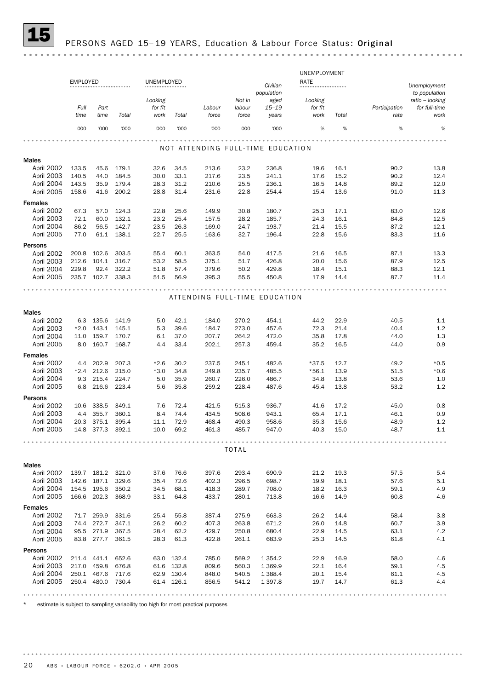

|                              |                 |              |                |              |              |                                   |              |                        | UNEMPLOYMENT |              |               |                               |
|------------------------------|-----------------|--------------|----------------|--------------|--------------|-----------------------------------|--------------|------------------------|--------------|--------------|---------------|-------------------------------|
|                              | <b>EMPLOYED</b> |              |                | UNEMPLOYED   |              |                                   |              | Civilian<br>population | RATE         |              |               | Unemployment<br>to population |
|                              |                 |              |                | Looking      |              |                                   | Not in       | aged                   | Looking      |              |               | ratio - looking               |
|                              | Full            | Part         |                | for f/t      |              | Labour                            | labour       | $15 - 19$              | for f/t      |              | Participation | for full-time                 |
|                              | time            | time         | Total          | work         | Total        | force                             | force        | years                  | work         | Total        | rate          | work                          |
|                              | '000            | '000         | '000           | '000         | '000         | '000                              | '000         | '000                   | %            | %            | %             | %                             |
|                              |                 |              |                |              |              |                                   |              |                        |              |              |               |                               |
|                              |                 |              |                |              |              | NOT ATTENDING FULL-TIME EDUCATION |              |                        |              |              |               |                               |
| <b>Males</b>                 |                 |              |                |              |              |                                   |              |                        |              |              |               |                               |
| April 2002<br>April 2003     | 133.5<br>140.5  | 45.6<br>44.0 | 179.1<br>184.5 | 32.6<br>30.0 | 34.5<br>33.1 | 213.6<br>217.6                    | 23.2<br>23.5 | 236.8<br>241.1         | 19.6<br>17.6 | 16.1<br>15.2 | 90.2<br>90.2  | 13.8<br>12.4                  |
| April 2004                   |                 | 35.9         | 179.4          | 28.3         | 31.2         | 210.6                             | 25.5         | 236.1                  | 16.5         | 14.8         | 89.2          | 12.0                          |
| April 2005                   | 143.5<br>158.6  | 41.6         | 200.2          | 28.8         | 31.4         | 231.6                             | 22.8         | 254.4                  | 15.4         | 13.6         | 91.0          | 11.3                          |
|                              |                 |              |                |              |              |                                   |              |                        |              |              |               |                               |
| <b>Females</b><br>April 2002 | 67.3            | 57.0         | 124.3          | 22.8         | 25.6         | 149.9                             | 30.8         | 180.7                  | 25.3         | 17.1         | 83.0          | 12.6                          |
| April 2003                   | 72.1            | 60.0         | 132.1          | 23.2         | 25.4         | 157.5                             | 28.2         | 185.7                  | 24.3         | 16.1         | 84.8          | 12.5                          |
| April 2004                   | 86.2            | 56.5         | 142.7          | 23.5         | 26.3         | 169.0                             | 24.7         | 193.7                  | 21.4         | 15.5         | 87.2          | 12.1                          |
| April 2005                   | 77.0            | 61.1         | 138.1          | 22.7         | 25.5         | 163.6                             | 32.7         | 196.4                  | 22.8         | 15.6         | 83.3          | 11.6                          |
| Persons                      |                 |              |                |              |              |                                   |              |                        |              |              |               |                               |
| April 2002                   | 200.8           | 102.6        | 303.5          | 55.4         | 60.1         | 363.5                             | 54.0         | 417.5                  | 21.6         | 16.5         | 87.1          | 13.3                          |
| April 2003                   | 212.6           | 104.1        | 316.7          | 53.2         | 58.5         | 375.1                             | 51.7         | 426.8                  | 20.0         | 15.6         | 87.9          | 12.5                          |
| April 2004                   | 229.8           | 92.4         | 322.2          | 51.8         | 57.4         | 379.6                             | 50.2         | 429.8                  | 18.4         | 15.1         | 88.3          | 12.1                          |
| April 2005                   | 235.7           | 102.7        | 338.3          | 51.5         | 56.9         | 395.3                             | 55.5         | 450.8                  | 17.9         | 14.4         | 87.7          | 11.4                          |
|                              |                 |              |                |              |              |                                   |              |                        |              |              |               |                               |
|                              |                 |              |                |              |              | ATTENDING FULL-TIME EDUCATION     |              |                        |              |              |               |                               |
| <b>Males</b>                 |                 |              |                |              |              |                                   |              |                        |              |              |               |                               |
| April 2002                   | 6.3             | 135.6        | 141.9          | 5.0          | 42.1         | 184.0                             | 270.2        | 454.1                  | 44.2         | 22.9         | 40.5          | 1.1                           |
| April 2003                   | $*2.0$          | 143.1        | 145.1          | 5.3          | 39.6         | 184.7                             | 273.0        | 457.6                  | 72.3         | 21.4         | 40.4          | 1.2                           |
| April 2004                   | 11.0            | 159.7        | 170.7          | 6.1          | 37.0         | 207.7                             | 264.2        | 472.0                  | 35.8         | 17.8         | 44.0          | 1.3                           |
| April 2005                   | 8.0             | 160.7        | 168.7          | 4.4          | 33.4         | 202.1                             | 257.3        | 459.4                  | 35.2         | 16.5         | 44.0          | 0.9                           |
| <b>Females</b>               |                 |              |                |              |              |                                   |              |                        |              |              |               |                               |
| April 2002                   | 4.4             | 202.9        | 207.3          | $*2.6$       | 30.2         | 237.5                             | 245.1        | 482.6                  | $*37.5$      | 12.7         | 49.2          | $*0.5$                        |
| April 2003                   | $*2.4$          | 212.6        | 215.0          | $*3.0$       | 34.8         | 249.8                             | 235.7        | 485.5                  | $*56.1$      | 13.9         | 51.5          | $*0.6$                        |
| April 2004                   | 9.3             | 215.4        | 224.7          | 5.0          | 35.9         | 260.7                             | 226.0        | 486.7                  | 34.8         | 13.8         | 53.6          | 1.0                           |
| April 2005                   | 6.8             | 216.6        | 223.4          | 5.6          | 35.8         | 259.2                             | 228.4        | 487.6                  | 45.4         | 13.8         | 53.2          | 1.2                           |

| <b>Males</b>   |        |            |       |        |       |       |              |             |         |      |      |        |
|----------------|--------|------------|-------|--------|-------|-------|--------------|-------------|---------|------|------|--------|
| April 2002     |        | 6.3 135.6  | 141.9 | 5.0    | 42.1  | 184.0 | 270.2        | 454.1       | 44.2    | 22.9 | 40.5 | 1.1    |
| April 2003     | $*2.0$ | 143.1      | 145.1 | 5.3    | 39.6  | 184.7 | 273.0        | 457.6       | 72.3    | 21.4 | 40.4 | 1.2    |
| April 2004     | 11.0   | 159.7      | 170.7 | 6.1    | 37.0  | 207.7 | 264.2        | 472.0       | 35.8    | 17.8 | 44.0 | 1.3    |
| April 2005     | 8.0    | 160.7      | 168.7 | 4.4    | 33.4  | 202.1 | 257.3        | 459.4       | 35.2    | 16.5 | 44.0 | 0.9    |
| <b>Females</b> |        |            |       |        |       |       |              |             |         |      |      |        |
| April 2002     | 4.4    | 202.9      | 207.3 | $*2.6$ | 30.2  | 237.5 | 245.1        | 482.6       | $*37.5$ | 12.7 | 49.2 | $*0.5$ |
| April 2003     | $*2.4$ | 212.6      | 215.0 | $*3.0$ | 34.8  | 249.8 | 235.7        | 485.5       | $*56.1$ | 13.9 | 51.5 | $*0.6$ |
| April 2004     | 9.3    | 215.4      | 224.7 | 5.0    | 35.9  | 260.7 | 226.0        | 486.7       | 34.8    | 13.8 | 53.6 | 1.0    |
| April 2005     | 6.8    | 216.6      | 223.4 | 5.6    | 35.8  | 259.2 | 228.4        | 487.6       | 45.4    | 13.8 | 53.2 | 1.2    |
| Persons        |        |            |       |        |       |       |              |             |         |      |      |        |
| April 2002     | 10.6   | 338.5      | 349.1 | 7.6    | 72.4  | 421.5 | 515.3        | 936.7       | 41.6    | 17.2 | 45.0 | 0.8    |
| April 2003     | 4.4    | 355.7      | 360.1 | 8.4    | 74.4  | 434.5 | 508.6        | 943.1       | 65.4    | 17.1 | 46.1 | 0.9    |
| April 2004     | 20.3   | 375.1      | 395.4 | 11.1   | 72.9  | 468.4 | 490.3        | 958.6       | 35.3    | 15.6 | 48.9 | 1.2    |
| April 2005     |        | 14.8 377.3 | 392.1 | 10.0   | 69.2  | 461.3 | 485.7        | 947.0       | 40.3    | 15.0 | 48.7 | 1.1    |
|                |        |            |       |        |       |       |              |             |         |      |      |        |
|                |        |            |       |        |       |       | <b>TOTAL</b> |             |         |      |      |        |
|                |        |            |       |        |       |       |              |             |         |      |      |        |
| <b>Males</b>   |        |            |       |        |       |       |              |             |         |      |      |        |
| April 2002     | 139.7  | 181.2      | 321.0 | 37.6   | 76.6  | 397.6 | 293.4        | 690.9       | 21.2    | 19.3 | 57.5 | 5.4    |
| April 2003     | 142.6  | 187.1      | 329.6 | 35.4   | 72.6  | 402.3 | 296.5        | 698.7       | 19.9    | 18.1 | 57.6 | 5.1    |
| April 2004     | 154.5  | 195.6      | 350.2 | 34.5   | 68.1  | 418.3 | 289.7        | 708.0       | 18.2    | 16.3 | 59.1 | 4.9    |
| April 2005     | 166.6  | 202.3      | 368.9 | 33.1   | 64.8  | 433.7 | 280.1        | 713.8       | 16.6    | 14.9 | 60.8 | 4.6    |
| <b>Females</b> |        |            |       |        |       |       |              |             |         |      |      |        |
| April 2002     | 71.7   | 259.9      | 331.6 | 25.4   | 55.8  | 387.4 | 275.9        | 663.3       | 26.2    | 14.4 | 58.4 | 3.8    |
| April 2003     | 74.4   | 272.7      | 347.1 | 26.2   | 60.2  | 407.3 | 263.8        | 671.2       | 26.0    | 14.8 | 60.7 | 3.9    |
| April 2004     | 95.5   | 271.9      | 367.5 | 28.4   | 62.2  | 429.7 | 250.8        | 680.4       | 22.9    | 14.5 | 63.1 | 4.2    |
| April 2005     | 83.8   | 277.7      | 361.5 | 28.3   | 61.3  | 422.8 | 261.1        | 683.9       | 25.3    | 14.5 | 61.8 | 4.1    |
| Persons        |        |            |       |        |       |       |              |             |         |      |      |        |
| April 2002     | 211.4  | 441.1      | 652.6 | 63.0   | 132.4 | 785.0 | 569.2        | 1 3 5 4 . 2 | 22.9    | 16.9 | 58.0 | 4.6    |
| April 2003     | 217.0  | 459.8      | 676.8 | 61.6   | 132.8 | 809.6 | 560.3        | 1 3 6 9.9   | 22.1    | 16.4 | 59.1 | 4.5    |
| April 2004     | 250.1  | 467.6      | 717.6 | 62.9   | 130.4 | 848.0 | 540.5        | 1 3 8 8.4   | 20.1    | 15.4 | 61.1 | 4.5    |
| April 2005     | 250.4  | 480.0      | 730.4 | 61.4   | 126.1 | 856.5 | 541.2        | 1 3 9 7 .8  | 19.7    | 14.7 | 61.3 | 4.4    |
|                |        |            |       |        |       |       |              |             |         |      |      |        |

\* estimate is subject to sampling variability too high for most practical purposes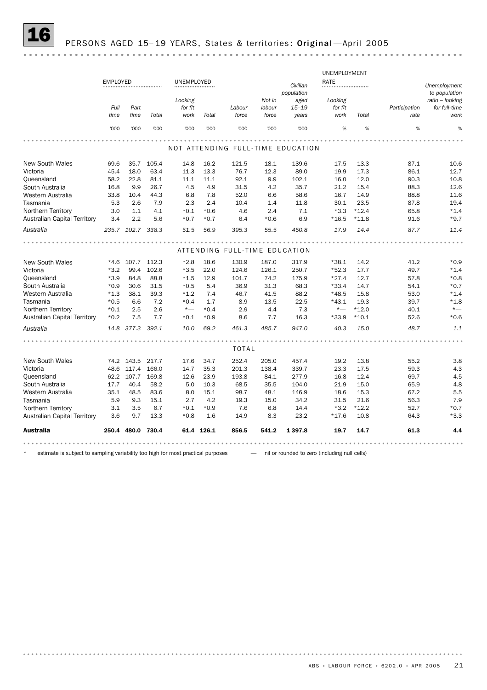## PERSONS AGED 15-19 YEARS, States & territories: Original-April 2005

|                                     |                 |                   |       |            |            |                               |        |                                   | UNEMPLOYMENT |         |               |                               |
|-------------------------------------|-----------------|-------------------|-------|------------|------------|-------------------------------|--------|-----------------------------------|--------------|---------|---------------|-------------------------------|
|                                     | <b>EMPLOYED</b> |                   |       | UNEMPLOYED |            |                               |        | Civilian                          | RATE         |         |               |                               |
|                                     |                 |                   |       |            |            |                               |        | population                        |              |         |               | Unemployment<br>to population |
|                                     |                 |                   |       | Looking    |            |                               | Not in | aged                              | Looking      |         |               | ratio - looking               |
|                                     | Full            | Part              |       | for f/t    |            | Labour                        | labour | $15 - 19$                         | for f/t      |         | Participation | for full-time                 |
|                                     | time            | time              | Total | work       | Total      | force                         | force  | years                             | work         | Total   | rate          | work                          |
|                                     |                 |                   |       |            |            |                               |        |                                   |              |         |               |                               |
|                                     | '000            | '000              | '000  | '000       | '000       | '000                          | '000   | '000                              | %            | %       | %             | %                             |
|                                     |                 |                   |       |            |            |                               |        |                                   |              |         |               |                               |
|                                     |                 |                   |       |            |            |                               |        | NOT ATTENDING FULL-TIME EDUCATION |              |         |               |                               |
| <b>New South Wales</b>              | 69.6            | 35.7              | 105.4 | 14.8       | 16.2       | 121.5                         | 18.1   | 139.6                             | 17.5         | 13.3    | 87.1          | 10.6                          |
| Victoria                            | 45.4            | 18.0              | 63.4  | 11.3       | 13.3       | 76.7                          | 12.3   | 89.0                              | 19.9         | 17.3    | 86.1          | 12.7                          |
| Queensland                          | 58.2            | 22.8              | 81.1  | 11.1       | 11.1       | 92.1                          | 9.9    | 102.1                             | 16.0         | 12.0    | 90.3          | 10.8                          |
| South Australia                     | 16.8            | 9.9               | 26.7  | 4.5        | 4.9        | 31.5                          | 4.2    | 35.7                              | 21.2         | 15.4    | 88.3          | 12.6                          |
| Western Australia                   | 33.8            | 10.4              | 44.3  | 6.8        | 7.8        | 52.0                          | 6.6    | 58.6                              | 16.7         | 14.9    | 88.8          | 11.6                          |
| Tasmania                            | 5.3             | 2.6               | 7.9   | 2.3        | 2.4        | 10.4                          | 1.4    | 11.8                              | 30.1         | 23.5    | 87.8          | 19.4                          |
| Northern Territory                  | 3.0             | 1.1               | 4.1   | $*0.1$     | $*0.6$     | 4.6                           | 2.4    | 7.1                               | $*3.3$       | $*12.4$ | 65.8          | $*1.4$                        |
| <b>Australian Capital Territory</b> | 3.4             | 2.2               | 5.6   | $*0.7$     | $*0.7$     | 6.4                           | $*0.6$ | 6.9                               | $*16.5$      | $*11.8$ | 91.6          | $*9.7$                        |
| Australia                           |                 | 235.7 102.7 338.3 |       | 51.5       | 56.9       | 395.3                         | 55.5   | 450.8                             | 17.9         | 14.4    | 87.7          | 11.4                          |
|                                     |                 |                   |       |            |            |                               |        |                                   |              |         |               |                               |
|                                     |                 |                   |       |            |            | ATTENDING FULL-TIME EDUCATION |        |                                   |              |         |               |                               |
| New South Wales                     | $*4.6$          | 107.7             | 112.3 | $*2.8$     | 18.6       | 130.9                         | 187.0  | 317.9                             | $*38.1$      | 14.2    | 41.2          | $*0.9$                        |
| Victoria                            | $*3.2$          | 99.4              | 102.6 | $*3.5$     | 22.0       | 124.6                         | 126.1  | 250.7                             | $*52.3$      | 17.7    | 49.7          | $*1.4$                        |
| Queensland                          | $*3.9$          | 84.8              | 88.8  | $*1.5$     | 12.9       | 101.7                         | 74.2   | 175.9                             | $*27.4$      | 12.7    | 57.8          | $*0.8$                        |
| South Australia                     | $*0.9$          | 30.6              | 31.5  | $*0.5$     | 5.4        | 36.9                          | 31.3   | 68.3                              | $*33.4$      | 14.7    | 54.1          | $*0.7$                        |
| Western Australia                   | $*1.3$          | 38.1              | 39.3  | $*1.2$     | 7.4        | 46.7                          | 41.5   | 88.2                              | $*48.5$      | 15.8    | 53.0          | $*1.4$                        |
| Tasmania                            | $*0.5$          | 6.6               | 7.2   | $*0.4$     | 1.7        | 8.9                           | 13.5   | 22.5                              | $*43.1$      | 19.3    | 39.7          | $*1.8$                        |
| Northern Territory                  | $*0.1$          | 2.5               | 2.6   | $*_{-}$    | $*0.4$     | 2.9                           | 4.4    | 7.3                               | $^{\star}-$  | $*12.0$ | 40.1          | $^{\star}-$                   |
| Australian Capital Territory        | $*0.2$          | 7.5               | 7.7   | $*0.1$     | $*0.9$     | 8.6                           | 7.7    | 16.3                              | $*33.9$      | $*10.1$ | 52.6          | $*0.6$                        |
| Australia                           |                 | 14.8 377.3        | 392.1 | 10.0       | 69.2       | 461.3                         | 485.7  | 947.0                             | 40.3         | 15.0    | 48.7          | 1.1                           |
|                                     |                 |                   |       |            |            |                               |        |                                   |              |         |               |                               |
|                                     |                 |                   |       |            |            | <b>TOTAL</b>                  |        |                                   |              |         |               |                               |
| <b>New South Wales</b>              |                 | 74.2 143.5 217.7  |       | 17.6       | 34.7       | 252.4                         | 205.0  | 457.4                             | 19.2         | 13.8    | 55.2          | 3.8                           |
| Victoria                            |                 | 48.6 117.4        | 166.0 | 14.7       | 35.3       | 201.3                         | 138.4  | 339.7                             | 23.3         | 17.5    | 59.3          | 4.3                           |
| Queensland                          | 62.2            | 107.7             | 169.8 | 12.6       | 23.9       | 193.8                         | 84.1   | 277.9                             | 16.8         | 12.4    | 69.7          | 4.5                           |
| South Australia                     | 17.7            | 40.4              | 58.2  | 5.0        | 10.3       | 68.5                          | 35.5   | 104.0                             | 21.9         | 15.0    | 65.9          | 4.8                           |
| Western Australia                   | 35.1            | 48.5              | 83.6  | 8.0        | 15.1       | 98.7                          | 48.1   | 146.9                             | 18.6         | 15.3    | 67.2          | 5.5                           |
| Tasmania                            | 5.9             | 9.3               | 15.1  | 2.7        | 4.2        | 19.3                          | 15.0   | 34.2                              | 31.5         | 21.6    | 56.3          | 7.9                           |
| Northern Territory                  | 3.1             | 3.5               | 6.7   | $*0.1$     | $*0.9$     | 7.6                           | 6.8    | 14.4                              | $*3.2$       | $*12.2$ | 52.7          | $*0.7$                        |
| <b>Australian Capital Territory</b> | 3.6             | 9.7               | 13.3  | $*0.8$     | 1.6        | 14.9                          | 8.3    | 23.2                              | $*17.6$      | 10.8    | 64.3          | $*3.3$                        |
| <b>Australia</b>                    |                 | 250.4 480.0       | 730.4 |            | 61.4 126.1 | 856.5                         | 541.2  | 1 3 9 7 .8                        | 19.7         | 14.7    | 61.3          | 4.4                           |
|                                     |                 |                   |       |            |            |                               |        |                                   |              |         |               |                               |
|                                     |                 |                   |       |            |            |                               |        |                                   |              |         |               |                               |

\* estimate is subject to sampling variability too high for most practical purposes — nil or rounded to zero (including null cells)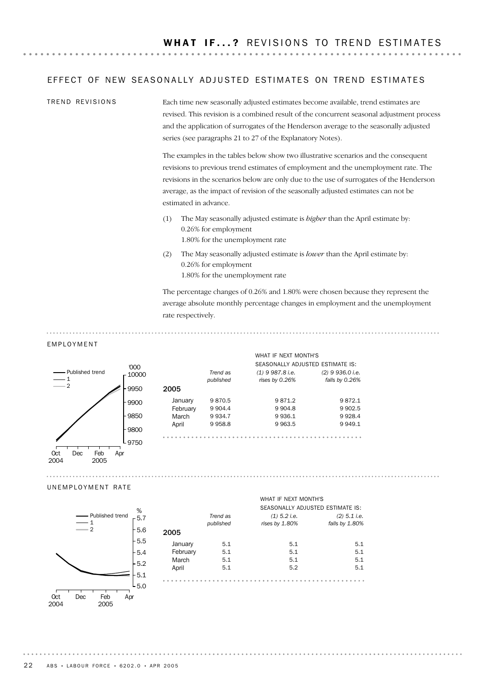## EFFECT OF NEW SEASONALLY ADJUSTED ESTIMATES ON TREND ESTIMATES

Each time new seasonally adjusted estimates become available, trend estimates are revised. This revision is a combined result of the concurrent seasonal adjustment process and the application of surrogates of the Henderson average to the seasonally adjusted series (see paragraphs 21 to 27 of the Explanatory Notes). TREND REVISIONS

> The examples in the tables below show two illustrative scenarios and the consequent revisions to previous trend estimates of employment and the unemployment rate. The revisions in the scenarios below are only due to the use of surrogates of the Henderson average, as the impact of revision of the seasonally adjusted estimates can not be estimated in advance.

- (1) The May seasonally adjusted estimate is *higher* than the April estimate by: 0.26% for employment 1.80% for the unemployment rate
- (2) The May seasonally adjusted estimate is *lower* than the April estimate by: 0.26% for employment 1.80% for the unemployment rate

*(1) 9 987.8 i.e. rises by 0.26%*

WHAT IF NEXT MONTH'S

The percentage changes of 0.26% and 1.80% were chosen because they represent the average absolute monthly percentage changes in employment and the unemployment rate respectively.

SEASONALLY ADJUSTED ESTIMATE IS:

*(2) 9 936.0 i.e. falls by 0.26%*

 $\frac{1}{2}$ 

#### EMPLOYMENT



| UNEMPLOYMENT RATE |  |  |  |  |  |  |  |  |  |  |  |
|-------------------|--|--|--|--|--|--|--|--|--|--|--|

1 2

Published trend



Dec Feb 2005 Apr

Oct 2004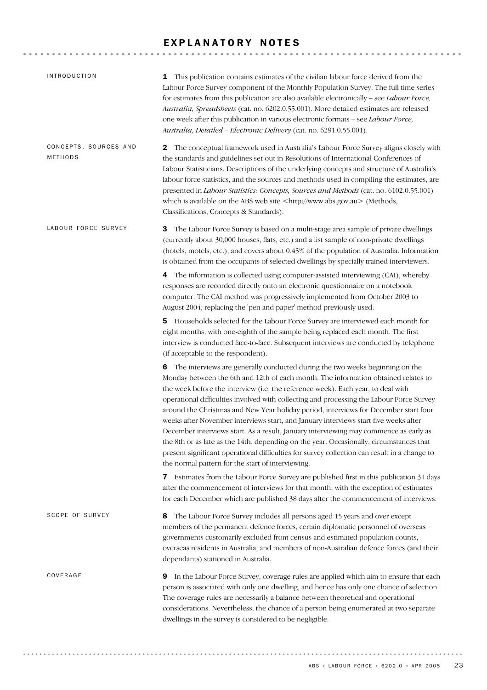## EXPLANATORY NOTES

| <i><b>INTRODUCTION</b></i>       | <b>1</b> This publication contains estimates of the civilian labour force derived from the<br>Labour Force Survey component of the Monthly Population Survey. The full time series<br>for estimates from this publication are also available electronically - see Labour Force,<br>Australia, Spreadsheets (cat. no. 6202.0.55.001). More detailed estimates are released<br>one week after this publication in various electronic formats - see Labour Force,<br>Australia, Detailed - Electronic Delivery (cat. no. 6291.0.55.001).                                                                                                                                                                                                                                                                                                                                         |
|----------------------------------|-------------------------------------------------------------------------------------------------------------------------------------------------------------------------------------------------------------------------------------------------------------------------------------------------------------------------------------------------------------------------------------------------------------------------------------------------------------------------------------------------------------------------------------------------------------------------------------------------------------------------------------------------------------------------------------------------------------------------------------------------------------------------------------------------------------------------------------------------------------------------------|
| CONCEPTS, SOURCES AND<br>METHODS | The conceptual framework used in Australia's Labour Force Survey aligns closely with<br>2<br>the standards and guidelines set out in Resolutions of International Conferences of<br>Labour Statisticians. Descriptions of the underlying concepts and structure of Australia's<br>labour force statistics, and the sources and methods used in compiling the estimates, are<br>presented in Labour Statistics: Concepts, Sources and Methods (cat. no. 6102.0.55.001)<br>which is available on the ABS web site <http: www.abs.gov.au=""> (Methods,<br/>Classifications, Concepts &amp; Standards).</http:>                                                                                                                                                                                                                                                                   |
| LABOUR FORCE SURVEY              | The Labour Force Survey is based on a multi-stage area sample of private dwellings<br>З<br>(currently about 30,000 houses, flats, etc.) and a list sample of non-private dwellings<br>(hotels, motels, etc.), and covers about 0.45% of the population of Australia. Information<br>is obtained from the occupants of selected dwellings by specially trained interviewers.                                                                                                                                                                                                                                                                                                                                                                                                                                                                                                   |
|                                  | The information is collected using computer-assisted interviewing (CAI), whereby<br>4<br>responses are recorded directly onto an electronic questionnaire on a notebook<br>computer. The CAI method was progressively implemented from October 2003 to<br>August 2004, replacing the 'pen and paper' method previously used.                                                                                                                                                                                                                                                                                                                                                                                                                                                                                                                                                  |
|                                  | 5 Households selected for the Labour Force Survey are interviewed each month for<br>eight months, with one-eighth of the sample being replaced each month. The first<br>interview is conducted face-to-face. Subsequent interviews are conducted by telephone<br>(if acceptable to the respondent).                                                                                                                                                                                                                                                                                                                                                                                                                                                                                                                                                                           |
|                                  | 6 The interviews are generally conducted during the two weeks beginning on the<br>Monday between the 6th and 12th of each month. The information obtained relates to<br>the week before the interview (i.e. the reference week). Each year, to deal with<br>operational difficulties involved with collecting and processing the Labour Force Survey<br>around the Christmas and New Year holiday period, interviews for December start four<br>weeks after November interviews start, and January interviews start five weeks after<br>December interviews start. As a result, January interviewing may commence as early as<br>the 8th or as late as the 14th, depending on the year. Occasionally, circumstances that<br>present significant operational difficulties for survey collection can result in a change to<br>the normal pattern for the start of interviewing. |
|                                  | Estimates from the Labour Force Survey are published first in this publication 31 days<br>7<br>after the commencement of interviews for that month, with the exception of estimates<br>for each December which are published 38 days after the commencement of interviews.                                                                                                                                                                                                                                                                                                                                                                                                                                                                                                                                                                                                    |
| SCOPE OF SURVEY                  | The Labour Force Survey includes all persons aged 15 years and over except<br>8<br>members of the permanent defence forces, certain diplomatic personnel of overseas<br>governments customarily excluded from census and estimated population counts,<br>overseas residents in Australia, and members of non-Australian defence forces (and their<br>dependants) stationed in Australia.                                                                                                                                                                                                                                                                                                                                                                                                                                                                                      |
| COVERAGE                         | <b>9</b> In the Labour Force Survey, coverage rules are applied which aim to ensure that each<br>person is associated with only one dwelling, and hence has only one chance of selection.<br>The coverage rules are necessarily a balance between theoretical and operational<br>considerations. Nevertheless, the chance of a person being enumerated at two separate<br>dwellings in the survey is considered to be negligible.                                                                                                                                                                                                                                                                                                                                                                                                                                             |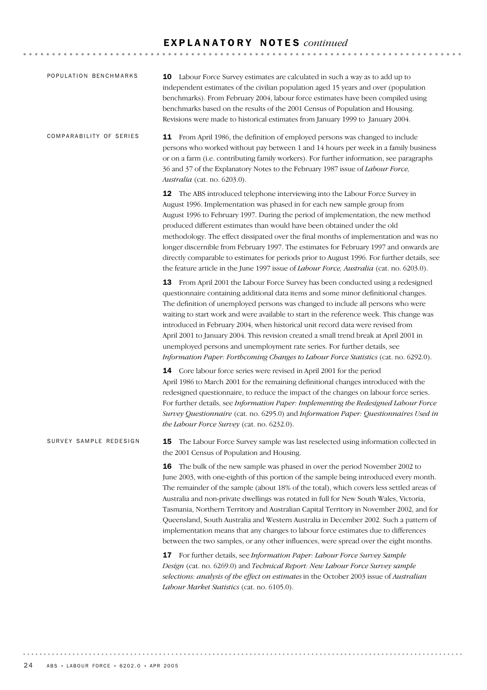## E X P L A N A T O R Y N O T E S *continued*

| POPULATION BENCHMARKS   | 10 Labour Force Survey estimates are calculated in such a way as to add up to<br>independent estimates of the civilian population aged 15 years and over (population<br>benchmarks). From February 2004, labour force estimates have been compiled using<br>benchmarks based on the results of the 2001 Census of Population and Housing.<br>Revisions were made to historical estimates from January 1999 to January 2004.                                                                                                                                                                                                                                                                                                                                                                                                                                                                  |
|-------------------------|----------------------------------------------------------------------------------------------------------------------------------------------------------------------------------------------------------------------------------------------------------------------------------------------------------------------------------------------------------------------------------------------------------------------------------------------------------------------------------------------------------------------------------------------------------------------------------------------------------------------------------------------------------------------------------------------------------------------------------------------------------------------------------------------------------------------------------------------------------------------------------------------|
| COMPARABILITY OF SERIES | 11 From April 1986, the definition of employed persons was changed to include<br>persons who worked without pay between 1 and 14 hours per week in a family business<br>or on a farm (i.e. contributing family workers). For further information, see paragraphs<br>36 and 37 of the Explanatory Notes to the February 1987 issue of Labour Force,<br>Australia (cat. no. 6203.0).                                                                                                                                                                                                                                                                                                                                                                                                                                                                                                           |
|                         | 12 The ABS introduced telephone interviewing into the Labour Force Survey in<br>August 1996. Implementation was phased in for each new sample group from<br>August 1996 to February 1997. During the period of implementation, the new method<br>produced different estimates than would have been obtained under the old<br>methodology. The effect dissipated over the final months of implementation and was no<br>longer discernible from February 1997. The estimates for February 1997 and onwards are<br>directly comparable to estimates for periods prior to August 1996. For further details, see<br>the feature article in the June 1997 issue of <i>Labour Force</i> , <i>Australia</i> (cat. no. 6203.0).                                                                                                                                                                       |
|                         | 13 From April 2001 the Labour Force Survey has been conducted using a redesigned<br>questionnaire containing additional data items and some minor definitional changes.<br>The definition of unemployed persons was changed to include all persons who were<br>waiting to start work and were available to start in the reference week. This change was<br>introduced in February 2004, when historical unit record data were revised from<br>April 2001 to January 2004. This revision created a small trend break at April 2001 in<br>unemployed persons and unemployment rate series. For further details, see<br>Information Paper: Forthcoming Changes to Labour Force Statistics (cat. no. 6292.0).                                                                                                                                                                                    |
|                         | 14 Core labour force series were revised in April 2001 for the period<br>April 1986 to March 2001 for the remaining definitional changes introduced with the<br>redesigned questionnaire, to reduce the impact of the changes on labour force series.<br>For further details, see Information Paper: Implementing the Redesigned Labour Force<br>Survey Questionnaire (cat. no. 6295.0) and Information Paper: Questionnaires Used in<br>the Labour Force Survey (cat. no. 6232.0).                                                                                                                                                                                                                                                                                                                                                                                                          |
| SURVEY SAMPLE REDESIGN  | The Labour Force Survey sample was last reselected using information collected in<br>15<br>the 2001 Census of Population and Housing.                                                                                                                                                                                                                                                                                                                                                                                                                                                                                                                                                                                                                                                                                                                                                        |
|                         | 16 The bulk of the new sample was phased in over the period November 2002 to<br>June 2003, with one-eighth of this portion of the sample being introduced every month.<br>The remainder of the sample (about 18% of the total), which covers less settled areas of<br>Australia and non-private dwellings was rotated in full for New South Wales, Victoria,<br>Tasmania, Northern Territory and Australian Capital Territory in November 2002, and for<br>Queensland, South Australia and Western Australia in December 2002. Such a pattern of<br>implementation means that any changes to labour force estimates due to differences<br>between the two samples, or any other influences, were spread over the eight months.<br>17 For further details, see Information Paper: Labour Force Survey Sample<br>Design (cat. no. 6269.0) and Technical Report: New Labour Force Survey sample |
|                         | selections: analysis of the effect on estimates in the October 2003 issue of Australian<br>Labour Market Statistics (cat. no. 6105.0).                                                                                                                                                                                                                                                                                                                                                                                                                                                                                                                                                                                                                                                                                                                                                       |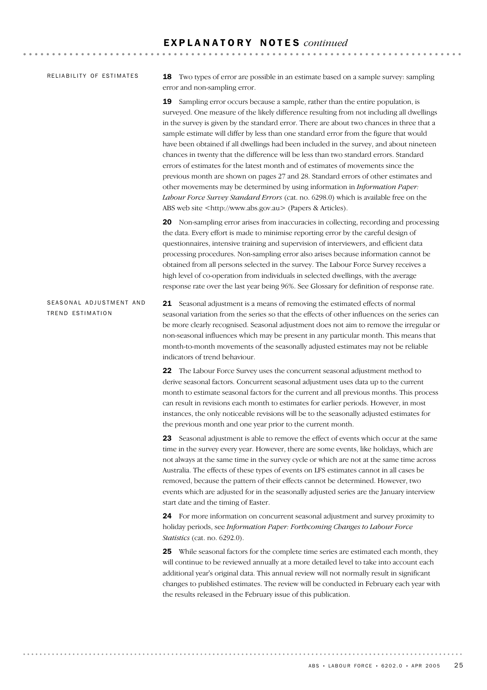### RELIABILITY OF ESTIMATES

18 Two types of error are possible in an estimate based on a sample survey: sampling error and non-sampling error.

19 Sampling error occurs because a sample, rather than the entire population, is surveyed. One measure of the likely difference resulting from not including all dwellings in the survey is given by the standard error. There are about two chances in three that a sample estimate will differ by less than one standard error from the figure that would have been obtained if all dwellings had been included in the survey, and about nineteen chances in twenty that the difference will be less than two standard errors. Standard errors of estimates for the latest month and of estimates of movements since the previous month are shown on pages 27 and 28. Standard errors of other estimates and other movements may be determined by using information in *Information Paper: Labour Force Survey Standard Errors* (cat. no. 6298.0) which is available free on the ABS web site <http://www.abs.gov.au> (Papers & Articles).

20 Non-sampling error arises from inaccuracies in collecting, recording and processing the data. Every effort is made to minimise reporting error by the careful design of questionnaires, intensive training and supervision of interviewers, and efficient data processing procedures. Non-sampling error also arises because information cannot be obtained from all persons selected in the survey. The Labour Force Survey receives a high level of co-operation from individuals in selected dwellings, with the average response rate over the last year being 96%. See Glossary for definition of response rate.

21 Seasonal adjustment is a means of removing the estimated effects of normal seasonal variation from the series so that the effects of other influences on the series can be more clearly recognised. Seasonal adjustment does not aim to remove the irregular or non-seasonal influences which may be present in any particular month. This means that month-to-month movements of the seasonally adjusted estimates may not be reliable indicators of trend behaviour. SEASONAL ADJUSTMENT AND TREND ESTIMATION

> 22 The Labour Force Survey uses the concurrent seasonal adjustment method to derive seasonal factors. Concurrent seasonal adjustment uses data up to the current month to estimate seasonal factors for the current and all previous months. This process can result in revisions each month to estimates for earlier periods. However, in most instances, the only noticeable revisions will be to the seasonally adjusted estimates for the previous month and one year prior to the current month.

> 23 Seasonal adjustment is able to remove the effect of events which occur at the same time in the survey every year. However, there are some events, like holidays, which are not always at the same time in the survey cycle or which are not at the same time across Australia. The effects of these types of events on LFS estimates cannot in all cases be removed, because the pattern of their effects cannot be determined. However, two events which are adjusted for in the seasonally adjusted series are the January interview start date and the timing of Easter.

24 For more information on concurrent seasonal adjustment and survey proximity to holiday periods, see *Information Paper: Forthcoming Changes to Labour Force Statistics* (cat. no. 6292.0).

25 While seasonal factors for the complete time series are estimated each month, they will continue to be reviewed annually at a more detailed level to take into account each additional year's original data. This annual review will not normally result in significant changes to published estimates. The review will be conducted in February each year with the results released in the February issue of this publication.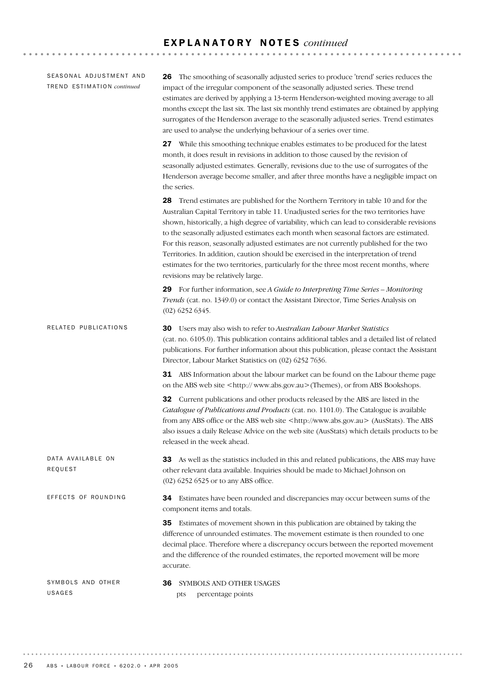## E X P L A N A T O R Y N O T E S *continued*

**\*\*\*\*\*\*\*\*\*\*\*\*\*\*\*\*\*** 

36 SYMBOLS AND OTHER USAGES pts percentage points SYMBOLS AND OTHER USAGES 34 Estimates have been rounded and discrepancies may occur between sums of the component items and totals. 35 Estimates of movement shown in this publication are obtained by taking the difference of unrounded estimates. The movement estimate is then rounded to one decimal place. Therefore where a discrepancy occurs between the reported movement and the difference of the rounded estimates, the reported movement will be more accurate. EFFECTS OF ROUNDING 33 As well as the statistics included in this and related publications, the ABS may have other relevant data available. Inquiries should be made to Michael Johnson on (02) 6252 6525 or to any ABS office. DATA AVAILABLE ON REQUEST 30 Users may also wish to refer to *Australian Labour Market Statistics* (cat. no. 6105.0). This publication contains additional tables and a detailed list of related publications. For further information about this publication, please contact the Assistant Director, Labour Market Statistics on (02) 6252 7636. 31 ABS Information about the labour market can be found on the Labour theme page on the ABS web site <http:// www.abs.gov.au>(Themes), or from ABS Bookshops. 32 Current publications and other products released by the ABS are listed in the *Catalogue of Publications and Products* (cat. no. 1101.0). The Catalogue is available from any ABS office or the ABS web site <http://www.abs.gov.au> (AusStats). The ABS also issues a daily Release Advice on the web site (AusStats) which details products to be released in the week ahead. RELATED PUBLICATIONS 26 The smoothing of seasonally adjusted series to produce 'trend' series reduces the impact of the irregular component of the seasonally adjusted series. These trend estimates are derived by applying a 13-term Henderson-weighted moving average to all months except the last six. The last six monthly trend estimates are obtained by applying surrogates of the Henderson average to the seasonally adjusted series. Trend estimates are used to analyse the underlying behaviour of a series over time. 27 While this smoothing technique enables estimates to be produced for the latest month, it does result in revisions in addition to those caused by the revision of seasonally adjusted estimates. Generally, revisions due to the use of surrogates of the Henderson average become smaller, and after three months have a negligible impact on the series. 28 Trend estimates are published for the Northern Territory in table 10 and for the Australian Capital Territory in table 11. Unadjusted series for the two territories have shown, historically, a high degree of variability, which can lead to considerable revisions to the seasonally adjusted estimates each month when seasonal factors are estimated. For this reason, seasonally adjusted estimates are not currently published for the two Territories. In addition, caution should be exercised in the interpretation of trend estimates for the two territories, particularly for the three most recent months, where revisions may be relatively large. 29 For further information, see *A Guide to Interpreting Time Series – Monitoring Trends* (cat. no. 1349.0) or contact the Assistant Director, Time Series Analysis on (02) 6252 6345. SEASONAL ADJUSTMENT AND TR E N D ES T I M A T I O N *continued*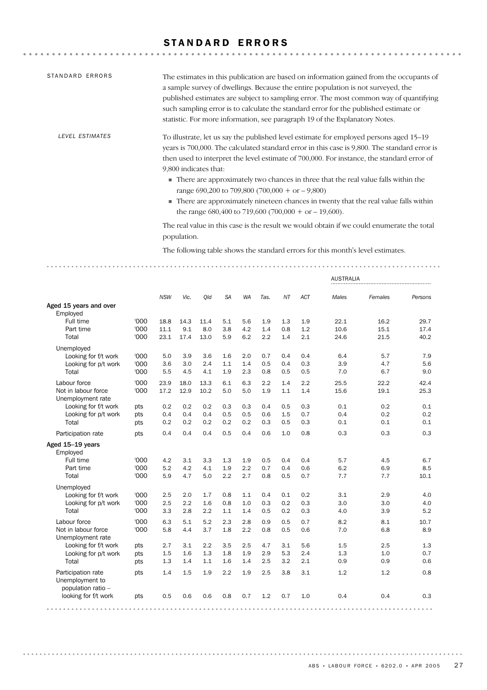## STANDARD ERRORS

| STANDARD ERRORS | The estimates in this publication are based on information gained from the occupants of<br>a sample survey of dwellings. Because the entire population is not surveyed, the<br>published estimates are subject to sampling error. The most common way of quantifying<br>such sampling error is to calculate the standard error for the published estimate or<br>statistic. For more information, see paragraph 19 of the Explanatory Notes.                                                                                                                                                                    |
|-----------------|----------------------------------------------------------------------------------------------------------------------------------------------------------------------------------------------------------------------------------------------------------------------------------------------------------------------------------------------------------------------------------------------------------------------------------------------------------------------------------------------------------------------------------------------------------------------------------------------------------------|
| LEVEL ESTIMATES | To illustrate, let us say the published level estimate for employed persons aged 15–19<br>years is 700,000. The calculated standard error in this case is 9,800. The standard error is<br>then used to interpret the level estimate of 700,000. For instance, the standard error of<br>9,800 indicates that:<br>■ There are approximately two chances in three that the real value falls within the<br>range 690,200 to 709,800 (700,000 + or $-9,800$ )<br>■ There are approximately nineteen chances in twenty that the real value falls within<br>the range $680,400$ to 719,600 (700,000 + or $-19,600$ ). |
|                 | The real value in this case is the result we would obtain if we could enumerate the total<br>population.                                                                                                                                                                                                                                                                                                                                                                                                                                                                                                       |
|                 | The following table shows the standard errors for this month's level estimates.                                                                                                                                                                                                                                                                                                                                                                                                                                                                                                                                |

|                                                             |      |            |      |      |           |           |      |     |            | <b>AUSTRALIA</b> |         |         |
|-------------------------------------------------------------|------|------------|------|------|-----------|-----------|------|-----|------------|------------------|---------|---------|
|                                                             |      | <b>NSW</b> | Vic. | Qld  | <b>SA</b> | <b>WA</b> | Tas. | NT  | <b>ACT</b> | Males            | Females | Persons |
| Aged 15 years and over<br>Employed                          |      |            |      |      |           |           |      |     |            |                  |         |         |
| Full time                                                   | '000 | 18.8       | 14.3 | 11.4 | 5.1       | 5.6       | 1.9  | 1.3 | 1.9        | 22.1             | 16.2    | 29.7    |
| Part time                                                   | '000 | 11.1       | 9.1  | 8.0  | 3.8       | 4.2       | 1.4  | 0.8 | 1.2        | 10.6             | 15.1    | 17.4    |
| Total                                                       | '000 | 23.1       | 17.4 | 13.0 | 5.9       | 6.2       | 2.2  | 1.4 | 2.1        | 24.6             | 21.5    | 40.2    |
| Unemployed                                                  |      |            |      |      |           |           |      |     |            |                  |         |         |
| Looking for f/t work                                        | '000 | 5.0        | 3.9  | 3.6  | 1.6       | 2.0       | 0.7  | 0.4 | 0.4        | 6.4              | 5.7     | 7.9     |
| Looking for p/t work                                        | '000 | 3.6        | 3.0  | 2.4  | 1.1       | 1.4       | 0.5  | 0.4 | 0.3        | 3.9              | 4.7     | 5.6     |
| Total                                                       | '000 | 5.5        | 4.5  | 4.1  | 1.9       | 2.3       | 0.8  | 0.5 | 0.5        | 7.0              | 6.7     | 9.0     |
| Labour force                                                | '000 | 23.9       | 18.0 | 13.3 | 6.1       | 6.3       | 2.2  | 1.4 | 2.2        | 25.5             | 22.2    | 42.4    |
| Not in labour force<br>Unemployment rate                    | '000 | 17.2       | 12.9 | 10.2 | 5.0       | 5.0       | 1.9  | 1.1 | 1.4        | 15.6             | 19.1    | 25.3    |
| Looking for f/t work                                        | pts  | 0.2        | 0.2  | 0.2  | 0.3       | 0.3       | 0.4  | 0.5 | 0.3        | 0.1              | 0.2     | 0.1     |
| Looking for p/t work                                        | pts  | 0.4        | 0.4  | 0.4  | 0.5       | 0.5       | 0.6  | 1.5 | 0.7        | 0.4              | 0.2     | 0.2     |
| Total                                                       | pts  | 0.2        | 0.2  | 0.2  | 0.2       | 0.2       | 0.3  | 0.5 | 0.3        | 0.1              | 0.1     | 0.1     |
| Participation rate                                          | pts  | 0.4        | 0.4  | 0.4  | 0.5       | 0.4       | 0.6  | 1.0 | 0.8        | 0.3              | 0.3     | 0.3     |
| Aged 15-19 years<br>Employed                                |      |            |      |      |           |           |      |     |            |                  |         |         |
| Full time                                                   | '000 | 4.2        | 3.1  | 3.3  | 1.3       | 1.9       | 0.5  | 0.4 | 0.4        | 5.7              | 4.5     | 6.7     |
| Part time                                                   | '000 | 5.2        | 4.2  | 4.1  | 1.9       | 2.2       | 0.7  | 0.4 | 0.6        | 6.2              | 6.9     | 8.5     |
| Total                                                       | '000 | 5.9        | 4.7  | 5.0  | 2.2       | 2.7       | 0.8  | 0.5 | 0.7        | 7.7              | 7.7     | 10.1    |
| Unemployed                                                  |      |            |      |      |           |           |      |     |            |                  |         |         |
| Looking for f/t work                                        | '000 | 2.5        | 2.0  | 1.7  | 0.8       | 1.1       | 0.4  | 0.1 | 0.2        | 3.1              | 2.9     | 4.0     |
| Looking for p/t work                                        | '000 | 2.5        | 2.2  | 1.6  | 0.8       | 1.0       | 0.3  | 0.2 | 0.3        | 3.0              | 3.0     | 4.0     |
| Total                                                       | '000 | 3.3        | 2.8  | 2.2  | 1.1       | 1.4       | 0.5  | 0.2 | 0.3        | 4.0              | 3.9     | 5.2     |
| Labour force                                                | '000 | 6.3        | 5.1  | 5.2  | 2.3       | 2.8       | 0.9  | 0.5 | 0.7        | 8.2              | 8.1     | 10.7    |
| Not in labour force<br>Unemployment rate                    | '000 | 5.8        | 4.4  | 3.7  | 1.8       | 2.2       | 0.8  | 0.5 | 0.6        | 7.0              | 6.8     | 8.9     |
| Looking for f/t work                                        | pts  | 2.7        | 3.1  | 2.2  | 3.5       | 2.5       | 4.7  | 3.1 | 5.6        | 1.5              | 2.5     | 1.3     |
| Looking for p/t work                                        | pts  | 1.5        | 1.6  | 1.3  | 1.8       | 1.9       | 2.9  | 5.3 | 2.4        | 1.3              | 1.0     | 0.7     |
| Total                                                       | pts  | 1.3        | 1.4  | 1.1  | 1.6       | 1.4       | 2.5  | 3.2 | 2.1        | 0.9              | 0.9     | 0.6     |
| Participation rate<br>Unemployment to<br>population ratio - | pts  | 1.4        | 1.5  | 1.9  | 2.2       | 1.9       | 2.5  | 3.8 | 3.1        | 1.2              | 1.2     | 0.8     |
| looking for f/t work                                        | pts  | 0.5        | 0.6  | 0.6  | 0.8       | 0.7       | 1.2  | 0.7 | 1.0        | 0.4              | 0.4     | 0.3     |
|                                                             |      |            |      |      |           |           |      |     |            |                  |         |         |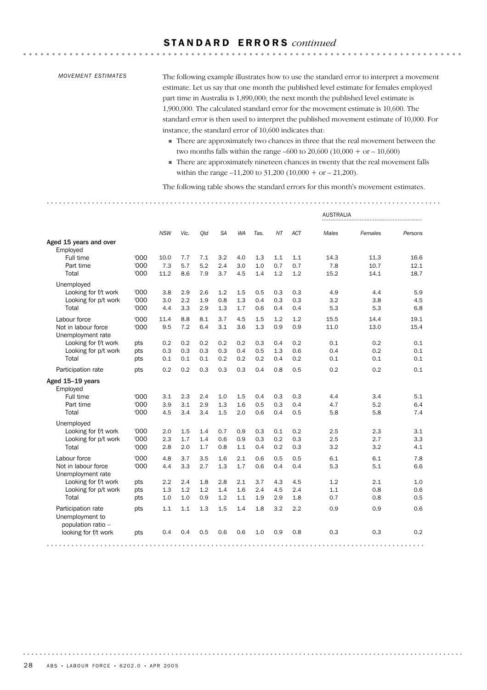## S T A N D A R D E R R O R S *continued*

#### *MOVEMENT ESTIMATES*

The following example illustrates how to use the standard error to interpret a movement estimate. Let us say that one month the published level estimate for females employed part time in Australia is 1,890,000; the next month the published level estimate is 1,900,000. The calculated standard error for the movement estimate is 10,600. The standard error is then used to interpret the published movement estimate of 10,000. For instance, the standard error of 10,600 indicates that:

. . . . . . . . . . . . . . . .

- There are approximately two chances in three that the real movement between the two months falls within the range –600 to 20,600 (10,000 + or – 10,600)
- There are approximately nineteen chances in twenty that the real movement falls within the range –11,200 to 31,200 (10,000 + or – 21,200).

The following table shows the standard errors for this month's movement estimates.

| <b>AUSTRALIA</b>                                            |      |            |      |     |           |           |      |     |            |       |         |         |
|-------------------------------------------------------------|------|------------|------|-----|-----------|-----------|------|-----|------------|-------|---------|---------|
|                                                             |      | <b>NSW</b> | Vic. | Qld | <b>SA</b> | <b>WA</b> | Tas. | NT  | <b>ACT</b> | Males | Females | Persons |
| Aged 15 years and over<br>Employed                          |      |            |      |     |           |           |      |     |            |       |         |         |
| Full time                                                   | '000 | 10.0       | 7.7  | 7.1 | 3.2       | 4.0       | 1.3  | 1.1 | 1.1        | 14.3  | 11.3    | 16.6    |
| Part time                                                   | '000 | 7.3        | 5.7  | 5.2 | 2.4       | 3.0       | 1.0  | 0.7 | 0.7        | 7.8   | 10.7    | 12.1    |
| Total                                                       | '000 | 11.2       | 8.6  | 7.9 | 3.7       | 4.5       | 1.4  | 1.2 | 1.2        | 15.2  | 14.1    | 18.7    |
| Unemployed                                                  |      |            |      |     |           |           |      |     |            |       |         |         |
| Looking for f/t work                                        | '000 | 3.8        | 2.9  | 2.6 | 1.2       | 1.5       | 0.5  | 0.3 | 0.3        | 4.9   | 4.4     | 5.9     |
| Looking for p/t work                                        | '000 | 3.0        | 2.2  | 1.9 | 0.8       | 1.3       | 0.4  | 0.3 | 0.3        | 3.2   | 3.8     | 4.5     |
| Total                                                       | '000 | 4.4        | 3.3  | 2.9 | 1.3       | 1.7       | 0.6  | 0.4 | 0.4        | 5.3   | 5.3     | 6.8     |
| Labour force                                                | '000 | 11.4       | 8.8  | 8.1 | 3.7       | 4.5       | 1.5  | 1.2 | 1.2        | 15.5  | 14.4    | 19.1    |
| Not in labour force<br>Unemployment rate                    | '000 | 9.5        | 7.2  | 6.4 | 3.1       | 3.6       | 1.3  | 0.9 | 0.9        | 11.0  | 13.0    | 15.4    |
| Looking for f/t work                                        | pts  | 0.2        | 0.2  | 0.2 | 0.2       | 0.2       | 0.3  | 0.4 | 0.2        | 0.1   | 0.2     | 0.1     |
| Looking for p/t work                                        | pts  | 0.3        | 0.3  | 0.3 | 0.3       | 0.4       | 0.5  | 1.3 | 0.6        | 0.4   | 0.2     | 0.1     |
| Total                                                       | pts  | 0.1        | 0.1  | 0.1 | 0.2       | 0.2       | 0.2  | 0.4 | 0.2        | 0.1   | 0.1     | 0.1     |
| Participation rate                                          | pts  | 0.2        | 0.2  | 0.3 | 0.3       | 0.3       | 0.4  | 0.8 | 0.5        | 0.2   | 0.2     | 0.1     |
| Aged 15-19 years<br>Employed                                |      |            |      |     |           |           |      |     |            |       |         |         |
| Full time                                                   | '000 | 3.1        | 2.3  | 2.4 | 1.0       | 1.5       | 0.4  | 0.3 | 0.3        | 4.4   | 3.4     | 5.1     |
| Part time                                                   | '000 | 3.9        | 3.1  | 2.9 | 1.3       | 1.6       | 0.5  | 0.3 | 0.4        | 4.7   | 5.2     | 6.4     |
| Total                                                       | '000 | 4.5        | 3.4  | 3.4 | 1.5       | 2.0       | 0.6  | 0.4 | 0.5        | 5.8   | 5.8     | 7.4     |
| Unemployed                                                  |      |            |      |     |           |           |      |     |            |       |         |         |
| Looking for f/t work                                        | '000 | 2.0        | 1.5  | 1.4 | 0.7       | 0.9       | 0.3  | 0.1 | 0.2        | 2.5   | 2.3     | 3.1     |
| Looking for p/t work                                        | '000 | 2.3        | 1.7  | 1.4 | 0.6       | 0.9       | 0.3  | 0.2 | 0.3        | 2.5   | 2.7     | 3.3     |
| Total                                                       | '000 | 2.8        | 2.0  | 1.7 | 0.8       | 1.1       | 0.4  | 0.2 | 0.3        | 3.2   | 3.2     | 4.1     |
| Labour force                                                | '000 | 4.8        | 3.7  | 3.5 | 1.6       | 2.1       | 0.6  | 0.5 | 0.5        | 6.1   | 6.1     | 7.8     |
| Not in labour force<br>Unemployment rate                    | '000 | 4.4        | 3.3  | 2.7 | 1.3       | 1.7       | 0.6  | 0.4 | 0.4        | 5.3   | 5.1     | 6.6     |
| Looking for f/t work                                        | pts  | 2.2        | 2.4  | 1.8 | 2.8       | 2.1       | 3.7  | 4.3 | 4.5        | 1.2   | 2.1     | 1.0     |
| Looking for p/t work                                        | pts  | 1.3        | 1.2  | 1.2 | 1.4       | 1.6       | 2.4  | 4.5 | 2.4        | 1.1   | 0.8     | 0.6     |
| Total                                                       | pts  | 1.0        | 1.0  | 0.9 | 1.2       | 1.1       | 1.9  | 2.9 | 1.8        | 0.7   | 0.8     | 0.5     |
| Participation rate<br>Unemployment to<br>population ratio - | pts  | 1.1        | 1.1  | 1.3 | 1.5       | 1.4       | 1.8  | 3.2 | 2.2        | 0.9   | 0.9     | 0.6     |
| looking for f/t work                                        | pts  | 0.4        | 0.4  | 0.5 | 0.6       | 0.6       | 1.0  | 0.9 | 0.8        | 0.3   | 0.3     | 0.2     |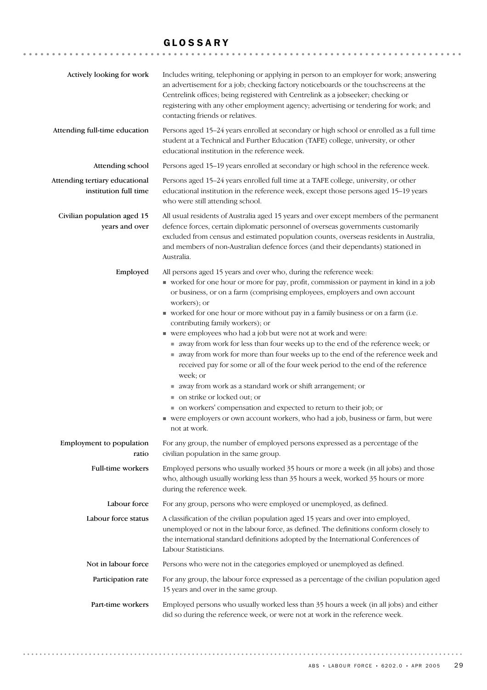## GLOSSARY

| Actively looking for work                               | Includes writing, telephoning or applying in person to an employer for work; answering<br>an advertisement for a job; checking factory noticeboards or the touchscreens at the<br>Centrelink offices; being registered with Centrelink as a jobseeker; checking or<br>registering with any other employment agency; advertising or tendering for work; and<br>contacting friends or relatives.                                                                                                                                                                                                                                                                                                                                                                                                                                                                                                                                                                                                   |
|---------------------------------------------------------|--------------------------------------------------------------------------------------------------------------------------------------------------------------------------------------------------------------------------------------------------------------------------------------------------------------------------------------------------------------------------------------------------------------------------------------------------------------------------------------------------------------------------------------------------------------------------------------------------------------------------------------------------------------------------------------------------------------------------------------------------------------------------------------------------------------------------------------------------------------------------------------------------------------------------------------------------------------------------------------------------|
| Attending full-time education                           | Persons aged 15-24 years enrolled at secondary or high school or enrolled as a full time<br>student at a Technical and Further Education (TAFE) college, university, or other<br>educational institution in the reference week.                                                                                                                                                                                                                                                                                                                                                                                                                                                                                                                                                                                                                                                                                                                                                                  |
| Attending school                                        | Persons aged 15-19 years enrolled at secondary or high school in the reference week.                                                                                                                                                                                                                                                                                                                                                                                                                                                                                                                                                                                                                                                                                                                                                                                                                                                                                                             |
| Attending tertiary educational<br>institution full time | Persons aged 15-24 years enrolled full time at a TAFE college, university, or other<br>educational institution in the reference week, except those persons aged 15-19 years<br>who were still attending school.                                                                                                                                                                                                                                                                                                                                                                                                                                                                                                                                                                                                                                                                                                                                                                                  |
| Civilian population aged 15<br>years and over           | All usual residents of Australia aged 15 years and over except members of the permanent<br>defence forces, certain diplomatic personnel of overseas governments customarily<br>excluded from census and estimated population counts, overseas residents in Australia,<br>and members of non-Australian defence forces (and their dependants) stationed in<br>Australia.                                                                                                                                                                                                                                                                                                                                                                                                                                                                                                                                                                                                                          |
| Employed                                                | All persons aged 15 years and over who, during the reference week:<br>worked for one hour or more for pay, profit, commission or payment in kind in a job<br>or business, or on a farm (comprising employees, employers and own account<br>workers); or<br>worked for one hour or more without pay in a family business or on a farm (i.e.<br>contributing family workers); or<br>vere employees who had a job but were not at work and were:<br>away from work for less than four weeks up to the end of the reference week; or<br>away from work for more than four weeks up to the end of the reference week and<br>received pay for some or all of the four week period to the end of the reference<br>week; or<br>■ away from work as a standard work or shift arrangement; or<br>■ on strike or locked out; or<br>• on workers' compensation and expected to return to their job; or<br>• were employers or own account workers, who had a job, business or farm, but were<br>not at work. |
| Employment to population<br>ratio                       | For any group, the number of employed persons expressed as a percentage of the<br>civilian population in the same group.                                                                                                                                                                                                                                                                                                                                                                                                                                                                                                                                                                                                                                                                                                                                                                                                                                                                         |
| Full-time workers                                       | Employed persons who usually worked 35 hours or more a week (in all jobs) and those<br>who, although usually working less than 35 hours a week, worked 35 hours or more<br>during the reference week.                                                                                                                                                                                                                                                                                                                                                                                                                                                                                                                                                                                                                                                                                                                                                                                            |
| Labour force                                            | For any group, persons who were employed or unemployed, as defined.                                                                                                                                                                                                                                                                                                                                                                                                                                                                                                                                                                                                                                                                                                                                                                                                                                                                                                                              |
| Labour force status                                     | A classification of the civilian population aged 15 years and over into employed,<br>unemployed or not in the labour force, as defined. The definitions conform closely to<br>the international standard definitions adopted by the International Conferences of<br>Labour Statisticians.                                                                                                                                                                                                                                                                                                                                                                                                                                                                                                                                                                                                                                                                                                        |
| Not in labour force                                     | Persons who were not in the categories employed or unemployed as defined.                                                                                                                                                                                                                                                                                                                                                                                                                                                                                                                                                                                                                                                                                                                                                                                                                                                                                                                        |
| Participation rate                                      | For any group, the labour force expressed as a percentage of the civilian population aged<br>15 years and over in the same group.                                                                                                                                                                                                                                                                                                                                                                                                                                                                                                                                                                                                                                                                                                                                                                                                                                                                |
| Part-time workers                                       | Employed persons who usually worked less than 35 hours a week (in all jobs) and either<br>did so during the reference week, or were not at work in the reference week.                                                                                                                                                                                                                                                                                                                                                                                                                                                                                                                                                                                                                                                                                                                                                                                                                           |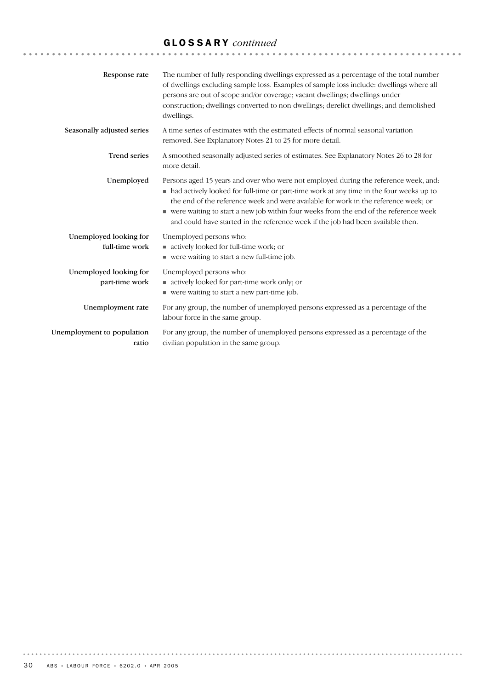## GLOSSARY *continued*

| Response rate                            | The number of fully responding dwellings expressed as a percentage of the total number<br>of dwellings excluding sample loss. Examples of sample loss include: dwellings where all<br>persons are out of scope and/or coverage; vacant dwellings; dwellings under<br>construction; dwellings converted to non-dwellings; derelict dwellings; and demolished<br>dwellings.                                                                              |
|------------------------------------------|--------------------------------------------------------------------------------------------------------------------------------------------------------------------------------------------------------------------------------------------------------------------------------------------------------------------------------------------------------------------------------------------------------------------------------------------------------|
| Seasonally adjusted series               | A time series of estimates with the estimated effects of normal seasonal variation<br>removed. See Explanatory Notes 21 to 25 for more detail.                                                                                                                                                                                                                                                                                                         |
| <b>Trend series</b>                      | A smoothed seasonally adjusted series of estimates. See Explanatory Notes 26 to 28 for<br>more detail.                                                                                                                                                                                                                                                                                                                                                 |
| Unemployed                               | Persons aged 15 years and over who were not employed during the reference week, and:<br>• had actively looked for full-time or part-time work at any time in the four weeks up to<br>the end of the reference week and were available for work in the reference week; or<br>• were waiting to start a new job within four weeks from the end of the reference week<br>and could have started in the reference week if the job had been available then. |
| Unemployed looking for<br>full-time work | Unemployed persons who:<br>actively looked for full-time work; or<br>■ were waiting to start a new full-time job.                                                                                                                                                                                                                                                                                                                                      |
| Unemployed looking for<br>part-time work | Unemployed persons who:<br>actively looked for part-time work only; or<br>■ were waiting to start a new part-time job.                                                                                                                                                                                                                                                                                                                                 |
| Unemployment rate                        | For any group, the number of unemployed persons expressed as a percentage of the<br>labour force in the same group.                                                                                                                                                                                                                                                                                                                                    |
| Unemployment to population<br>ratio      | For any group, the number of unemployed persons expressed as a percentage of the<br>civilian population in the same group.                                                                                                                                                                                                                                                                                                                             |